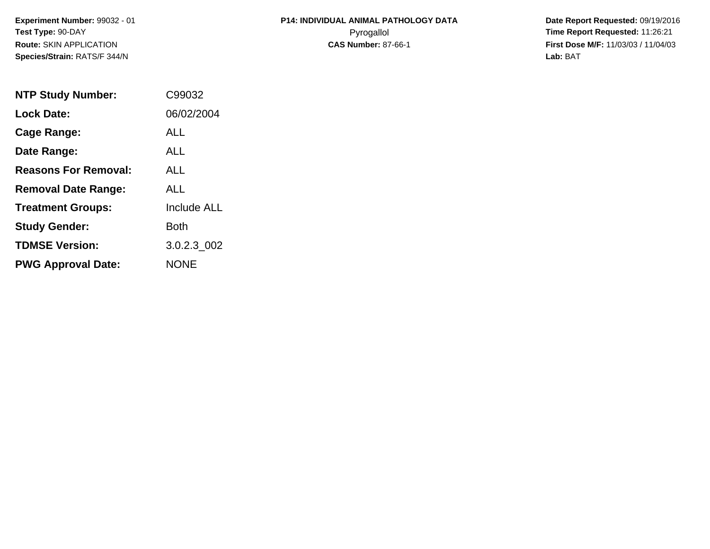**Experiment Number:** 99032 - 01**Test Type:** 90-DAY**Route:** SKIN APPLICATION**Species/Strain:** RATS/F 344/N

## **P14: INDIVIDUAL ANIMAL PATHOLOGY DATA**Pyrogallol **Time Report Requested:** 11:26:21

 **Date Report Requested:** 09/19/2016 **First Dose M/F:** 11/03/03 / 11/04/03<br>**Lab:** BAT **Lab:** BAT

| <b>NTP Study Number:</b>    | C99032             |
|-----------------------------|--------------------|
| <b>Lock Date:</b>           | 06/02/2004         |
| Cage Range:                 | ALL                |
| Date Range:                 | AI I               |
| <b>Reasons For Removal:</b> | ALL                |
| <b>Removal Date Range:</b>  | ALL                |
| <b>Treatment Groups:</b>    | <b>Include ALL</b> |
| <b>Study Gender:</b>        | Both               |
| <b>TDMSE Version:</b>       | 3.0.2.3 002        |
| <b>PWG Approval Date:</b>   | <b>NONF</b>        |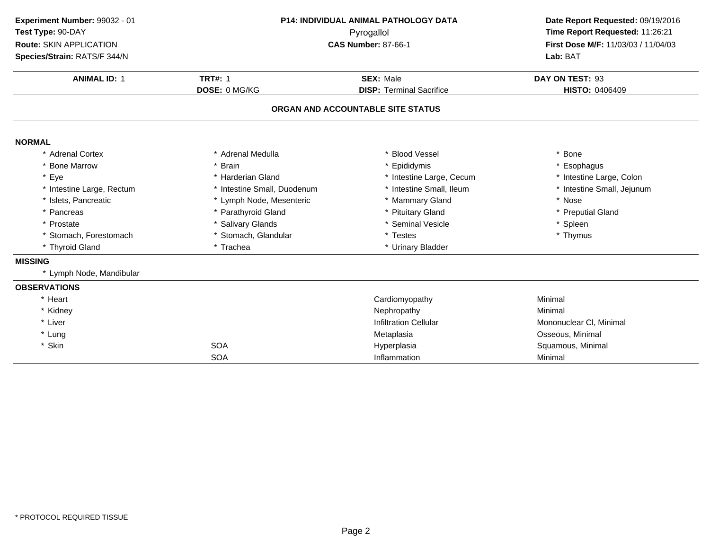| Experiment Number: 99032 - 01<br>Test Type: 90-DAY<br>Route: SKIN APPLICATION<br>Species/Strain: RATS/F 344/N<br><b>ANIMAL ID: 1</b> | <b>P14: INDIVIDUAL ANIMAL PATHOLOGY DATA</b><br>Pyrogallol<br><b>CAS Number: 87-66-1</b><br><b>TRT#: 1</b><br><b>SEX: Male</b> |                                   | Date Report Requested: 09/19/2016<br>Time Report Requested: 11:26:21<br>First Dose M/F: 11/03/03 / 11/04/03<br>Lab: BAT<br>DAY ON TEST: 93 |
|--------------------------------------------------------------------------------------------------------------------------------------|--------------------------------------------------------------------------------------------------------------------------------|-----------------------------------|--------------------------------------------------------------------------------------------------------------------------------------------|
|                                                                                                                                      | DOSE: 0 MG/KG                                                                                                                  | <b>DISP: Terminal Sacrifice</b>   | <b>HISTO: 0406409</b>                                                                                                                      |
|                                                                                                                                      |                                                                                                                                | ORGAN AND ACCOUNTABLE SITE STATUS |                                                                                                                                            |
| <b>NORMAL</b>                                                                                                                        |                                                                                                                                |                                   |                                                                                                                                            |
| * Adrenal Cortex                                                                                                                     | * Adrenal Medulla                                                                                                              | * Blood Vessel                    | * Bone                                                                                                                                     |
| * Bone Marrow                                                                                                                        | * Brain                                                                                                                        | Epididymis                        | * Esophagus                                                                                                                                |
| * Eye                                                                                                                                | * Harderian Gland                                                                                                              | * Intestine Large, Cecum          | * Intestine Large, Colon                                                                                                                   |
| * Intestine Large, Rectum                                                                                                            | * Intestine Small, Duodenum                                                                                                    | * Intestine Small, Ileum          | * Intestine Small, Jejunum                                                                                                                 |
| * Islets, Pancreatic                                                                                                                 | * Lymph Node, Mesenteric                                                                                                       | * Mammary Gland                   | * Nose                                                                                                                                     |
| * Pancreas                                                                                                                           | * Parathyroid Gland                                                                                                            | * Pituitary Gland                 | * Preputial Gland                                                                                                                          |
| * Prostate                                                                                                                           | * Salivary Glands                                                                                                              | <b>Seminal Vesicle</b>            | * Spleen                                                                                                                                   |
| * Stomach, Forestomach                                                                                                               | * Stomach, Glandular                                                                                                           | * Testes                          | * Thymus                                                                                                                                   |
| * Thyroid Gland                                                                                                                      | * Trachea                                                                                                                      | * Urinary Bladder                 |                                                                                                                                            |
| <b>MISSING</b>                                                                                                                       |                                                                                                                                |                                   |                                                                                                                                            |
| * Lymph Node, Mandibular                                                                                                             |                                                                                                                                |                                   |                                                                                                                                            |
| <b>OBSERVATIONS</b>                                                                                                                  |                                                                                                                                |                                   |                                                                                                                                            |
| * Heart                                                                                                                              |                                                                                                                                | Cardiomyopathy                    | Minimal                                                                                                                                    |
| * Kidney                                                                                                                             |                                                                                                                                | Nephropathy                       | Minimal                                                                                                                                    |
| * Liver                                                                                                                              |                                                                                                                                | <b>Infiltration Cellular</b>      | Mononuclear CI, Minimal                                                                                                                    |
| * Lung                                                                                                                               |                                                                                                                                | Metaplasia                        | Osseous, Minimal                                                                                                                           |
| * Skin                                                                                                                               | <b>SOA</b>                                                                                                                     | Hyperplasia                       | Squamous, Minimal                                                                                                                          |
|                                                                                                                                      | <b>SOA</b>                                                                                                                     | Inflammation                      | Minimal                                                                                                                                    |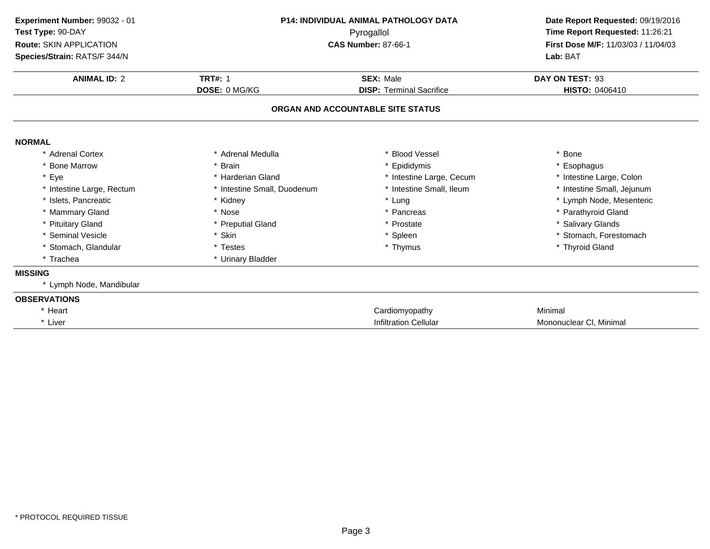| Experiment Number: 99032 - 01<br>Test Type: 90-DAY<br>Route: SKIN APPLICATION<br>Species/Strain: RATS/F 344/N | <b>P14: INDIVIDUAL ANIMAL PATHOLOGY DATA</b><br>Pyrogallol<br><b>CAS Number: 87-66-1</b> |                                   |                            |  | Date Report Requested: 09/19/2016<br>Time Report Requested: 11:26:21<br>First Dose M/F: 11/03/03 / 11/04/03<br>Lab: BAT |
|---------------------------------------------------------------------------------------------------------------|------------------------------------------------------------------------------------------|-----------------------------------|----------------------------|--|-------------------------------------------------------------------------------------------------------------------------|
| <b>ANIMAL ID: 2</b>                                                                                           | <b>TRT#: 1</b>                                                                           | <b>SEX: Male</b>                  | DAY ON TEST: 93            |  |                                                                                                                         |
|                                                                                                               | DOSE: 0 MG/KG                                                                            | <b>DISP: Terminal Sacrifice</b>   | HISTO: 0406410             |  |                                                                                                                         |
|                                                                                                               |                                                                                          | ORGAN AND ACCOUNTABLE SITE STATUS |                            |  |                                                                                                                         |
| <b>NORMAL</b>                                                                                                 |                                                                                          |                                   |                            |  |                                                                                                                         |
| * Adrenal Cortex                                                                                              | * Adrenal Medulla                                                                        | * Blood Vessel                    | * Bone                     |  |                                                                                                                         |
| * Bone Marrow                                                                                                 | <b>Brain</b>                                                                             | Epididymis                        | * Esophagus                |  |                                                                                                                         |
| * Eye                                                                                                         | * Harderian Gland                                                                        | * Intestine Large, Cecum          | * Intestine Large, Colon   |  |                                                                                                                         |
| * Intestine Large, Rectum                                                                                     | * Intestine Small, Duodenum                                                              | * Intestine Small, Ileum          | * Intestine Small, Jejunum |  |                                                                                                                         |
| * Islets. Pancreatic                                                                                          | * Kidney                                                                                 | * Lung                            | * Lymph Node, Mesenteric   |  |                                                                                                                         |
| * Mammary Gland                                                                                               | * Nose                                                                                   | * Pancreas                        | * Parathyroid Gland        |  |                                                                                                                         |
| * Pituitary Gland                                                                                             | * Preputial Gland                                                                        | * Prostate                        | * Salivary Glands          |  |                                                                                                                         |
| * Seminal Vesicle                                                                                             | * Skin                                                                                   | * Spleen                          | * Stomach, Forestomach     |  |                                                                                                                         |
| * Stomach, Glandular                                                                                          | * Testes                                                                                 | * Thymus                          | * Thyroid Gland            |  |                                                                                                                         |
| * Trachea                                                                                                     | * Urinary Bladder                                                                        |                                   |                            |  |                                                                                                                         |
| <b>MISSING</b>                                                                                                |                                                                                          |                                   |                            |  |                                                                                                                         |
| * Lymph Node, Mandibular                                                                                      |                                                                                          |                                   |                            |  |                                                                                                                         |
| <b>OBSERVATIONS</b>                                                                                           |                                                                                          |                                   |                            |  |                                                                                                                         |
| * Heart                                                                                                       |                                                                                          | Cardiomyopathy                    | Minimal                    |  |                                                                                                                         |
| * Liver                                                                                                       |                                                                                          | <b>Infiltration Cellular</b>      | Mononuclear CI, Minimal    |  |                                                                                                                         |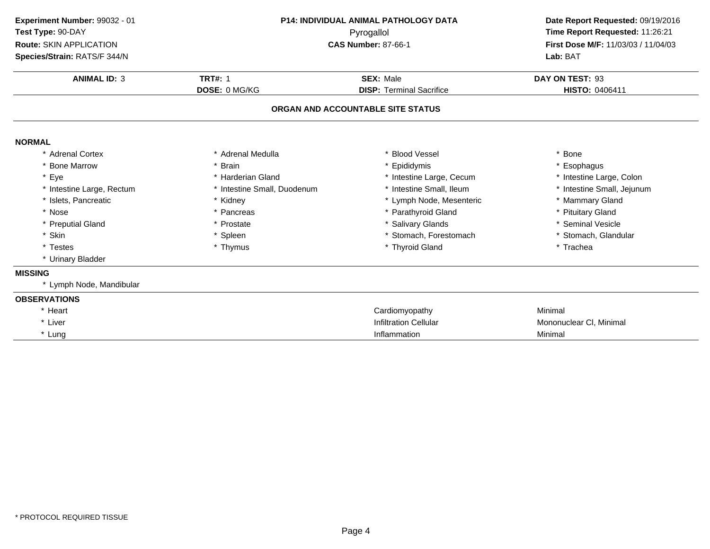| Experiment Number: 99032 - 01<br>Test Type: 90-DAY<br>Route: SKIN APPLICATION<br>Species/Strain: RATS/F 344/N<br><b>ANIMAL ID: 3</b> | <b>P14: INDIVIDUAL ANIMAL PATHOLOGY DATA</b><br>Pyrogallol<br><b>CAS Number: 87-66-1</b><br><b>TRT#: 1</b><br><b>SEX: Male</b> |                                   | Date Report Requested: 09/19/2016<br>Time Report Requested: 11:26:21<br>First Dose M/F: 11/03/03 / 11/04/03<br>Lab: BAT<br>DAY ON TEST: 93 |
|--------------------------------------------------------------------------------------------------------------------------------------|--------------------------------------------------------------------------------------------------------------------------------|-----------------------------------|--------------------------------------------------------------------------------------------------------------------------------------------|
|                                                                                                                                      | DOSE: 0 MG/KG                                                                                                                  | <b>DISP: Terminal Sacrifice</b>   | HISTO: 0406411                                                                                                                             |
|                                                                                                                                      |                                                                                                                                | ORGAN AND ACCOUNTABLE SITE STATUS |                                                                                                                                            |
| <b>NORMAL</b>                                                                                                                        |                                                                                                                                |                                   |                                                                                                                                            |
| * Adrenal Cortex                                                                                                                     | * Adrenal Medulla                                                                                                              | * Blood Vessel                    | * Bone                                                                                                                                     |
| * Bone Marrow                                                                                                                        | * Brain                                                                                                                        | * Epididymis                      | * Esophagus                                                                                                                                |
| * Eye                                                                                                                                | * Harderian Gland                                                                                                              | * Intestine Large, Cecum          | * Intestine Large, Colon                                                                                                                   |
| * Intestine Large, Rectum                                                                                                            | * Intestine Small, Duodenum                                                                                                    | * Intestine Small, Ileum          | * Intestine Small, Jejunum                                                                                                                 |
| * Islets, Pancreatic                                                                                                                 | * Kidney                                                                                                                       | * Lymph Node, Mesenteric          | * Mammary Gland                                                                                                                            |
| * Nose                                                                                                                               | * Pancreas                                                                                                                     | * Parathyroid Gland               | * Pituitary Gland                                                                                                                          |
| * Preputial Gland                                                                                                                    | * Prostate                                                                                                                     | * Salivary Glands                 | * Seminal Vesicle                                                                                                                          |
| * Skin                                                                                                                               | * Spleen                                                                                                                       | * Stomach, Forestomach            | * Stomach, Glandular                                                                                                                       |
| * Testes                                                                                                                             | * Thymus                                                                                                                       | * Thyroid Gland                   | * Trachea                                                                                                                                  |
| * Urinary Bladder                                                                                                                    |                                                                                                                                |                                   |                                                                                                                                            |
| <b>MISSING</b>                                                                                                                       |                                                                                                                                |                                   |                                                                                                                                            |
| * Lymph Node, Mandibular                                                                                                             |                                                                                                                                |                                   |                                                                                                                                            |
| <b>OBSERVATIONS</b>                                                                                                                  |                                                                                                                                |                                   |                                                                                                                                            |
| * Heart                                                                                                                              |                                                                                                                                | Cardiomyopathy                    | Minimal                                                                                                                                    |
| * Liver                                                                                                                              |                                                                                                                                | <b>Infiltration Cellular</b>      | Mononuclear CI, Minimal                                                                                                                    |
| * Lung                                                                                                                               |                                                                                                                                | Inflammation                      | Minimal                                                                                                                                    |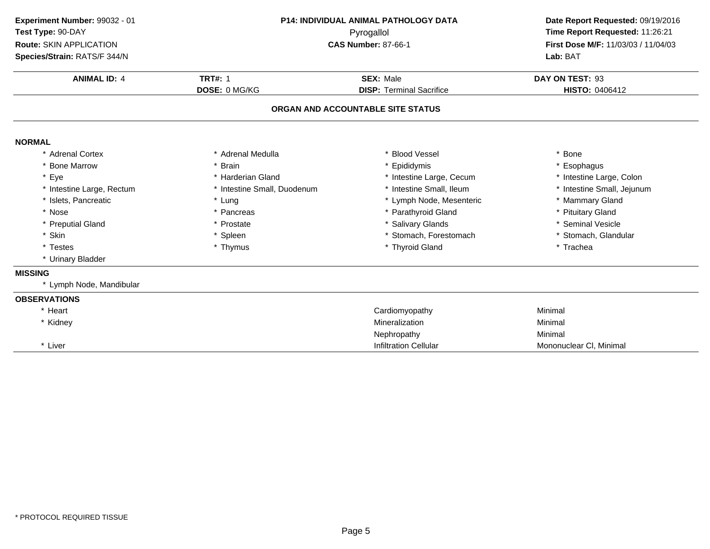| Experiment Number: 99032 - 01<br>Test Type: 90-DAY<br>Route: SKIN APPLICATION<br>Species/Strain: RATS/F 344/N | <b>P14: INDIVIDUAL ANIMAL PATHOLOGY DATA</b><br>Pyrogallol<br><b>CAS Number: 87-66-1</b> |                                                     | Date Report Requested: 09/19/2016<br>Time Report Requested: 11:26:21<br>First Dose M/F: 11/03/03 / 11/04/03<br>Lab: BAT |  |
|---------------------------------------------------------------------------------------------------------------|------------------------------------------------------------------------------------------|-----------------------------------------------------|-------------------------------------------------------------------------------------------------------------------------|--|
| <b>ANIMAL ID: 4</b>                                                                                           | <b>TRT#: 1</b><br>DOSE: 0 MG/KG                                                          | <b>SEX: Male</b><br><b>DISP: Terminal Sacrifice</b> | DAY ON TEST: 93                                                                                                         |  |
|                                                                                                               |                                                                                          |                                                     | <b>HISTO: 0406412</b>                                                                                                   |  |
|                                                                                                               |                                                                                          | ORGAN AND ACCOUNTABLE SITE STATUS                   |                                                                                                                         |  |
| <b>NORMAL</b>                                                                                                 |                                                                                          |                                                     |                                                                                                                         |  |
| * Adrenal Cortex                                                                                              | * Adrenal Medulla                                                                        | * Blood Vessel                                      | * Bone                                                                                                                  |  |
| * Bone Marrow                                                                                                 | * Brain                                                                                  | * Epididymis                                        | * Esophagus                                                                                                             |  |
| * Eye                                                                                                         | * Harderian Gland                                                                        | * Intestine Large, Cecum                            | * Intestine Large, Colon                                                                                                |  |
| * Intestine Large, Rectum                                                                                     | * Intestine Small, Duodenum                                                              | * Intestine Small, Ileum                            | * Intestine Small, Jejunum                                                                                              |  |
| * Islets, Pancreatic                                                                                          | * Lung                                                                                   | * Lymph Node, Mesenteric                            | * Mammary Gland                                                                                                         |  |
| * Nose                                                                                                        | * Pancreas                                                                               | * Parathyroid Gland                                 | * Pituitary Gland                                                                                                       |  |
| * Preputial Gland                                                                                             | * Prostate                                                                               | * Salivary Glands                                   | * Seminal Vesicle                                                                                                       |  |
| * Skin                                                                                                        | * Spleen                                                                                 | * Stomach, Forestomach                              | * Stomach, Glandular                                                                                                    |  |
| * Testes                                                                                                      | * Thymus                                                                                 | * Thyroid Gland                                     | * Trachea                                                                                                               |  |
| * Urinary Bladder                                                                                             |                                                                                          |                                                     |                                                                                                                         |  |
| <b>MISSING</b>                                                                                                |                                                                                          |                                                     |                                                                                                                         |  |
| * Lymph Node, Mandibular                                                                                      |                                                                                          |                                                     |                                                                                                                         |  |
| <b>OBSERVATIONS</b>                                                                                           |                                                                                          |                                                     |                                                                                                                         |  |
| * Heart                                                                                                       |                                                                                          | Cardiomyopathy                                      | Minimal                                                                                                                 |  |
| * Kidney                                                                                                      |                                                                                          | Mineralization                                      | Minimal                                                                                                                 |  |
|                                                                                                               |                                                                                          | Nephropathy                                         | Minimal                                                                                                                 |  |
| * Liver                                                                                                       |                                                                                          | <b>Infiltration Cellular</b>                        | Mononuclear CI, Minimal                                                                                                 |  |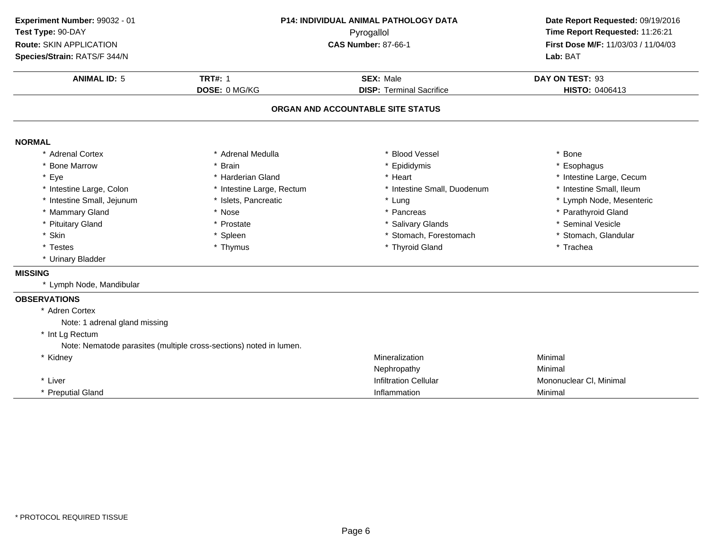**ANIMAL ID:** <sup>5</sup> **TRT#:** <sup>1</sup> **SEX:** Male **DAY ON TEST:** <sup>93</sup> **DOSE:** 0 MG/KG**DISP:** Terminal Sacrifice **HISTO:** 0406413 **ORGAN AND ACCOUNTABLE SITE STATUSNORMAL** \* Adrenal Cortex \* Adrenal Medullaa the set of the set of the set of the set of the set of the set of the set of the set of the set of the set o<br>Set of the set of the set of the set of the set of the set of the set of the set of the set of the set of the s \* Bone Marrow \* Brain \* Epididymis \* Esophagus \* Eyee the second of the second term in the second term in the second term in the second term in the second term in the second term in the second term in the second term in the second term in the second term in the second term \* Intestine Small, Ileum \* Intestine Large, Colon\* Intestine Large, Rectum<br>\* Islets, Pancreatic \* Intestine Small, Duodenum \* 11testine Small, Ileum<br>\* Lung \* Lymph Node, Mesenteric \* Intestine Small, Jejunumm \* Islets, Pancreatic \* Lung \* Lymph Node, Mesenteric \* Mammary Gland \* Nose \* Pancreas \* Parathyroid Gland \* Pituitary Glandd **the contract of the set of the set of the set of the set of the set of the set of the set of the set of the set of the set of the set of the set of the set of the set of the set of the set of the set of the set of the s** \* Skinn that is the set of the Spleen term in the store of the store of the store of the store of the store of the store of the store of the store of the store of the store of the store of the store of the store of the store of \* Testes \* Thymus \* Thyroid Gland \* Trachea \* Urinary Bladder **MISSING** \* Lymph Node, Mandibular **OBSERVATIONS** \* Adren Cortex Note: 1 adrenal gland missing\* Int Lg Rectum Note: Nematode parasites (multiple cross-sections) noted in lumen.\* Kidney Mineralizationn Minimal Nephropathy Minimal \* Liver Infiltration Cellular Mononuclear Cl, Minimal \* Preputial Glandd and the control of the control of the control of the control of the control of the control of the control of the control of the control of the control of the control of the control of the control of the control of the co **Experiment Number:** 99032 - 01 **P14: INDIVIDUAL ANIMAL PATHOLOGY DATA Date Report Requested:** 09/19/2016 **Test Type:** 90-DAY Pyrogallol **Time Report Requested:** 11:26:21 **Route:** SKIN APPLICATION**First Dose M/F:** 11/03/03 / 11/04/03<br>**Lab:** BAT **Species/Strain:** RATS/F 344/N**Lab:** BAT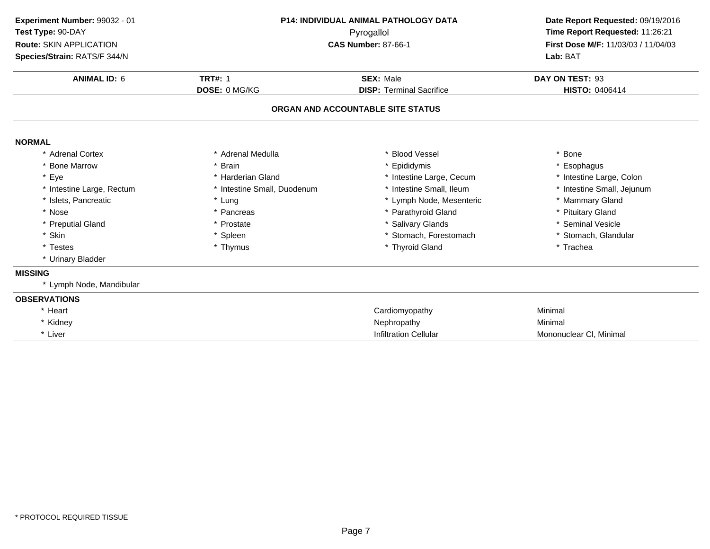| Experiment Number: 99032 - 01<br>Test Type: 90-DAY<br><b>Route: SKIN APPLICATION</b><br>Species/Strain: RATS/F 344/N<br><b>ANIMAL ID: 6</b> | P14: INDIVIDUAL ANIMAL PATHOLOGY DATA<br>Pyrogallol<br><b>CAS Number: 87-66-1</b><br><b>TRT#: 1</b><br><b>SEX: Male</b> |                                                                      | Date Report Requested: 09/19/2016<br>Time Report Requested: 11:26:21<br>First Dose M/F: 11/03/03 / 11/04/03<br>Lab: BAT<br>DAY ON TEST: 93<br>HISTO: 0406414 |
|---------------------------------------------------------------------------------------------------------------------------------------------|-------------------------------------------------------------------------------------------------------------------------|----------------------------------------------------------------------|--------------------------------------------------------------------------------------------------------------------------------------------------------------|
|                                                                                                                                             | DOSE: 0 MG/KG                                                                                                           | <b>DISP: Terminal Sacrifice</b><br>ORGAN AND ACCOUNTABLE SITE STATUS |                                                                                                                                                              |
| <b>NORMAL</b>                                                                                                                               |                                                                                                                         |                                                                      |                                                                                                                                                              |
| * Adrenal Cortex                                                                                                                            | * Adrenal Medulla                                                                                                       | <b>Blood Vessel</b>                                                  | * Bone                                                                                                                                                       |
| * Bone Marrow                                                                                                                               | <b>Brain</b>                                                                                                            | * Epididymis                                                         | * Esophagus                                                                                                                                                  |
| * Eye                                                                                                                                       | * Harderian Gland                                                                                                       | * Intestine Large, Cecum                                             | * Intestine Large, Colon                                                                                                                                     |
| * Intestine Large, Rectum                                                                                                                   | * Intestine Small, Duodenum                                                                                             | * Intestine Small, Ileum                                             | * Intestine Small, Jejunum                                                                                                                                   |
| * Islets, Pancreatic                                                                                                                        | * Lung                                                                                                                  | * Lymph Node, Mesenteric                                             | * Mammary Gland                                                                                                                                              |
| * Nose                                                                                                                                      | * Pancreas                                                                                                              | * Parathyroid Gland                                                  | * Pituitary Gland                                                                                                                                            |
| * Preputial Gland                                                                                                                           | * Prostate                                                                                                              | * Salivary Glands                                                    | * Seminal Vesicle                                                                                                                                            |
| * Skin                                                                                                                                      | * Spleen                                                                                                                | * Stomach, Forestomach                                               | * Stomach, Glandular                                                                                                                                         |
| * Testes                                                                                                                                    | * Thymus                                                                                                                | * Thyroid Gland                                                      | * Trachea                                                                                                                                                    |
| * Urinary Bladder                                                                                                                           |                                                                                                                         |                                                                      |                                                                                                                                                              |
| <b>MISSING</b>                                                                                                                              |                                                                                                                         |                                                                      |                                                                                                                                                              |
| * Lymph Node, Mandibular                                                                                                                    |                                                                                                                         |                                                                      |                                                                                                                                                              |
| <b>OBSERVATIONS</b>                                                                                                                         |                                                                                                                         |                                                                      |                                                                                                                                                              |
| * Heart                                                                                                                                     |                                                                                                                         | Cardiomyopathy                                                       | Minimal                                                                                                                                                      |
| * Kidney                                                                                                                                    |                                                                                                                         | Nephropathy                                                          | Minimal                                                                                                                                                      |
| * Liver                                                                                                                                     |                                                                                                                         | <b>Infiltration Cellular</b>                                         | Mononuclear CI, Minimal                                                                                                                                      |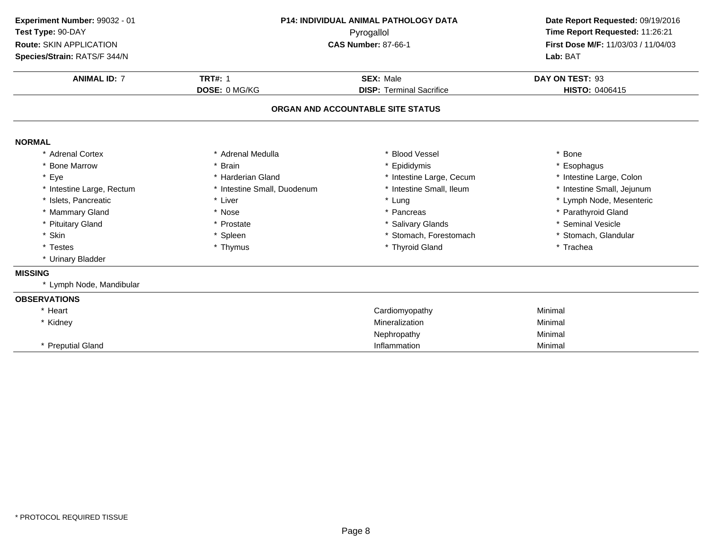| Experiment Number: 99032 - 01<br>Test Type: 90-DAY<br>Route: SKIN APPLICATION<br>Species/Strain: RATS/F 344/N | P14: INDIVIDUAL ANIMAL PATHOLOGY DATA<br>Pyrogallol<br><b>CAS Number: 87-66-1</b> |                                   | Date Report Requested: 09/19/2016<br>Time Report Requested: 11:26:21<br>First Dose M/F: 11/03/03 / 11/04/03<br>Lab: BAT |  |
|---------------------------------------------------------------------------------------------------------------|-----------------------------------------------------------------------------------|-----------------------------------|-------------------------------------------------------------------------------------------------------------------------|--|
| <b>ANIMAL ID: 7</b>                                                                                           | <b>TRT#: 1</b>                                                                    | <b>SEX: Male</b>                  | DAY ON TEST: 93                                                                                                         |  |
|                                                                                                               | DOSE: 0 MG/KG                                                                     | <b>DISP: Terminal Sacrifice</b>   | HISTO: 0406415                                                                                                          |  |
|                                                                                                               |                                                                                   | ORGAN AND ACCOUNTABLE SITE STATUS |                                                                                                                         |  |
| <b>NORMAL</b>                                                                                                 |                                                                                   |                                   |                                                                                                                         |  |
| * Adrenal Cortex                                                                                              | * Adrenal Medulla                                                                 | * Blood Vessel                    | <b>Bone</b>                                                                                                             |  |
| * Bone Marrow                                                                                                 | * Brain                                                                           | * Epididymis                      | Esophagus                                                                                                               |  |
| * Eye                                                                                                         | * Harderian Gland                                                                 | * Intestine Large, Cecum          | * Intestine Large, Colon                                                                                                |  |
| * Intestine Large, Rectum                                                                                     | * Intestine Small, Duodenum                                                       | * Intestine Small, Ileum          | * Intestine Small, Jejunum                                                                                              |  |
| * Islets, Pancreatic                                                                                          | * Liver                                                                           | * Lung                            | * Lymph Node, Mesenteric                                                                                                |  |
| * Mammary Gland                                                                                               | * Nose                                                                            | * Pancreas                        | * Parathyroid Gland                                                                                                     |  |
| * Pituitary Gland                                                                                             | * Prostate                                                                        | * Salivary Glands                 | * Seminal Vesicle                                                                                                       |  |
| * Skin                                                                                                        | * Spleen                                                                          | * Stomach, Forestomach            | * Stomach, Glandular                                                                                                    |  |
| * Testes                                                                                                      | * Thymus                                                                          | * Thyroid Gland                   | * Trachea                                                                                                               |  |
| * Urinary Bladder                                                                                             |                                                                                   |                                   |                                                                                                                         |  |
| <b>MISSING</b>                                                                                                |                                                                                   |                                   |                                                                                                                         |  |
| * Lymph Node, Mandibular                                                                                      |                                                                                   |                                   |                                                                                                                         |  |
| <b>OBSERVATIONS</b>                                                                                           |                                                                                   |                                   |                                                                                                                         |  |
| * Heart                                                                                                       |                                                                                   | Cardiomyopathy                    | Minimal                                                                                                                 |  |
| * Kidney                                                                                                      |                                                                                   | Mineralization                    | Minimal                                                                                                                 |  |
|                                                                                                               |                                                                                   | Nephropathy                       | Minimal                                                                                                                 |  |
| * Preputial Gland                                                                                             |                                                                                   | Inflammation                      | Minimal                                                                                                                 |  |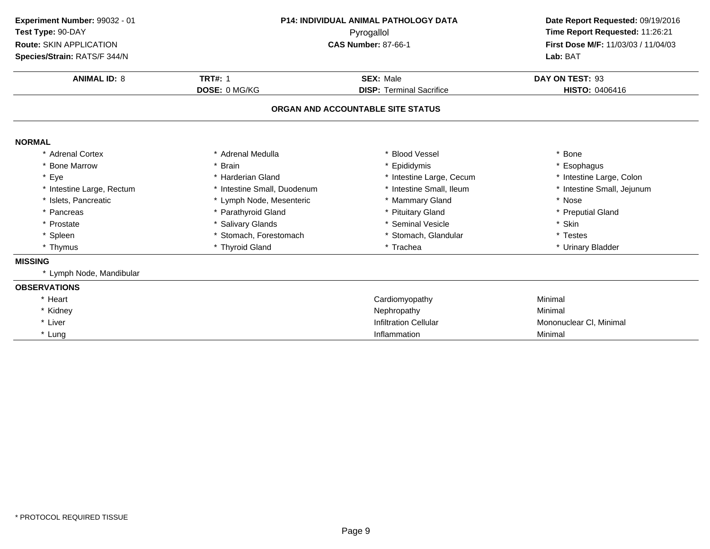| Experiment Number: 99032 - 01<br>Test Type: 90-DAY<br>Route: SKIN APPLICATION<br>Species/Strain: RATS/F 344/N<br><b>ANIMAL ID: 8</b> | <b>P14: INDIVIDUAL ANIMAL PATHOLOGY DATA</b><br>Pyrogallol<br><b>CAS Number: 87-66-1</b><br><b>TRT#: 1</b><br><b>SEX: Male</b> |                                   | Date Report Requested: 09/19/2016<br>Time Report Requested: 11:26:21<br>First Dose M/F: 11/03/03 / 11/04/03<br>Lab: BAT<br>DAY ON TEST: 93 |
|--------------------------------------------------------------------------------------------------------------------------------------|--------------------------------------------------------------------------------------------------------------------------------|-----------------------------------|--------------------------------------------------------------------------------------------------------------------------------------------|
|                                                                                                                                      | DOSE: 0 MG/KG                                                                                                                  | <b>DISP: Terminal Sacrifice</b>   | HISTO: 0406416                                                                                                                             |
|                                                                                                                                      |                                                                                                                                | ORGAN AND ACCOUNTABLE SITE STATUS |                                                                                                                                            |
| <b>NORMAL</b>                                                                                                                        |                                                                                                                                |                                   |                                                                                                                                            |
| * Adrenal Cortex                                                                                                                     | * Adrenal Medulla                                                                                                              | * Blood Vessel                    | * Bone                                                                                                                                     |
| * Bone Marrow                                                                                                                        | * Brain                                                                                                                        | * Epididymis                      | * Esophagus                                                                                                                                |
| * Eye                                                                                                                                | * Harderian Gland                                                                                                              | * Intestine Large, Cecum          | * Intestine Large, Colon                                                                                                                   |
| * Intestine Large, Rectum                                                                                                            | * Intestine Small, Duodenum                                                                                                    | * Intestine Small, Ileum          | * Intestine Small, Jejunum                                                                                                                 |
| * Islets. Pancreatic                                                                                                                 | * Lymph Node, Mesenteric                                                                                                       | * Mammary Gland                   | * Nose                                                                                                                                     |
| * Pancreas                                                                                                                           | * Parathyroid Gland                                                                                                            | * Pituitary Gland                 | * Preputial Gland                                                                                                                          |
| * Prostate                                                                                                                           | * Salivary Glands                                                                                                              | * Seminal Vesicle                 | * Skin                                                                                                                                     |
| * Spleen                                                                                                                             | * Stomach, Forestomach                                                                                                         | * Stomach, Glandular              | * Testes                                                                                                                                   |
| * Thymus                                                                                                                             | * Thyroid Gland                                                                                                                | * Trachea                         | * Urinary Bladder                                                                                                                          |
| <b>MISSING</b>                                                                                                                       |                                                                                                                                |                                   |                                                                                                                                            |
| * Lymph Node, Mandibular                                                                                                             |                                                                                                                                |                                   |                                                                                                                                            |
| <b>OBSERVATIONS</b>                                                                                                                  |                                                                                                                                |                                   |                                                                                                                                            |
| * Heart                                                                                                                              |                                                                                                                                | Cardiomyopathy                    | Minimal                                                                                                                                    |
| * Kidney                                                                                                                             |                                                                                                                                | Nephropathy                       | Minimal                                                                                                                                    |
| * Liver                                                                                                                              |                                                                                                                                | <b>Infiltration Cellular</b>      | Mononuclear CI, Minimal                                                                                                                    |
| * Lung                                                                                                                               |                                                                                                                                | Inflammation                      | Minimal                                                                                                                                    |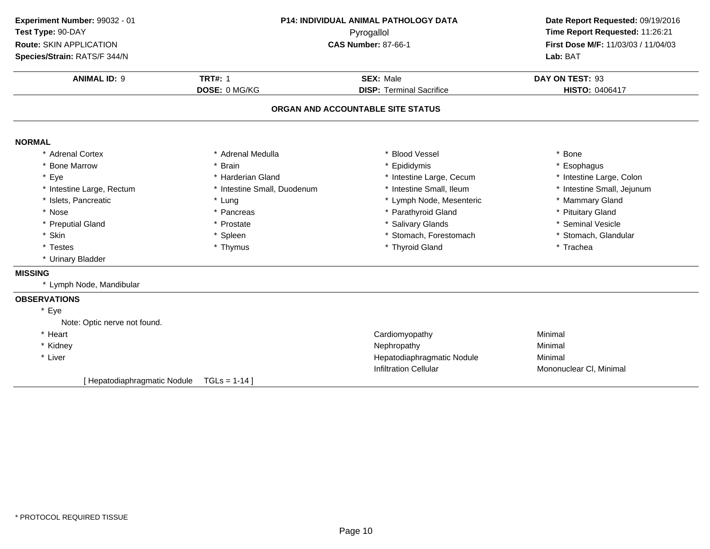| Experiment Number: 99032 - 01<br>Test Type: 90-DAY      | P14: INDIVIDUAL ANIMAL PATHOLOGY DATA |                                                            | Date Report Requested: 09/19/2016<br>Time Report Requested: 11:26:21 |  |
|---------------------------------------------------------|---------------------------------------|------------------------------------------------------------|----------------------------------------------------------------------|--|
| Route: SKIN APPLICATION<br>Species/Strain: RATS/F 344/N |                                       | Pyrogallol<br><b>CAS Number: 87-66-1</b>                   |                                                                      |  |
| <b>ANIMAL ID: 9</b>                                     | <b>TRT#: 1</b>                        | <b>SEX: Male</b>                                           | DAY ON TEST: 93                                                      |  |
|                                                         | DOSE: 0 MG/KG                         | <b>DISP: Terminal Sacrifice</b>                            | HISTO: 0406417                                                       |  |
|                                                         |                                       | ORGAN AND ACCOUNTABLE SITE STATUS                          |                                                                      |  |
| <b>NORMAL</b>                                           |                                       |                                                            |                                                                      |  |
| * Adrenal Cortex                                        | * Adrenal Medulla                     | <b>Blood Vessel</b>                                        | * Bone                                                               |  |
| * Bone Marrow                                           | * Brain                               | Epididymis                                                 | * Esophagus                                                          |  |
| * Eye                                                   | * Harderian Gland                     | * Intestine Large, Cecum                                   | * Intestine Large, Colon                                             |  |
| * Intestine Large, Rectum                               | * Intestine Small, Duodenum           | * Intestine Small, Ileum                                   | * Intestine Small, Jejunum                                           |  |
| * Islets, Pancreatic                                    | * Lung                                | * Lymph Node, Mesenteric                                   | * Mammary Gland                                                      |  |
| * Nose                                                  | * Pancreas                            | * Parathyroid Gland                                        | * Pituitary Gland                                                    |  |
| * Preputial Gland                                       | * Prostate                            | * Salivary Glands                                          | * Seminal Vesicle                                                    |  |
| * Skin                                                  | * Spleen                              | * Stomach, Forestomach                                     | * Stomach, Glandular                                                 |  |
| * Testes                                                | * Thymus                              | * Thyroid Gland                                            | * Trachea                                                            |  |
| * Urinary Bladder                                       |                                       |                                                            |                                                                      |  |
| <b>MISSING</b>                                          |                                       |                                                            |                                                                      |  |
| * Lymph Node, Mandibular                                |                                       |                                                            |                                                                      |  |
| <b>OBSERVATIONS</b>                                     |                                       |                                                            |                                                                      |  |
| * Eye<br>Note: Optic nerve not found.                   |                                       |                                                            |                                                                      |  |
| * Heart                                                 |                                       | Cardiomyopathy                                             | Minimal                                                              |  |
| * Kidney                                                |                                       | Nephropathy                                                | Minimal                                                              |  |
| * Liver                                                 |                                       | Hepatodiaphragmatic Nodule<br><b>Infiltration Cellular</b> | Minimal<br>Mononuclear CI, Minimal                                   |  |

[ Hepatodiaphragmatic Nodule TGLs = 1-14 ]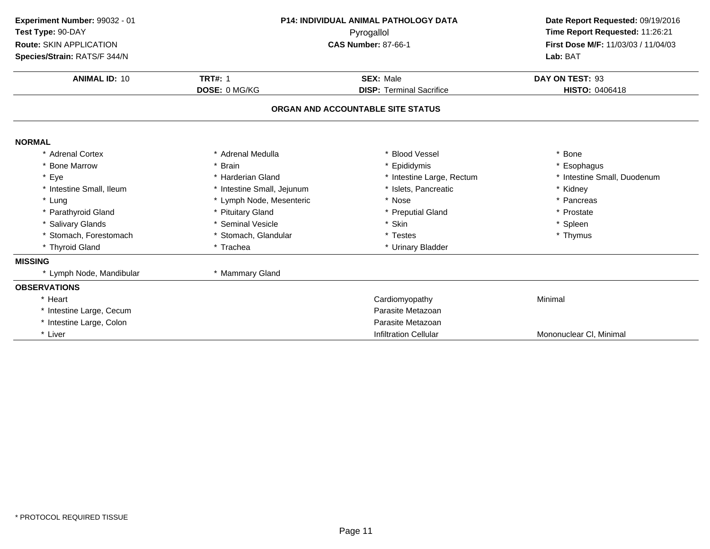| Experiment Number: 99032 - 01<br>Test Type: 90-DAY<br>Route: SKIN APPLICATION<br>Species/Strain: RATS/F 344/N | <b>P14: INDIVIDUAL ANIMAL PATHOLOGY DATA</b><br>Pyrogallol<br><b>CAS Number: 87-66-1</b> |                                                     | Date Report Requested: 09/19/2016<br>Time Report Requested: 11:26:21<br>First Dose M/F: 11/03/03 / 11/04/03<br>Lab: BAT |
|---------------------------------------------------------------------------------------------------------------|------------------------------------------------------------------------------------------|-----------------------------------------------------|-------------------------------------------------------------------------------------------------------------------------|
| <b>ANIMAL ID: 10</b>                                                                                          | <b>TRT#: 1</b><br>DOSE: 0 MG/KG                                                          | <b>SEX: Male</b><br><b>DISP: Terminal Sacrifice</b> | DAY ON TEST: 93<br>HISTO: 0406418                                                                                       |
|                                                                                                               |                                                                                          | ORGAN AND ACCOUNTABLE SITE STATUS                   |                                                                                                                         |
| <b>NORMAL</b>                                                                                                 |                                                                                          |                                                     |                                                                                                                         |
| * Adrenal Cortex                                                                                              | * Adrenal Medulla                                                                        | * Blood Vessel                                      | * Bone                                                                                                                  |
| * Bone Marrow                                                                                                 | * Brain                                                                                  | * Epididymis                                        | * Esophagus                                                                                                             |
| * Eye                                                                                                         | * Harderian Gland                                                                        | * Intestine Large, Rectum                           | * Intestine Small, Duodenum                                                                                             |
| * Intestine Small, Ileum                                                                                      | * Intestine Small, Jejunum                                                               | Islets, Pancreatic                                  | * Kidney                                                                                                                |
| * Lung                                                                                                        | * Lymph Node, Mesenteric                                                                 | * Nose                                              | * Pancreas                                                                                                              |
| * Parathyroid Gland                                                                                           | * Pituitary Gland                                                                        | * Preputial Gland                                   | * Prostate                                                                                                              |
| * Salivary Glands                                                                                             | * Seminal Vesicle                                                                        | * Skin                                              | * Spleen                                                                                                                |
| * Stomach, Forestomach                                                                                        | * Stomach, Glandular                                                                     | * Testes                                            | * Thymus                                                                                                                |
| * Thyroid Gland                                                                                               | * Trachea                                                                                | * Urinary Bladder                                   |                                                                                                                         |
| <b>MISSING</b>                                                                                                |                                                                                          |                                                     |                                                                                                                         |
| * Lymph Node, Mandibular                                                                                      | * Mammary Gland                                                                          |                                                     |                                                                                                                         |
| <b>OBSERVATIONS</b>                                                                                           |                                                                                          |                                                     |                                                                                                                         |
| * Heart                                                                                                       |                                                                                          | Cardiomyopathy                                      | Minimal                                                                                                                 |
| * Intestine Large, Cecum                                                                                      |                                                                                          | Parasite Metazoan                                   |                                                                                                                         |
| * Intestine Large, Colon                                                                                      |                                                                                          | Parasite Metazoan                                   |                                                                                                                         |
| * Liver                                                                                                       |                                                                                          | <b>Infiltration Cellular</b>                        | Mononuclear CI, Minimal                                                                                                 |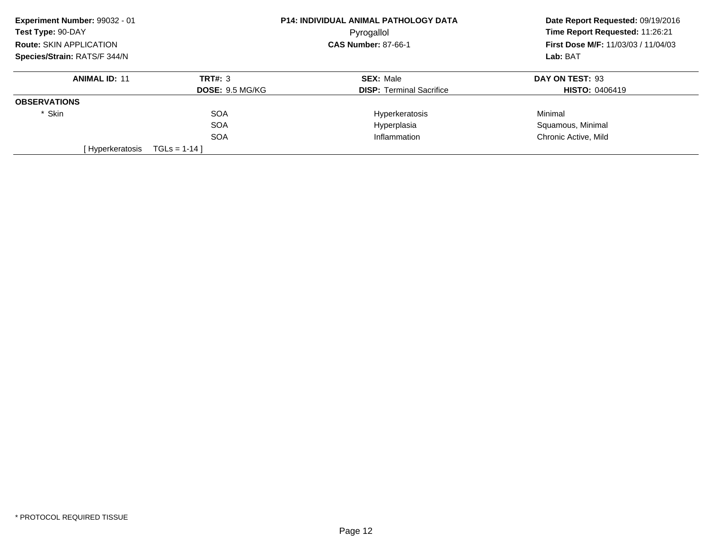| Experiment Number: 99032 - 01<br>P14: INDIVIDUAL ANIMAL PATHOLOGY DATA<br>Test Type: 90-DAY<br>Pyrogallol |                        | Date Report Requested: 09/19/2016 |                                            |
|-----------------------------------------------------------------------------------------------------------|------------------------|-----------------------------------|--------------------------------------------|
|                                                                                                           |                        |                                   | Time Report Requested: 11:26:21            |
| <b>Route: SKIN APPLICATION</b>                                                                            |                        | <b>CAS Number: 87-66-1</b>        | <b>First Dose M/F: 11/03/03 / 11/04/03</b> |
| Species/Strain: RATS/F 344/N                                                                              |                        |                                   | Lab: BAT                                   |
| <b>ANIMAL ID: 11</b>                                                                                      | TRT#: 3                | <b>SEX: Male</b>                  | DAY ON TEST: 93                            |
|                                                                                                           | <b>DOSE: 9.5 MG/KG</b> | <b>DISP:</b> Terminal Sacrifice   | <b>HISTO: 0406419</b>                      |
| <b>OBSERVATIONS</b>                                                                                       |                        |                                   |                                            |
| * Skin                                                                                                    | <b>SOA</b>             | Hyperkeratosis                    | Minimal                                    |
|                                                                                                           | <b>SOA</b>             | Hyperplasia                       | Squamous, Minimal                          |
|                                                                                                           | <b>SOA</b>             | Inflammation                      | Chronic Active, Mild                       |
| [Hyperkeratosis                                                                                           | $TGLS = 1-14$          |                                   |                                            |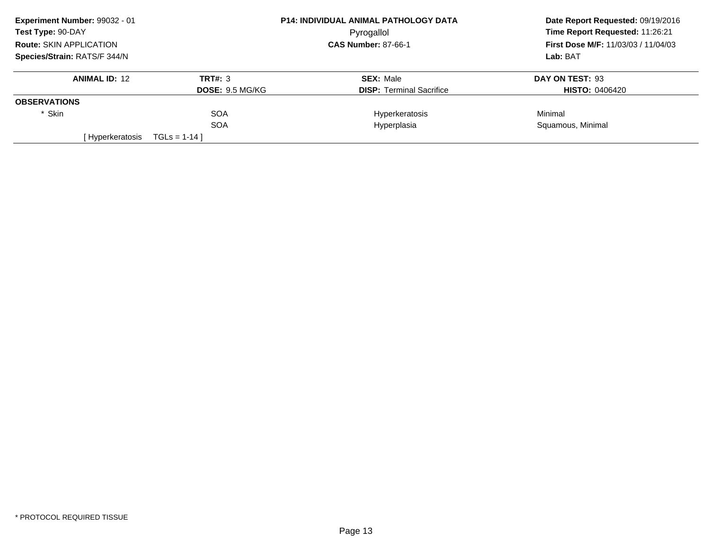| Experiment Number: 99032 - 01  | <b>P14: INDIVIDUAL ANIMAL PATHOLOGY DATA</b> |                                 | Date Report Requested: 09/19/2016          |  |
|--------------------------------|----------------------------------------------|---------------------------------|--------------------------------------------|--|
| Test Type: 90-DAY              |                                              | Pyrogallol                      | Time Report Requested: 11:26:21            |  |
| <b>Route: SKIN APPLICATION</b> |                                              | <b>CAS Number: 87-66-1</b>      | <b>First Dose M/F: 11/03/03 / 11/04/03</b> |  |
| Species/Strain: RATS/F 344/N   |                                              |                                 | Lab: BAT                                   |  |
| <b>ANIMAL ID: 12</b>           | TRT#: 3                                      | <b>SEX: Male</b>                | DAY ON TEST: 93                            |  |
|                                | <b>DOSE: 9.5 MG/KG</b>                       | <b>DISP:</b> Terminal Sacrifice | <b>HISTO: 0406420</b>                      |  |
| <b>OBSERVATIONS</b>            |                                              |                                 |                                            |  |
| * Skin                         | <b>SOA</b>                                   | Hyperkeratosis                  | Minimal                                    |  |
|                                | <b>SOA</b>                                   | Hyperplasia                     | Squamous, Minimal                          |  |
| [ Hyperkeratosis               | $TGLS = 1-14$                                |                                 |                                            |  |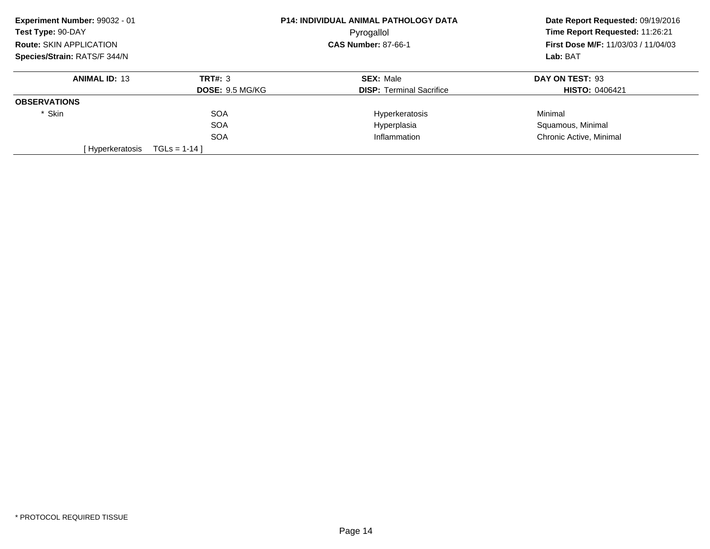| Experiment Number: 99032 - 01  |                        | <b>P14: INDIVIDUAL ANIMAL PATHOLOGY DATA</b> | Date Report Requested: 09/19/2016<br>Time Report Requested: 11:26:21<br><b>First Dose M/F: 11/03/03 / 11/04/03</b><br>Lab: BAT |
|--------------------------------|------------------------|----------------------------------------------|--------------------------------------------------------------------------------------------------------------------------------|
| Test Type: 90-DAY              |                        | Pyrogallol                                   |                                                                                                                                |
| <b>Route: SKIN APPLICATION</b> |                        | <b>CAS Number: 87-66-1</b>                   |                                                                                                                                |
| Species/Strain: RATS/F 344/N   |                        |                                              |                                                                                                                                |
| <b>ANIMAL ID: 13</b>           | TRT#: 3                | <b>SEX: Male</b>                             | DAY ON TEST: 93                                                                                                                |
|                                | <b>DOSE: 9.5 MG/KG</b> | <b>DISP:</b> Terminal Sacrifice              | <b>HISTO: 0406421</b>                                                                                                          |
| <b>OBSERVATIONS</b>            |                        |                                              |                                                                                                                                |
| * Skin                         | <b>SOA</b>             | Hyperkeratosis                               | Minimal                                                                                                                        |
|                                | <b>SOA</b>             | Hyperplasia                                  | Squamous, Minimal                                                                                                              |
|                                | <b>SOA</b>             | Inflammation                                 | Chronic Active, Minimal                                                                                                        |
| [ Hyperkeratosis               | $TGLS = 1-14$          |                                              |                                                                                                                                |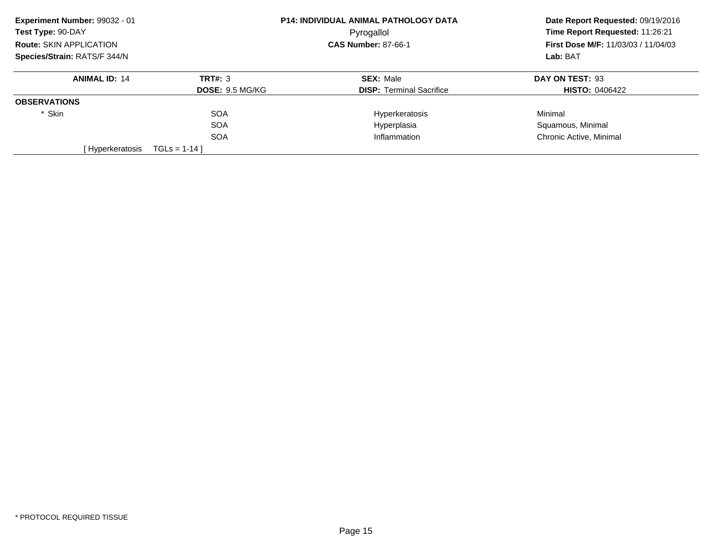| Experiment Number: 99032 - 01  |                        | <b>P14: INDIVIDUAL ANIMAL PATHOLOGY DATA</b> | Date Report Requested: 09/19/2016<br>Time Report Requested: 11:26:21<br><b>First Dose M/F: 11/03/03 / 11/04/03</b> |  |
|--------------------------------|------------------------|----------------------------------------------|--------------------------------------------------------------------------------------------------------------------|--|
| Test Type: 90-DAY              |                        | Pyrogallol                                   |                                                                                                                    |  |
| <b>Route: SKIN APPLICATION</b> |                        | <b>CAS Number: 87-66-1</b>                   |                                                                                                                    |  |
| Species/Strain: RATS/F 344/N   |                        |                                              | Lab: BAT                                                                                                           |  |
| <b>ANIMAL ID: 14</b>           | TRT#: 3                | <b>SEX: Male</b>                             | DAY ON TEST: 93                                                                                                    |  |
|                                | <b>DOSE: 9.5 MG/KG</b> | <b>DISP:</b> Terminal Sacrifice              | <b>HISTO: 0406422</b>                                                                                              |  |
| <b>OBSERVATIONS</b>            |                        |                                              |                                                                                                                    |  |
| * Skin                         | <b>SOA</b>             | Hyperkeratosis                               | Minimal                                                                                                            |  |
|                                | <b>SOA</b>             | Hyperplasia                                  | Squamous, Minimal                                                                                                  |  |
|                                | <b>SOA</b>             | Inflammation                                 | Chronic Active, Minimal                                                                                            |  |
| [ Hyperkeratosis               | $TGLS = 1-14$          |                                              |                                                                                                                    |  |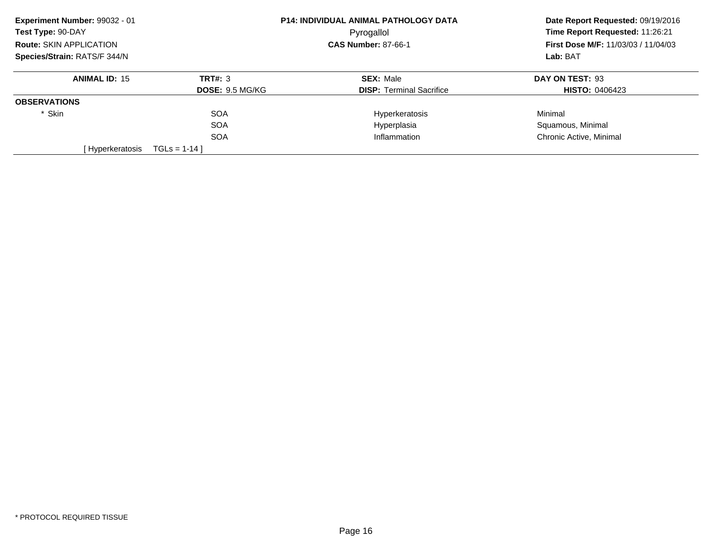| Experiment Number: 99032 - 01  |                        | <b>P14: INDIVIDUAL ANIMAL PATHOLOGY DATA</b> | Date Report Requested: 09/19/2016<br>Time Report Requested: 11:26:21<br><b>First Dose M/F: 11/03/03 / 11/04/03</b> |  |
|--------------------------------|------------------------|----------------------------------------------|--------------------------------------------------------------------------------------------------------------------|--|
| Test Type: 90-DAY              |                        | Pyrogallol                                   |                                                                                                                    |  |
| <b>Route: SKIN APPLICATION</b> |                        | <b>CAS Number: 87-66-1</b>                   |                                                                                                                    |  |
| Species/Strain: RATS/F 344/N   |                        |                                              | Lab: BAT                                                                                                           |  |
| <b>ANIMAL ID: 15</b>           | TRT#: 3                | <b>SEX: Male</b>                             | DAY ON TEST: 93                                                                                                    |  |
|                                | <b>DOSE: 9.5 MG/KG</b> | <b>DISP:</b> Terminal Sacrifice              | <b>HISTO: 0406423</b>                                                                                              |  |
| <b>OBSERVATIONS</b>            |                        |                                              |                                                                                                                    |  |
| * Skin                         | <b>SOA</b>             | Hyperkeratosis                               | Minimal                                                                                                            |  |
|                                | <b>SOA</b>             | Hyperplasia                                  | Squamous, Minimal                                                                                                  |  |
|                                | <b>SOA</b>             | Inflammation                                 | Chronic Active, Minimal                                                                                            |  |
| [ Hyperkeratosis               | $TGLS = 1-14$          |                                              |                                                                                                                    |  |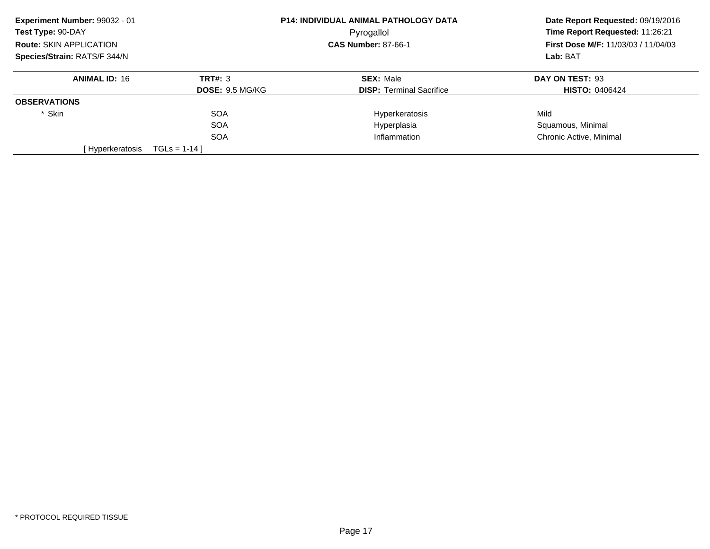| Experiment Number: 99032 - 01  |                        | <b>P14: INDIVIDUAL ANIMAL PATHOLOGY DATA</b> | Date Report Requested: 09/19/2016<br>Time Report Requested: 11:26:21 |
|--------------------------------|------------------------|----------------------------------------------|----------------------------------------------------------------------|
| Test Type: 90-DAY              |                        | Pyrogallol                                   |                                                                      |
| <b>Route: SKIN APPLICATION</b> |                        | <b>CAS Number: 87-66-1</b>                   | <b>First Dose M/F: 11/03/03 / 11/04/03</b>                           |
| Species/Strain: RATS/F 344/N   |                        |                                              | Lab: BAT                                                             |
| <b>ANIMAL ID: 16</b>           | TRT#: 3                | <b>SEX: Male</b>                             | DAY ON TEST: 93                                                      |
|                                | <b>DOSE: 9.5 MG/KG</b> | <b>DISP:</b> Terminal Sacrifice              | <b>HISTO: 0406424</b>                                                |
| <b>OBSERVATIONS</b>            |                        |                                              |                                                                      |
| * Skin                         | <b>SOA</b>             | Hyperkeratosis                               | Mild                                                                 |
|                                | <b>SOA</b>             | Hyperplasia                                  | Squamous, Minimal                                                    |
|                                | <b>SOA</b>             | Inflammation                                 | Chronic Active, Minimal                                              |
| [ Hyperkeratosis               | $TGLS = 1-14$          |                                              |                                                                      |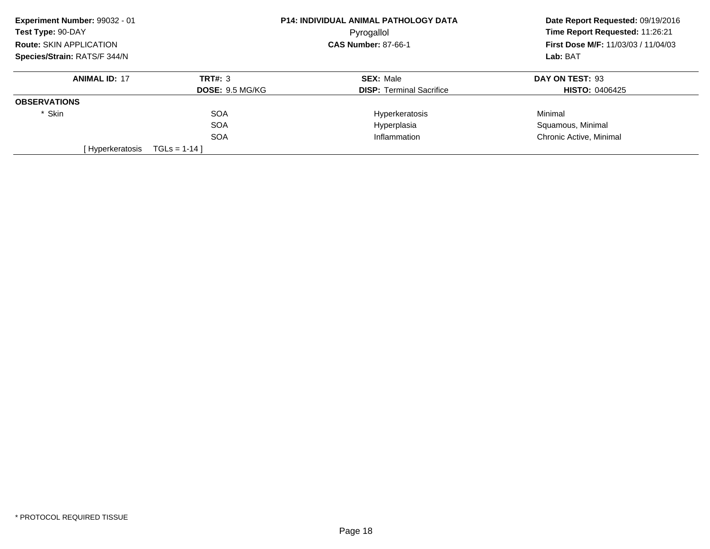| Experiment Number: 99032 - 01  |                        | <b>P14: INDIVIDUAL ANIMAL PATHOLOGY DATA</b> | Date Report Requested: 09/19/2016<br>Time Report Requested: 11:26:21 |  |
|--------------------------------|------------------------|----------------------------------------------|----------------------------------------------------------------------|--|
| Test Type: 90-DAY              |                        | Pyrogallol                                   |                                                                      |  |
| <b>Route: SKIN APPLICATION</b> |                        | <b>CAS Number: 87-66-1</b>                   | <b>First Dose M/F: 11/03/03 / 11/04/03</b>                           |  |
| Species/Strain: RATS/F 344/N   |                        |                                              | Lab: BAT                                                             |  |
| <b>ANIMAL ID: 17</b>           | TRT#: 3                | <b>SEX: Male</b>                             | DAY ON TEST: 93                                                      |  |
|                                | <b>DOSE: 9.5 MG/KG</b> | <b>DISP:</b> Terminal Sacrifice              | <b>HISTO: 0406425</b>                                                |  |
| <b>OBSERVATIONS</b>            |                        |                                              |                                                                      |  |
| * Skin                         | <b>SOA</b>             | Hyperkeratosis                               | Minimal                                                              |  |
|                                | <b>SOA</b>             | Hyperplasia                                  | Squamous, Minimal                                                    |  |
|                                | <b>SOA</b>             | Inflammation                                 | Chronic Active, Minimal                                              |  |
| [Hyperkeratosis                | $TGLS = 1-14$          |                                              |                                                                      |  |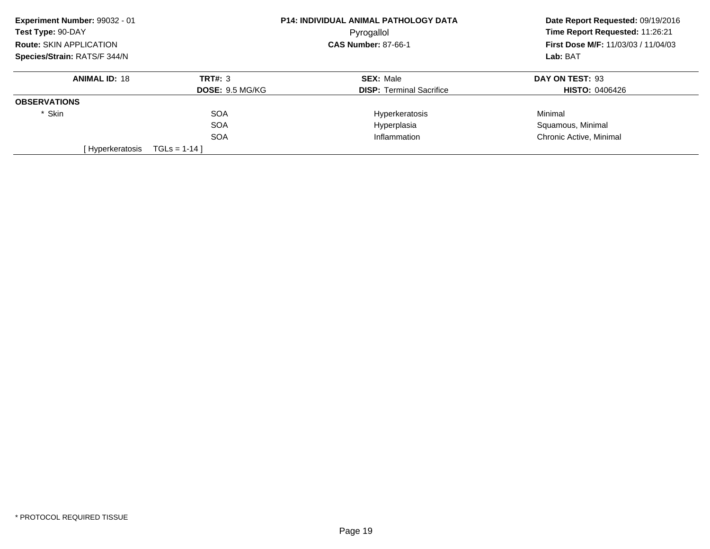| Experiment Number: 99032 - 01  |                        | <b>P14: INDIVIDUAL ANIMAL PATHOLOGY DATA</b> | Date Report Requested: 09/19/2016<br>Time Report Requested: 11:26:21<br><b>First Dose M/F: 11/03/03 / 11/04/03</b> |  |
|--------------------------------|------------------------|----------------------------------------------|--------------------------------------------------------------------------------------------------------------------|--|
| Test Type: 90-DAY              |                        | Pyrogallol                                   |                                                                                                                    |  |
| <b>Route: SKIN APPLICATION</b> |                        | <b>CAS Number: 87-66-1</b>                   |                                                                                                                    |  |
| Species/Strain: RATS/F 344/N   |                        |                                              | Lab: BAT                                                                                                           |  |
| <b>ANIMAL ID: 18</b>           | TRT#: 3                | <b>SEX: Male</b>                             | DAY ON TEST: 93                                                                                                    |  |
|                                | <b>DOSE: 9.5 MG/KG</b> | <b>DISP:</b> Terminal Sacrifice              | <b>HISTO: 0406426</b>                                                                                              |  |
| <b>OBSERVATIONS</b>            |                        |                                              |                                                                                                                    |  |
| * Skin                         | <b>SOA</b>             | Hyperkeratosis                               | Minimal                                                                                                            |  |
|                                | <b>SOA</b>             | Hyperplasia                                  | Squamous, Minimal                                                                                                  |  |
|                                | <b>SOA</b>             | Inflammation                                 | Chronic Active, Minimal                                                                                            |  |
| [ Hyperkeratosis               | $TGLS = 1-14$          |                                              |                                                                                                                    |  |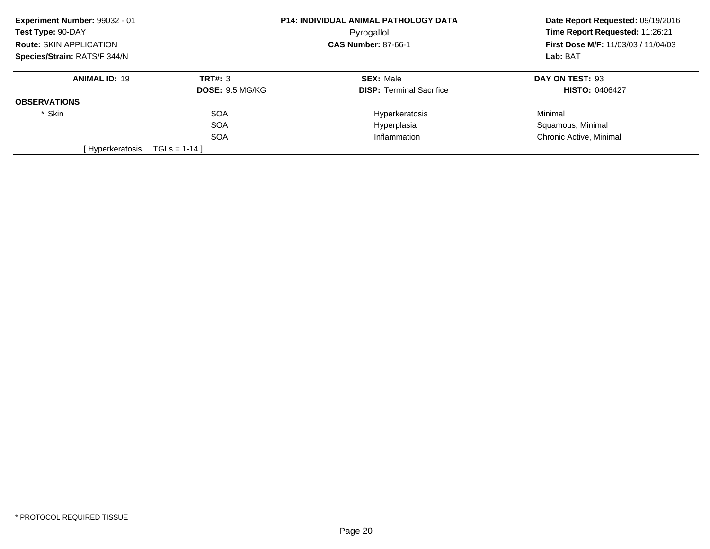| Experiment Number: 99032 - 01  |                        | <b>P14: INDIVIDUAL ANIMAL PATHOLOGY DATA</b> | Date Report Requested: 09/19/2016<br>Time Report Requested: 11:26:21<br><b>First Dose M/F: 11/03/03 / 11/04/03</b> |  |
|--------------------------------|------------------------|----------------------------------------------|--------------------------------------------------------------------------------------------------------------------|--|
| Test Type: 90-DAY              |                        | Pyrogallol                                   |                                                                                                                    |  |
| <b>Route: SKIN APPLICATION</b> |                        | <b>CAS Number: 87-66-1</b>                   |                                                                                                                    |  |
| Species/Strain: RATS/F 344/N   |                        |                                              | Lab: BAT                                                                                                           |  |
| <b>ANIMAL ID: 19</b>           | TRT#: 3                | <b>SEX: Male</b>                             | DAY ON TEST: 93                                                                                                    |  |
|                                | <b>DOSE: 9.5 MG/KG</b> | <b>DISP:</b> Terminal Sacrifice              | <b>HISTO: 0406427</b>                                                                                              |  |
| <b>OBSERVATIONS</b>            |                        |                                              |                                                                                                                    |  |
| * Skin                         | <b>SOA</b>             | Hyperkeratosis                               | Minimal                                                                                                            |  |
|                                | <b>SOA</b>             | Hyperplasia                                  | Squamous, Minimal                                                                                                  |  |
|                                | <b>SOA</b>             | Inflammation                                 | Chronic Active, Minimal                                                                                            |  |
| [ Hyperkeratosis               | $TGLS = 1-14$          |                                              |                                                                                                                    |  |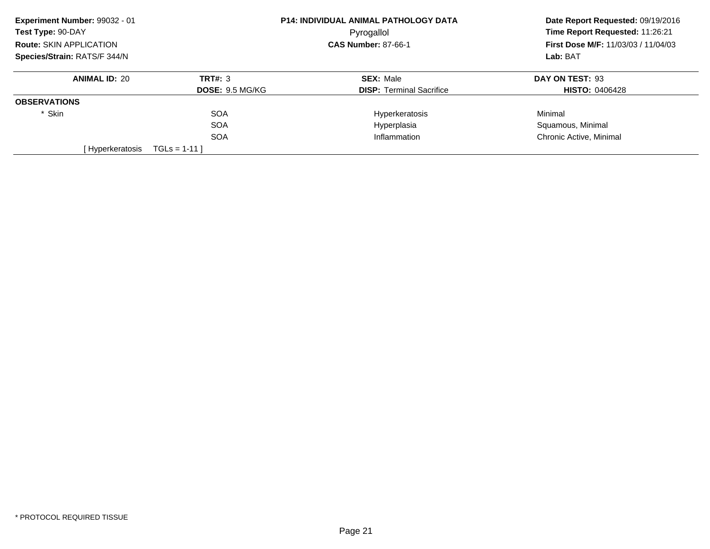| Experiment Number: 99032 - 01  |                        | <b>P14: INDIVIDUAL ANIMAL PATHOLOGY DATA</b> | Date Report Requested: 09/19/2016<br>Time Report Requested: 11:26:21<br><b>First Dose M/F: 11/03/03 / 11/04/03</b> |  |
|--------------------------------|------------------------|----------------------------------------------|--------------------------------------------------------------------------------------------------------------------|--|
| Test Type: 90-DAY              |                        | Pyrogallol                                   |                                                                                                                    |  |
| <b>Route: SKIN APPLICATION</b> |                        | <b>CAS Number: 87-66-1</b>                   |                                                                                                                    |  |
| Species/Strain: RATS/F 344/N   |                        |                                              | Lab: BAT                                                                                                           |  |
| <b>ANIMAL ID: 20</b>           | TRT#: 3                | <b>SEX: Male</b>                             | DAY ON TEST: 93                                                                                                    |  |
|                                | <b>DOSE: 9.5 MG/KG</b> | <b>DISP:</b> Terminal Sacrifice              | <b>HISTO: 0406428</b>                                                                                              |  |
| <b>OBSERVATIONS</b>            |                        |                                              |                                                                                                                    |  |
| * Skin                         | <b>SOA</b>             | Hyperkeratosis                               | Minimal                                                                                                            |  |
|                                | <b>SOA</b>             | Hyperplasia                                  | Squamous, Minimal                                                                                                  |  |
|                                | <b>SOA</b>             | Inflammation                                 | Chronic Active, Minimal                                                                                            |  |
| [Hyperkeratosis                | $TGLS = 1-11$          |                                              |                                                                                                                    |  |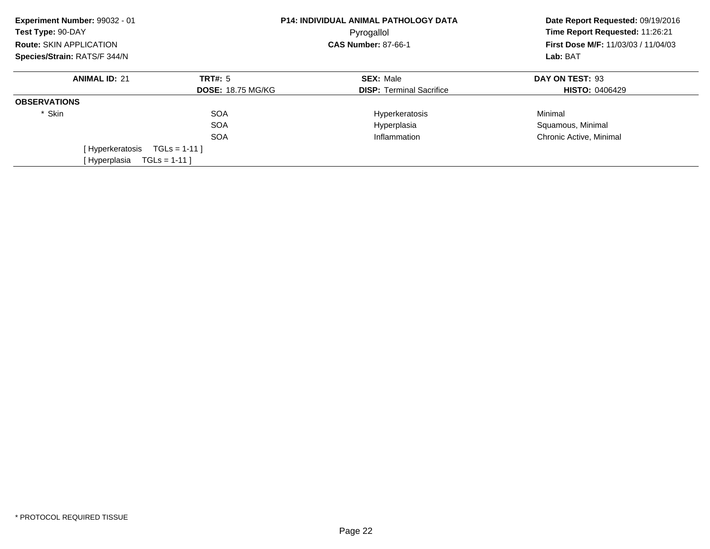| Experiment Number: 99032 - 01<br>Test Type: 90-DAY |                          | <b>P14: INDIVIDUAL ANIMAL PATHOLOGY DATA</b><br>Pyrogallol |                                                                                    |
|----------------------------------------------------|--------------------------|------------------------------------------------------------|------------------------------------------------------------------------------------|
| Route: SKIN APPLICATION                            |                          | <b>CAS Number: 87-66-1</b>                                 | Time Report Requested: 11:26:21<br>First Dose M/F: 11/03/03 / 11/04/03<br>Lab: BAT |
| Species/Strain: RATS/F 344/N                       |                          |                                                            |                                                                                    |
| <b>ANIMAL ID: 21</b>                               | <b>TRT#: 5</b>           | <b>SEX: Male</b>                                           | DAY ON TEST: 93                                                                    |
|                                                    | <b>DOSE: 18.75 MG/KG</b> | <b>DISP: Terminal Sacrifice</b>                            | <b>HISTO: 0406429</b>                                                              |
| <b>OBSERVATIONS</b>                                |                          |                                                            |                                                                                    |
| * Skin                                             | <b>SOA</b>               | Hyperkeratosis                                             | Minimal                                                                            |
|                                                    | <b>SOA</b>               | Hyperplasia                                                | Squamous, Minimal                                                                  |
|                                                    | <b>SOA</b>               | Inflammation                                               | Chronic Active, Minimal                                                            |
| [Hyperkeratosis                                    | $TGLS = 1-11$            |                                                            |                                                                                    |
| [Hyperplasia                                       | $TGLS = 1-11$            |                                                            |                                                                                    |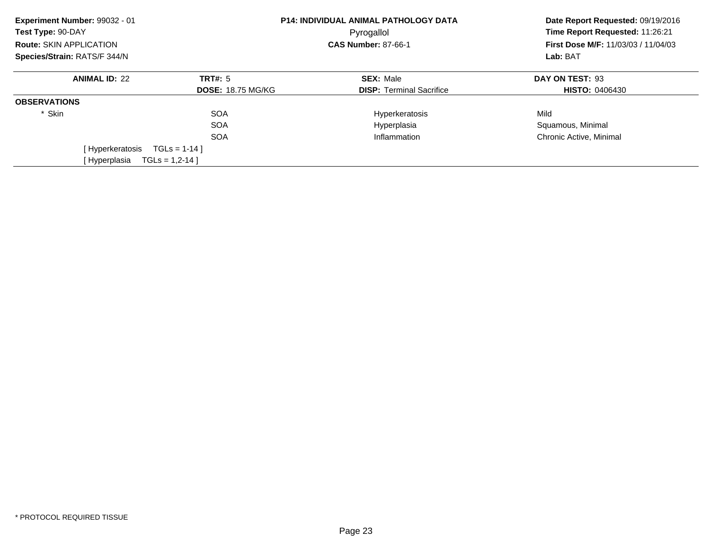| Experiment Number: 99032 - 01<br>Test Type: 90-DAY | <b>P14: INDIVIDUAL ANIMAL PATHOLOGY DATA</b><br>Pyrogallol |                                 | Date Report Requested: 09/19/2016<br>Time Report Requested: 11:26:21 |
|----------------------------------------------------|------------------------------------------------------------|---------------------------------|----------------------------------------------------------------------|
| Route: SKIN APPLICATION                            |                                                            | <b>CAS Number: 87-66-1</b>      | First Dose M/F: 11/03/03 / 11/04/03<br>Lab: BAT                      |
| Species/Strain: RATS/F 344/N                       |                                                            |                                 |                                                                      |
| <b>ANIMAL ID: 22</b>                               | <b>TRT#: 5</b>                                             | <b>SEX: Male</b>                | DAY ON TEST: 93                                                      |
|                                                    | <b>DOSE: 18.75 MG/KG</b>                                   | <b>DISP: Terminal Sacrifice</b> | <b>HISTO: 0406430</b>                                                |
| <b>OBSERVATIONS</b>                                |                                                            |                                 |                                                                      |
| * Skin                                             | <b>SOA</b>                                                 | Hyperkeratosis                  | Mild                                                                 |
|                                                    | <b>SOA</b>                                                 | Hyperplasia                     | Squamous, Minimal                                                    |
|                                                    | <b>SOA</b>                                                 | Inflammation                    | Chronic Active, Minimal                                              |
| [Hyperkeratosis                                    | $TGLS = 1-14$                                              |                                 |                                                                      |
| [Hyperplasia                                       | $TGLs = 1,2-14$                                            |                                 |                                                                      |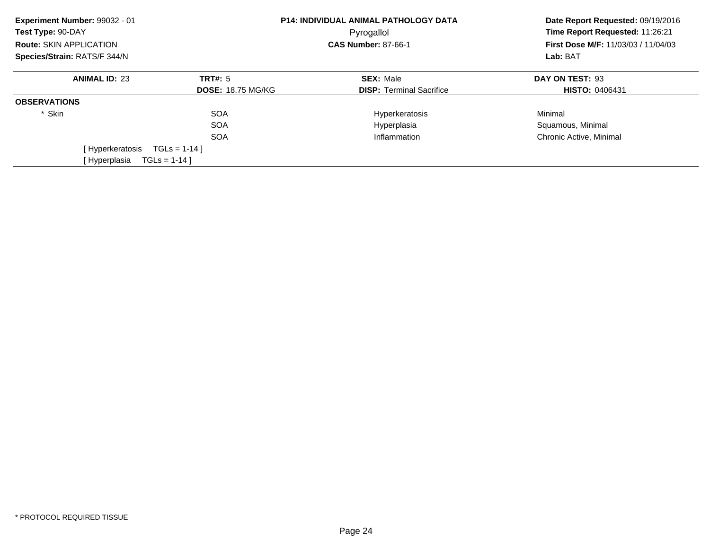| Experiment Number: 99032 - 01<br>Test Type: 90-DAY | <b>P14: INDIVIDUAL ANIMAL PATHOLOGY DATA</b><br>Pyrogallol |                                 | Date Report Requested: 09/19/2016<br>Time Report Requested: 11:26:21 |
|----------------------------------------------------|------------------------------------------------------------|---------------------------------|----------------------------------------------------------------------|
| Route: SKIN APPLICATION                            |                                                            | <b>CAS Number: 87-66-1</b>      | <b>First Dose M/F: 11/03/03 / 11/04/03</b><br>Lab: BAT               |
| Species/Strain: RATS/F 344/N                       |                                                            |                                 |                                                                      |
| <b>ANIMAL ID: 23</b>                               | <b>TRT#: 5</b>                                             | <b>SEX: Male</b>                | DAY ON TEST: 93                                                      |
|                                                    | <b>DOSE: 18.75 MG/KG</b>                                   | <b>DISP:</b> Terminal Sacrifice | <b>HISTO: 0406431</b>                                                |
| <b>OBSERVATIONS</b>                                |                                                            |                                 |                                                                      |
| * Skin                                             | <b>SOA</b>                                                 | Hyperkeratosis                  | Minimal                                                              |
|                                                    | <b>SOA</b>                                                 | Hyperplasia                     | Squamous, Minimal                                                    |
|                                                    | <b>SOA</b>                                                 | Inflammation                    | Chronic Active, Minimal                                              |
| [Hyperkeratosis                                    | $TGLS = 1-14$                                              |                                 |                                                                      |
| [Hyperplasia                                       | $TGLS = 1-14$ ]                                            |                                 |                                                                      |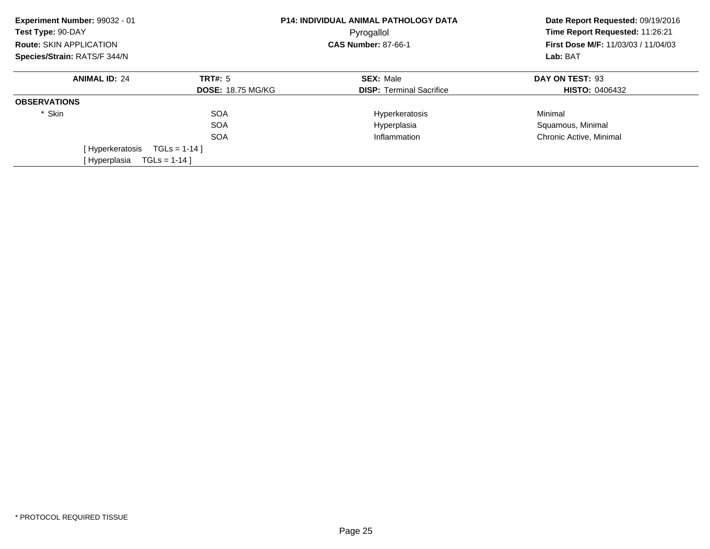| Experiment Number: 99032 - 01<br>Test Type: 90-DAY | <b>P14: INDIVIDUAL ANIMAL PATHOLOGY DATA</b><br>Pyrogallol |                                 | Date Report Requested: 09/19/2016<br>Time Report Requested: 11:26:21 |
|----------------------------------------------------|------------------------------------------------------------|---------------------------------|----------------------------------------------------------------------|
| Route: SKIN APPLICATION                            |                                                            | <b>CAS Number: 87-66-1</b>      | First Dose M/F: 11/03/03 / 11/04/03<br>Lab: BAT                      |
| Species/Strain: RATS/F 344/N                       |                                                            |                                 |                                                                      |
| <b>ANIMAL ID: 24</b>                               | <b>TRT#: 5</b>                                             | <b>SEX: Male</b>                | DAY ON TEST: 93                                                      |
|                                                    | <b>DOSE: 18.75 MG/KG</b>                                   | <b>DISP: Terminal Sacrifice</b> | <b>HISTO: 0406432</b>                                                |
| <b>OBSERVATIONS</b>                                |                                                            |                                 |                                                                      |
| * Skin                                             | <b>SOA</b>                                                 | Hyperkeratosis                  | Minimal                                                              |
|                                                    | <b>SOA</b>                                                 | Hyperplasia                     | Squamous, Minimal                                                    |
|                                                    | <b>SOA</b>                                                 | Inflammation                    | Chronic Active, Minimal                                              |
| [Hyperkeratosis                                    | $TGLs = 1-14$                                              |                                 |                                                                      |
| [Hyperplasia                                       | $TGLS = 1-14$ ]                                            |                                 |                                                                      |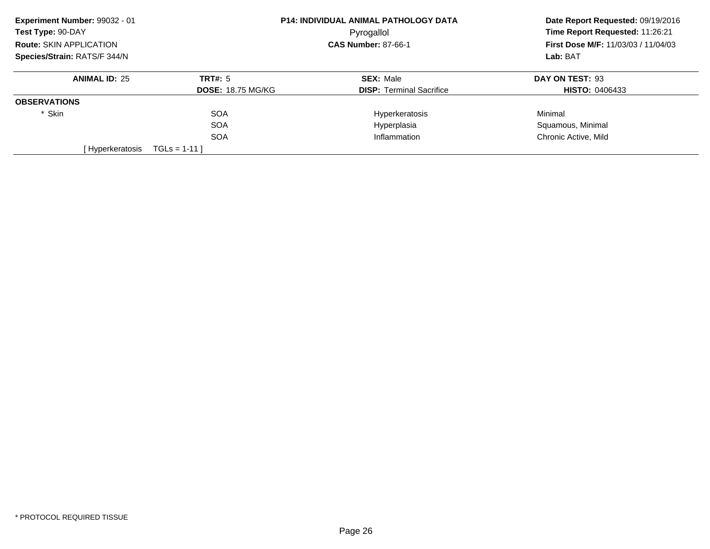| Experiment Number: 99032 - 01  |                          | P14: INDIVIDUAL ANIMAL PATHOLOGY DATA | Date Report Requested: 09/19/2016                      |
|--------------------------------|--------------------------|---------------------------------------|--------------------------------------------------------|
| Test Type: 90-DAY              | Pyrogallol               |                                       | Time Report Requested: 11:26:21                        |
| <b>Route: SKIN APPLICATION</b> |                          | <b>CAS Number: 87-66-1</b>            | <b>First Dose M/F: 11/03/03 / 11/04/03</b><br>Lab: BAT |
| Species/Strain: RATS/F 344/N   |                          |                                       |                                                        |
| <b>ANIMAL ID: 25</b>           | TRT#: 5                  | <b>SEX: Male</b>                      | DAY ON TEST: 93                                        |
|                                | <b>DOSE: 18.75 MG/KG</b> | <b>DISP:</b> Terminal Sacrifice       | <b>HISTO: 0406433</b>                                  |
| <b>OBSERVATIONS</b>            |                          |                                       |                                                        |
| * Skin                         | <b>SOA</b>               | Hyperkeratosis                        | Minimal                                                |
|                                | <b>SOA</b>               | Hyperplasia                           | Squamous, Minimal                                      |
|                                | <b>SOA</b>               | Inflammation                          | Chronic Active, Mild                                   |
| [ Hyperkeratosis               | $TGLS = 1-11$            |                                       |                                                        |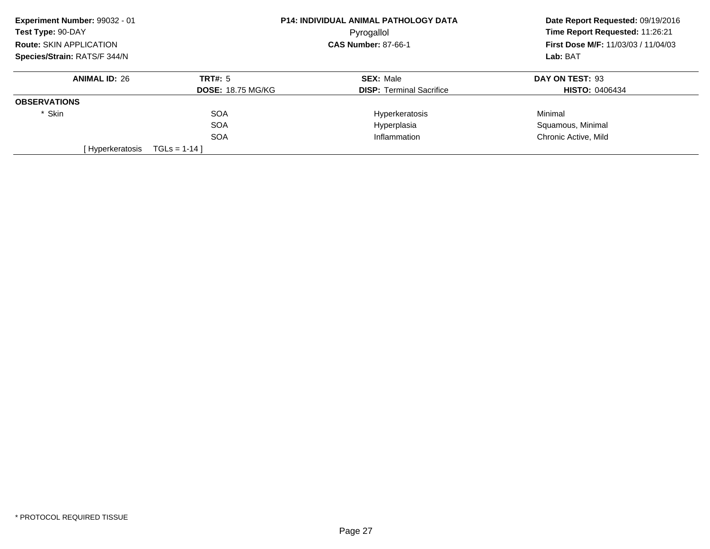| Experiment Number: 99032 - 01  |                          | <b>P14: INDIVIDUAL ANIMAL PATHOLOGY DATA</b> | Date Report Requested: 09/19/2016<br>Time Report Requested: 11:26:21<br>First Dose M/F: 11/03/03 / 11/04/03<br>Lab: BAT |
|--------------------------------|--------------------------|----------------------------------------------|-------------------------------------------------------------------------------------------------------------------------|
| Test Type: 90-DAY              |                          | Pyrogallol                                   |                                                                                                                         |
| <b>Route: SKIN APPLICATION</b> |                          | <b>CAS Number: 87-66-1</b>                   |                                                                                                                         |
| Species/Strain: RATS/F 344/N   |                          |                                              |                                                                                                                         |
| <b>ANIMAL ID: 26</b>           | TRT#: 5                  | <b>SEX: Male</b>                             | DAY ON TEST: 93                                                                                                         |
|                                | <b>DOSE: 18.75 MG/KG</b> | <b>DISP:</b> Terminal Sacrifice              | <b>HISTO: 0406434</b>                                                                                                   |
| <b>OBSERVATIONS</b>            |                          |                                              |                                                                                                                         |
| * Skin                         | <b>SOA</b>               | Hyperkeratosis                               | Minimal                                                                                                                 |
|                                | <b>SOA</b>               | Hyperplasia                                  | Squamous, Minimal                                                                                                       |
|                                | <b>SOA</b>               | Inflammation                                 | Chronic Active, Mild                                                                                                    |
| [ Hyperkeratosis               | $TGLS = 1-14$            |                                              |                                                                                                                         |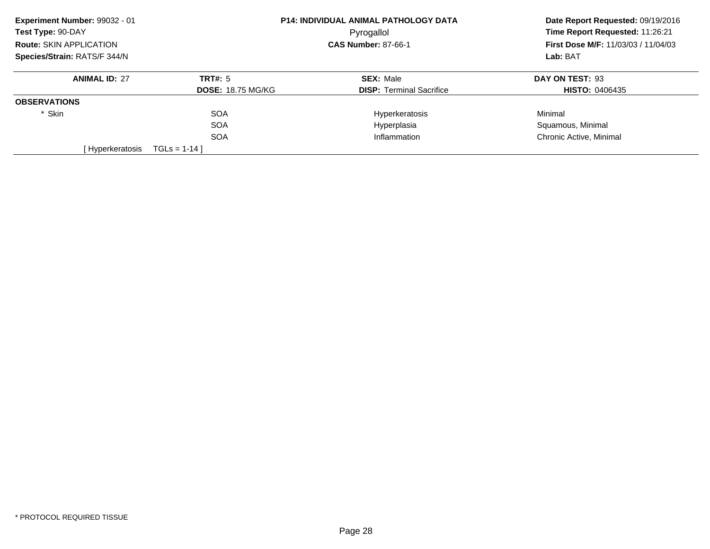| Experiment Number: 99032 - 01  |                          | <b>P14: INDIVIDUAL ANIMAL PATHOLOGY DATA</b> | Date Report Requested: 09/19/2016                      |
|--------------------------------|--------------------------|----------------------------------------------|--------------------------------------------------------|
| Test Type: 90-DAY              | Pyrogallol               |                                              | Time Report Requested: 11:26:21                        |
| <b>Route: SKIN APPLICATION</b> |                          | <b>CAS Number: 87-66-1</b>                   | <b>First Dose M/F: 11/03/03 / 11/04/03</b><br>Lab: BAT |
| Species/Strain: RATS/F 344/N   |                          |                                              |                                                        |
| <b>ANIMAL ID: 27</b>           | TRT#: 5                  | <b>SEX: Male</b>                             | DAY ON TEST: 93                                        |
|                                | <b>DOSE: 18.75 MG/KG</b> | <b>DISP:</b> Terminal Sacrifice              | <b>HISTO: 0406435</b>                                  |
| <b>OBSERVATIONS</b>            |                          |                                              |                                                        |
| * Skin                         | <b>SOA</b>               | Hyperkeratosis                               | Minimal                                                |
|                                | <b>SOA</b>               | Hyperplasia                                  | Squamous, Minimal                                      |
|                                | <b>SOA</b>               | Inflammation                                 | Chronic Active, Minimal                                |
| [Hyperkeratosis                | $TGLS = 1-14$            |                                              |                                                        |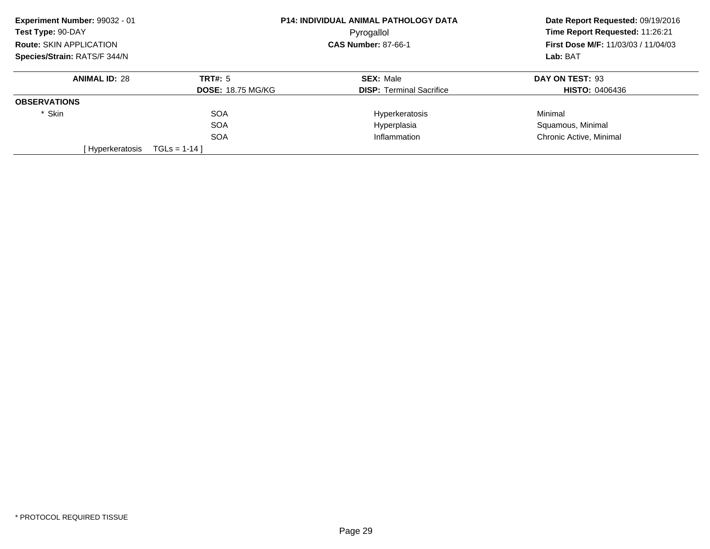| Experiment Number: 99032 - 01  |                          | <b>P14: INDIVIDUAL ANIMAL PATHOLOGY DATA</b> | Date Report Requested: 09/19/2016 |
|--------------------------------|--------------------------|----------------------------------------------|-----------------------------------|
| Test Type: 90-DAY              | Pyrogallol               |                                              | Time Report Requested: 11:26:21   |
| <b>Route: SKIN APPLICATION</b> |                          | <b>CAS Number: 87-66-1</b>                   |                                   |
| Species/Strain: RATS/F 344/N   |                          |                                              | Lab: BAT                          |
| <b>ANIMAL ID: 28</b>           | TRT#: 5                  | <b>SEX: Male</b>                             | DAY ON TEST: 93                   |
|                                | <b>DOSE: 18.75 MG/KG</b> | <b>DISP:</b> Terminal Sacrifice              | <b>HISTO: 0406436</b>             |
| <b>OBSERVATIONS</b>            |                          |                                              |                                   |
| * Skin                         | <b>SOA</b>               | Hyperkeratosis                               | Minimal                           |
|                                | <b>SOA</b>               | Hyperplasia                                  | Squamous, Minimal                 |
|                                | <b>SOA</b>               | Inflammation                                 | Chronic Active, Minimal           |
| [Hyperkeratosis                | $TGLS = 1-14$            |                                              |                                   |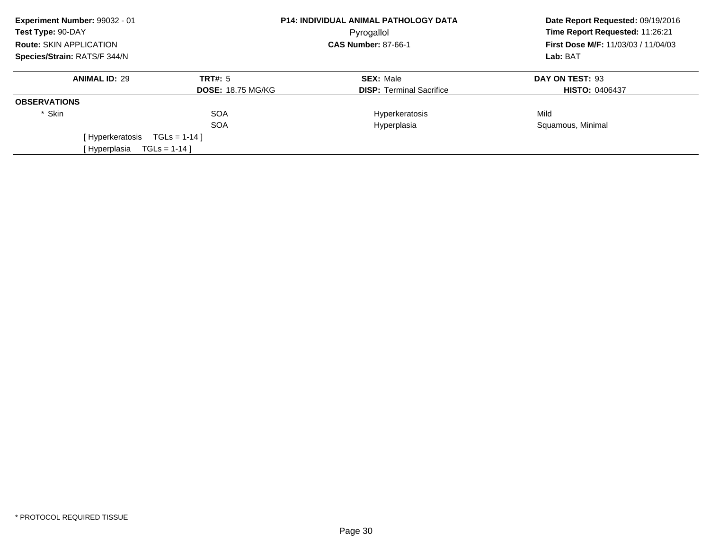| Experiment Number: 99032 - 01<br>Test Type: 90-DAY |                          | <b>P14: INDIVIDUAL ANIMAL PATHOLOGY DATA</b><br>Pyrogallol | Date Report Requested: 09/19/2016<br>Time Report Requested: 11:26:21<br><b>First Dose M/F: 11/03/03 / 11/04/03</b><br>Lab: BAT |
|----------------------------------------------------|--------------------------|------------------------------------------------------------|--------------------------------------------------------------------------------------------------------------------------------|
| <b>Route: SKIN APPLICATION</b>                     |                          | <b>CAS Number: 87-66-1</b>                                 |                                                                                                                                |
| Species/Strain: RATS/F 344/N                       |                          |                                                            |                                                                                                                                |
| <b>ANIMAL ID: 29</b>                               | TRT#: 5                  | <b>SEX: Male</b>                                           | DAY ON TEST: 93                                                                                                                |
|                                                    | <b>DOSE: 18.75 MG/KG</b> | <b>DISP:</b> Terminal Sacrifice                            | <b>HISTO: 0406437</b>                                                                                                          |
| <b>OBSERVATIONS</b>                                |                          |                                                            |                                                                                                                                |
| * Skin                                             | <b>SOA</b>               | Hyperkeratosis                                             | Mild                                                                                                                           |
|                                                    | <b>SOA</b>               | Hyperplasia                                                | Squamous, Minimal                                                                                                              |
| [ Hyperkeratosis                                   | $TGLs = 1-14$ ]          |                                                            |                                                                                                                                |
| [ Hyperplasia                                      | $TGLS = 1-14$            |                                                            |                                                                                                                                |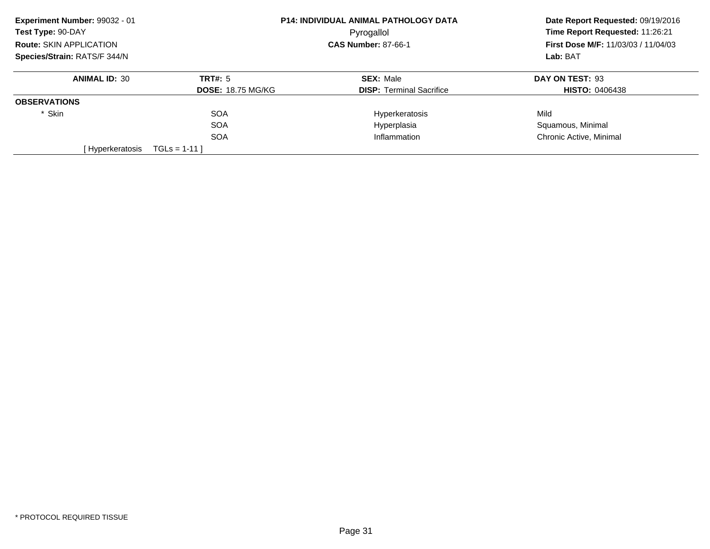| Experiment Number: 99032 - 01  |                          | P14: INDIVIDUAL ANIMAL PATHOLOGY DATA | Date Report Requested: 09/19/2016                      |
|--------------------------------|--------------------------|---------------------------------------|--------------------------------------------------------|
| Test Type: 90-DAY              | Pyrogallol               |                                       | Time Report Requested: 11:26:21                        |
| <b>Route: SKIN APPLICATION</b> |                          | <b>CAS Number: 87-66-1</b>            | <b>First Dose M/F: 11/03/03 / 11/04/03</b><br>Lab: BAT |
| Species/Strain: RATS/F 344/N   |                          |                                       |                                                        |
| <b>ANIMAL ID: 30</b>           | <b>TRT#: 5</b>           | <b>SEX: Male</b>                      | DAY ON TEST: 93                                        |
|                                | <b>DOSE: 18.75 MG/KG</b> | <b>DISP:</b> Terminal Sacrifice       | <b>HISTO: 0406438</b>                                  |
| <b>OBSERVATIONS</b>            |                          |                                       |                                                        |
| * Skin                         | <b>SOA</b>               | Hyperkeratosis                        | Mild                                                   |
|                                | <b>SOA</b>               | Hyperplasia                           | Squamous, Minimal                                      |
|                                | <b>SOA</b>               | Inflammation                          | Chronic Active, Minimal                                |
| [Hyperkeratosis                | $TGLS = 1-11$            |                                       |                                                        |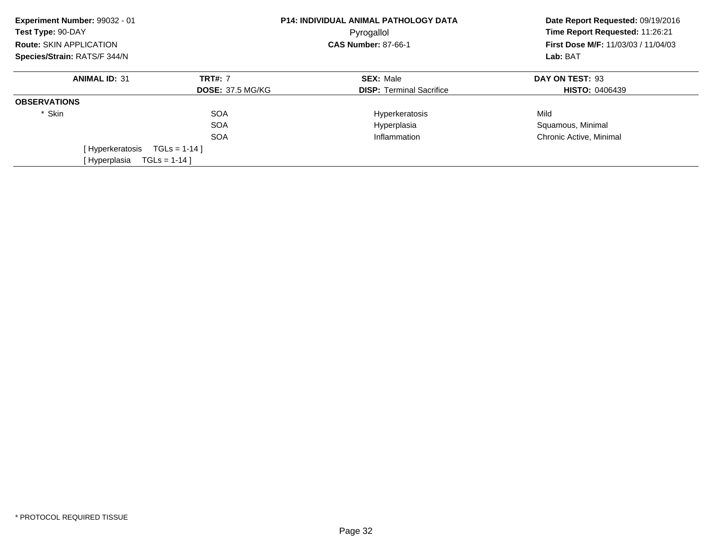| Experiment Number: 99032 - 01<br>Test Type: 90-DAY |                         | <b>P14: INDIVIDUAL ANIMAL PATHOLOGY DATA</b><br>Pyrogallol | Date Report Requested: 09/19/2016<br>Time Report Requested: 11:26:21<br>First Dose M/F: 11/03/03 / 11/04/03<br>Lab: BAT |
|----------------------------------------------------|-------------------------|------------------------------------------------------------|-------------------------------------------------------------------------------------------------------------------------|
| Route: SKIN APPLICATION                            |                         | <b>CAS Number: 87-66-1</b>                                 |                                                                                                                         |
| Species/Strain: RATS/F 344/N                       |                         |                                                            |                                                                                                                         |
| <b>ANIMAL ID: 31</b>                               | <b>TRT#: 7</b>          | <b>SEX: Male</b>                                           | DAY ON TEST: 93                                                                                                         |
|                                                    | <b>DOSE: 37.5 MG/KG</b> | <b>DISP:</b> Terminal Sacrifice                            | <b>HISTO: 0406439</b>                                                                                                   |
| <b>OBSERVATIONS</b>                                |                         |                                                            |                                                                                                                         |
| * Skin                                             | <b>SOA</b>              | Hyperkeratosis                                             | Mild                                                                                                                    |
|                                                    | <b>SOA</b>              | Hyperplasia                                                | Squamous, Minimal                                                                                                       |
|                                                    | <b>SOA</b>              | Inflammation                                               | Chronic Active, Minimal                                                                                                 |
| [Hyperkeratosis                                    | $TGLs = 1-14$ ]         |                                                            |                                                                                                                         |
| [Hyperplasia                                       | $TGLS = 1-14$ ]         |                                                            |                                                                                                                         |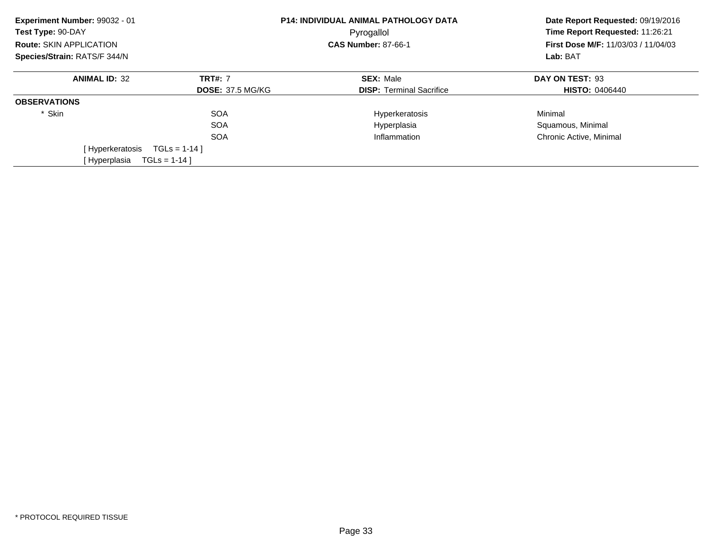| Experiment Number: 99032 - 01<br>Test Type: 90-DAY |                         | <b>P14: INDIVIDUAL ANIMAL PATHOLOGY DATA</b><br>Pyrogallol | Date Report Requested: 09/19/2016<br>Time Report Requested: 11:26:21<br>First Dose M/F: 11/03/03 / 11/04/03<br>Lab: BAT |
|----------------------------------------------------|-------------------------|------------------------------------------------------------|-------------------------------------------------------------------------------------------------------------------------|
| <b>Route: SKIN APPLICATION</b>                     |                         | <b>CAS Number: 87-66-1</b>                                 |                                                                                                                         |
| Species/Strain: RATS/F 344/N                       |                         |                                                            |                                                                                                                         |
| <b>ANIMAL ID: 32</b>                               | <b>TRT#: 7</b>          | <b>SEX: Male</b>                                           | DAY ON TEST: 93                                                                                                         |
|                                                    | <b>DOSE: 37.5 MG/KG</b> | <b>DISP: Terminal Sacrifice</b>                            | <b>HISTO: 0406440</b>                                                                                                   |
| <b>OBSERVATIONS</b>                                |                         |                                                            |                                                                                                                         |
| * Skin                                             | <b>SOA</b>              | Hyperkeratosis                                             | Minimal                                                                                                                 |
|                                                    | <b>SOA</b>              | Hyperplasia                                                | Squamous, Minimal                                                                                                       |
|                                                    | <b>SOA</b>              | Inflammation                                               | Chronic Active, Minimal                                                                                                 |
| [Hyperkeratosis                                    | $TGLS = 1-14$           |                                                            |                                                                                                                         |
| [Hyperplasia                                       | $TGLS = 1-14$           |                                                            |                                                                                                                         |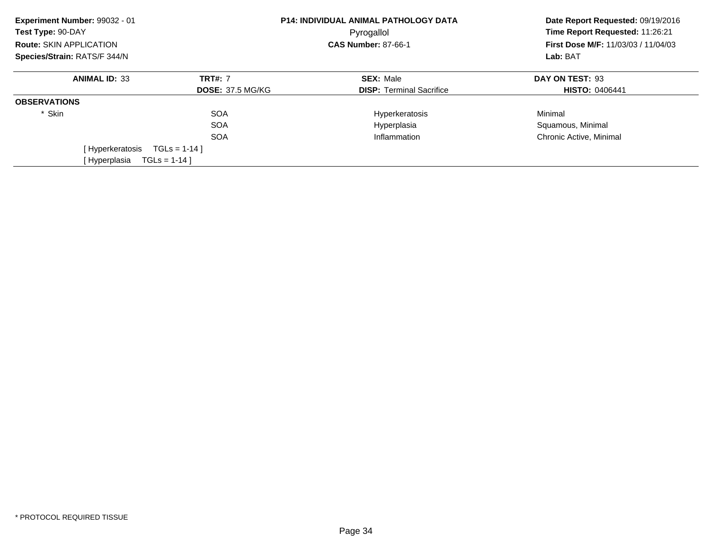| Experiment Number: 99032 - 01<br>Test Type: 90-DAY |                         | <b>P14: INDIVIDUAL ANIMAL PATHOLOGY DATA</b><br>Pyrogallol | Date Report Requested: 09/19/2016<br>Time Report Requested: 11:26:21<br>First Dose M/F: 11/03/03 / 11/04/03<br>Lab: BAT |
|----------------------------------------------------|-------------------------|------------------------------------------------------------|-------------------------------------------------------------------------------------------------------------------------|
| <b>Route: SKIN APPLICATION</b>                     |                         | <b>CAS Number: 87-66-1</b>                                 |                                                                                                                         |
| Species/Strain: RATS/F 344/N                       |                         |                                                            |                                                                                                                         |
| <b>ANIMAL ID: 33</b>                               | <b>TRT#: 7</b>          | <b>SEX: Male</b>                                           | DAY ON TEST: 93                                                                                                         |
|                                                    | <b>DOSE: 37.5 MG/KG</b> | <b>DISP:</b> Terminal Sacrifice                            | <b>HISTO: 0406441</b>                                                                                                   |
| <b>OBSERVATIONS</b>                                |                         |                                                            |                                                                                                                         |
| * Skin                                             | <b>SOA</b>              | Hyperkeratosis                                             | Minimal                                                                                                                 |
|                                                    | <b>SOA</b>              | Hyperplasia                                                | Squamous, Minimal                                                                                                       |
|                                                    | <b>SOA</b>              | Inflammation                                               | Chronic Active, Minimal                                                                                                 |
| [Hyperkeratosis                                    | $TGLS = 1-14$           |                                                            |                                                                                                                         |
| [Hyperplasia                                       | $TGLS = 1-14$           |                                                            |                                                                                                                         |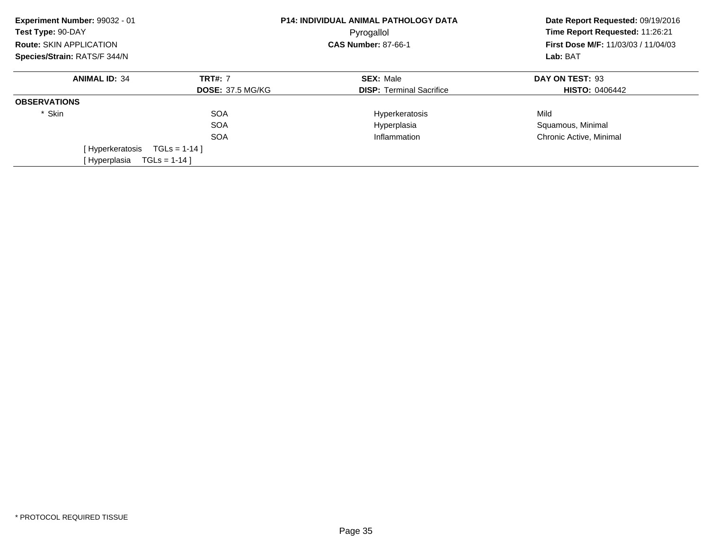| Experiment Number: 99032 - 01<br>Test Type: 90-DAY<br><b>Route: SKIN APPLICATION</b> | <b>P14: INDIVIDUAL ANIMAL PATHOLOGY DATA</b><br>Pyrogallol<br><b>CAS Number: 87-66-1</b> |                                 | Date Report Requested: 09/19/2016<br>Time Report Requested: 11:26:21<br><b>First Dose M/F: 11/03/03 / 11/04/03</b> |
|--------------------------------------------------------------------------------------|------------------------------------------------------------------------------------------|---------------------------------|--------------------------------------------------------------------------------------------------------------------|
| Species/Strain: RATS/F 344/N                                                         |                                                                                          |                                 | Lab: BAT                                                                                                           |
| <b>ANIMAL ID: 34</b>                                                                 | <b>TRT#: 7</b>                                                                           | <b>SEX: Male</b>                | DAY ON TEST: 93                                                                                                    |
|                                                                                      | <b>DOSE: 37.5 MG/KG</b>                                                                  | <b>DISP: Terminal Sacrifice</b> | <b>HISTO: 0406442</b>                                                                                              |
| <b>OBSERVATIONS</b>                                                                  |                                                                                          |                                 |                                                                                                                    |
| * Skin                                                                               | <b>SOA</b>                                                                               | Hyperkeratosis                  | Mild                                                                                                               |
|                                                                                      | <b>SOA</b>                                                                               | Hyperplasia                     | Squamous, Minimal                                                                                                  |
|                                                                                      | <b>SOA</b>                                                                               | Inflammation                    | Chronic Active, Minimal                                                                                            |
| [ Hyperkeratosis                                                                     | $TGLs = 1-14$                                                                            |                                 |                                                                                                                    |
| [Hyperplasia                                                                         | $TGLS = 1-14$ ]                                                                          |                                 |                                                                                                                    |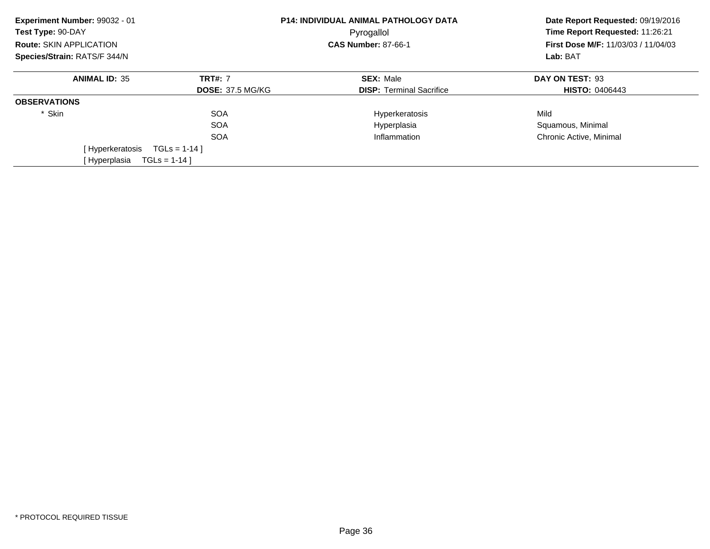| Experiment Number: 99032 - 01<br>Test Type: 90-DAY |                         | <b>P14: INDIVIDUAL ANIMAL PATHOLOGY DATA</b><br>Pyrogallol | Date Report Requested: 09/19/2016<br>Time Report Requested: 11:26:21<br>First Dose M/F: 11/03/03 / 11/04/03<br>Lab: BAT |
|----------------------------------------------------|-------------------------|------------------------------------------------------------|-------------------------------------------------------------------------------------------------------------------------|
| Route: SKIN APPLICATION                            |                         | <b>CAS Number: 87-66-1</b>                                 |                                                                                                                         |
| Species/Strain: RATS/F 344/N                       |                         |                                                            |                                                                                                                         |
| <b>ANIMAL ID: 35</b>                               | <b>TRT#: 7</b>          | <b>SEX: Male</b>                                           | DAY ON TEST: 93                                                                                                         |
|                                                    | <b>DOSE: 37.5 MG/KG</b> | <b>DISP:</b> Terminal Sacrifice                            | <b>HISTO: 0406443</b>                                                                                                   |
| <b>OBSERVATIONS</b>                                |                         |                                                            |                                                                                                                         |
| * Skin                                             | <b>SOA</b>              | Hyperkeratosis                                             | Mild                                                                                                                    |
|                                                    | <b>SOA</b>              | Hyperplasia                                                | Squamous, Minimal                                                                                                       |
|                                                    | <b>SOA</b>              | Inflammation                                               | Chronic Active, Minimal                                                                                                 |
| [Hyperkeratosis                                    | $TGLs = 1-14$ ]         |                                                            |                                                                                                                         |
| [Hyperplasia                                       | $TGLS = 1-14$ ]         |                                                            |                                                                                                                         |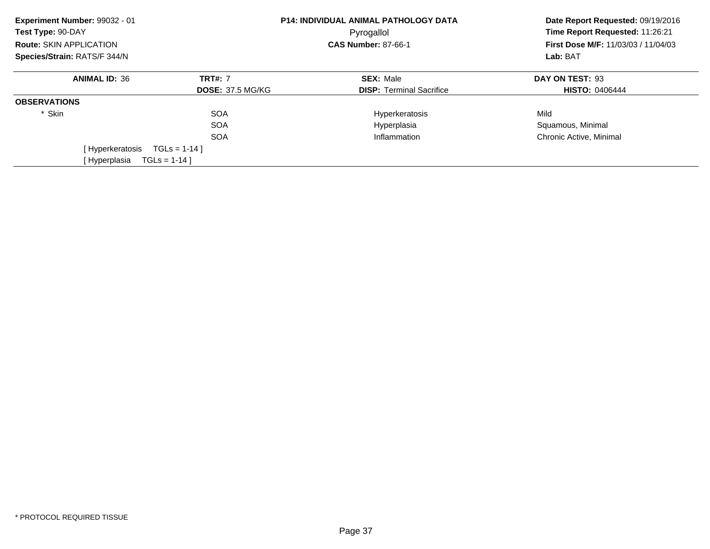| Experiment Number: 99032 - 01<br>Test Type: 90-DAY |                         | <b>P14: INDIVIDUAL ANIMAL PATHOLOGY DATA</b><br>Pyrogallol | Date Report Requested: 09/19/2016<br>Time Report Requested: 11:26:21<br>First Dose M/F: 11/03/03 / 11/04/03<br>Lab: BAT |
|----------------------------------------------------|-------------------------|------------------------------------------------------------|-------------------------------------------------------------------------------------------------------------------------|
| Route: SKIN APPLICATION                            |                         | <b>CAS Number: 87-66-1</b>                                 |                                                                                                                         |
| Species/Strain: RATS/F 344/N                       |                         |                                                            |                                                                                                                         |
| <b>ANIMAL ID: 36</b>                               | <b>TRT#: 7</b>          | <b>SEX: Male</b>                                           | DAY ON TEST: 93                                                                                                         |
|                                                    | <b>DOSE: 37.5 MG/KG</b> | <b>DISP:</b> Terminal Sacrifice                            | <b>HISTO: 0406444</b>                                                                                                   |
| <b>OBSERVATIONS</b>                                |                         |                                                            |                                                                                                                         |
| * Skin                                             | <b>SOA</b>              | Hyperkeratosis                                             | Mild                                                                                                                    |
|                                                    | <b>SOA</b>              | Hyperplasia                                                | Squamous, Minimal                                                                                                       |
|                                                    | <b>SOA</b>              | Inflammation                                               | Chronic Active, Minimal                                                                                                 |
| [Hyperkeratosis                                    | $TGLs = 1-14$ ]         |                                                            |                                                                                                                         |
| [Hyperplasia                                       | $TGLS = 1-14$ ]         |                                                            |                                                                                                                         |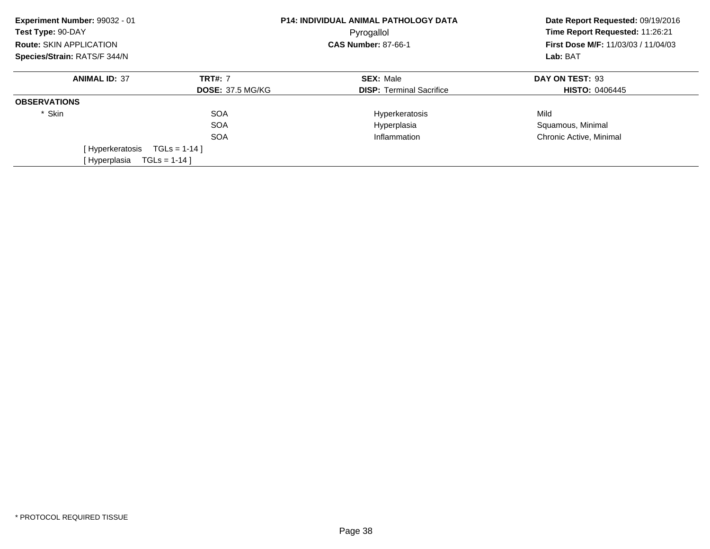| Experiment Number: 99032 - 01<br>Test Type: 90-DAY<br><b>Route: SKIN APPLICATION</b> |                         | <b>P14: INDIVIDUAL ANIMAL PATHOLOGY DATA</b><br>Pyrogallol<br><b>CAS Number: 87-66-1</b> | Date Report Requested: 09/19/2016<br>Time Report Requested: 11:26:21<br><b>First Dose M/F: 11/03/03 / 11/04/03</b> |
|--------------------------------------------------------------------------------------|-------------------------|------------------------------------------------------------------------------------------|--------------------------------------------------------------------------------------------------------------------|
| Species/Strain: RATS/F 344/N                                                         |                         |                                                                                          | Lab: BAT                                                                                                           |
| <b>ANIMAL ID: 37</b>                                                                 | <b>TRT#: 7</b>          | <b>SEX: Male</b>                                                                         | DAY ON TEST: 93                                                                                                    |
|                                                                                      | <b>DOSE: 37.5 MG/KG</b> | <b>DISP: Terminal Sacrifice</b>                                                          | <b>HISTO: 0406445</b>                                                                                              |
| <b>OBSERVATIONS</b>                                                                  |                         |                                                                                          |                                                                                                                    |
| * Skin                                                                               | <b>SOA</b>              | Hyperkeratosis                                                                           | Mild                                                                                                               |
|                                                                                      | <b>SOA</b>              | Hyperplasia                                                                              | Squamous, Minimal                                                                                                  |
|                                                                                      | <b>SOA</b>              | Inflammation                                                                             | Chronic Active, Minimal                                                                                            |
| [ Hyperkeratosis                                                                     | $TGLS = 1-14$           |                                                                                          |                                                                                                                    |
| [Hyperplasia                                                                         | $TGLS = 1-14$ ]         |                                                                                          |                                                                                                                    |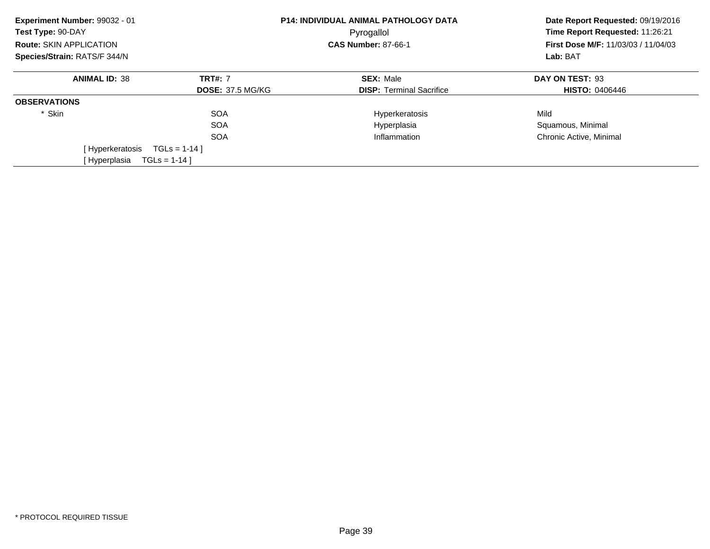| Experiment Number: 99032 - 01<br>Test Type: 90-DAY |                         | <b>P14: INDIVIDUAL ANIMAL PATHOLOGY DATA</b><br>Pyrogallol | Date Report Requested: 09/19/2016<br>Time Report Requested: 11:26:21<br>First Dose M/F: 11/03/03 / 11/04/03<br>Lab: BAT |
|----------------------------------------------------|-------------------------|------------------------------------------------------------|-------------------------------------------------------------------------------------------------------------------------|
| Route: SKIN APPLICATION                            |                         | <b>CAS Number: 87-66-1</b>                                 |                                                                                                                         |
| Species/Strain: RATS/F 344/N                       |                         |                                                            |                                                                                                                         |
| <b>ANIMAL ID: 38</b>                               | <b>TRT#: 7</b>          | <b>SEX: Male</b>                                           | DAY ON TEST: 93                                                                                                         |
|                                                    | <b>DOSE: 37.5 MG/KG</b> | <b>DISP:</b> Terminal Sacrifice                            | <b>HISTO: 0406446</b>                                                                                                   |
| <b>OBSERVATIONS</b>                                |                         |                                                            |                                                                                                                         |
| * Skin                                             | <b>SOA</b>              | Hyperkeratosis                                             | Mild                                                                                                                    |
|                                                    | <b>SOA</b>              | Hyperplasia                                                | Squamous, Minimal                                                                                                       |
|                                                    | <b>SOA</b>              | Inflammation                                               | Chronic Active, Minimal                                                                                                 |
| [Hyperkeratosis                                    | $TGLs = 1-14$ ]         |                                                            |                                                                                                                         |
| [Hyperplasia                                       | $TGLS = 1-14$ ]         |                                                            |                                                                                                                         |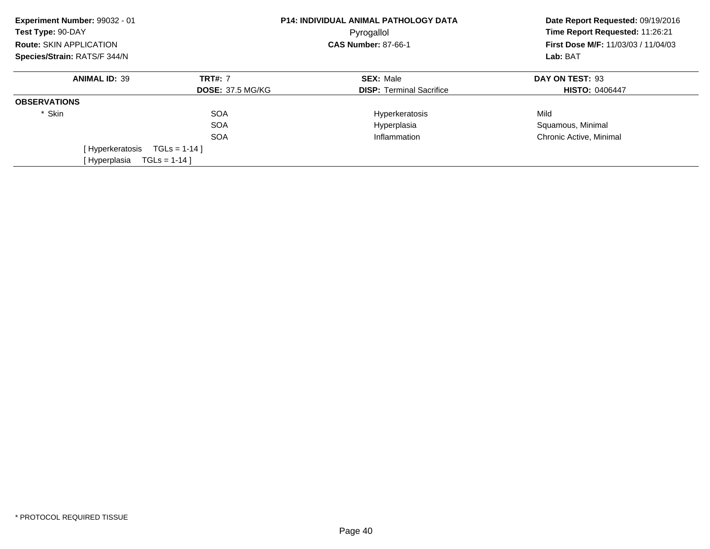| Experiment Number: 99032 - 01<br>Test Type: 90-DAY |                         | <b>P14: INDIVIDUAL ANIMAL PATHOLOGY DATA</b><br>Pyrogallol | Date Report Requested: 09/19/2016<br>Time Report Requested: 11:26:21<br>First Dose M/F: 11/03/03 / 11/04/03<br>Lab: BAT |
|----------------------------------------------------|-------------------------|------------------------------------------------------------|-------------------------------------------------------------------------------------------------------------------------|
| Route: SKIN APPLICATION                            |                         | <b>CAS Number: 87-66-1</b>                                 |                                                                                                                         |
| Species/Strain: RATS/F 344/N                       |                         |                                                            |                                                                                                                         |
| <b>ANIMAL ID: 39</b>                               | <b>TRT#: 7</b>          | <b>SEX: Male</b>                                           | DAY ON TEST: 93                                                                                                         |
|                                                    | <b>DOSE: 37.5 MG/KG</b> | <b>DISP:</b> Terminal Sacrifice                            | <b>HISTO: 0406447</b>                                                                                                   |
| <b>OBSERVATIONS</b>                                |                         |                                                            |                                                                                                                         |
| * Skin                                             | <b>SOA</b>              | Hyperkeratosis                                             | Mild                                                                                                                    |
|                                                    | <b>SOA</b>              | Hyperplasia                                                | Squamous, Minimal                                                                                                       |
|                                                    | <b>SOA</b>              | Inflammation                                               | Chronic Active, Minimal                                                                                                 |
| [Hyperkeratosis                                    | $TGLs = 1-14$ ]         |                                                            |                                                                                                                         |
| [Hyperplasia                                       | $TGLS = 1-14$ ]         |                                                            |                                                                                                                         |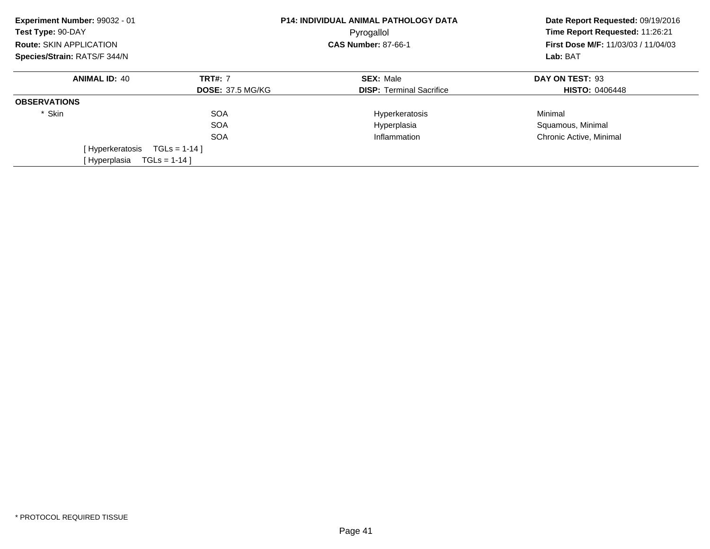| Experiment Number: 99032 - 01<br>Test Type: 90-DAY |                         | <b>P14: INDIVIDUAL ANIMAL PATHOLOGY DATA</b><br>Pyrogallol | Date Report Requested: 09/19/2016<br>Time Report Requested: 11:26:21<br>First Dose M/F: 11/03/03 / 11/04/03<br>Lab: BAT |
|----------------------------------------------------|-------------------------|------------------------------------------------------------|-------------------------------------------------------------------------------------------------------------------------|
| Route: SKIN APPLICATION                            |                         | <b>CAS Number: 87-66-1</b>                                 |                                                                                                                         |
| Species/Strain: RATS/F 344/N                       |                         |                                                            |                                                                                                                         |
| <b>ANIMAL ID: 40</b>                               | <b>TRT#: 7</b>          | <b>SEX: Male</b>                                           | DAY ON TEST: 93                                                                                                         |
|                                                    | <b>DOSE: 37.5 MG/KG</b> | <b>DISP:</b> Terminal Sacrifice                            | <b>HISTO: 0406448</b>                                                                                                   |
| <b>OBSERVATIONS</b>                                |                         |                                                            |                                                                                                                         |
| * Skin                                             | <b>SOA</b>              | Hyperkeratosis                                             | Minimal                                                                                                                 |
|                                                    | <b>SOA</b>              | Hyperplasia                                                | Squamous, Minimal                                                                                                       |
|                                                    | <b>SOA</b>              | Inflammation                                               | Chronic Active, Minimal                                                                                                 |
| [Hyperkeratosis                                    | $TGLs = 1-14$           |                                                            |                                                                                                                         |
| [Hyperplasia                                       | $TGLS = 1-14$ ]         |                                                            |                                                                                                                         |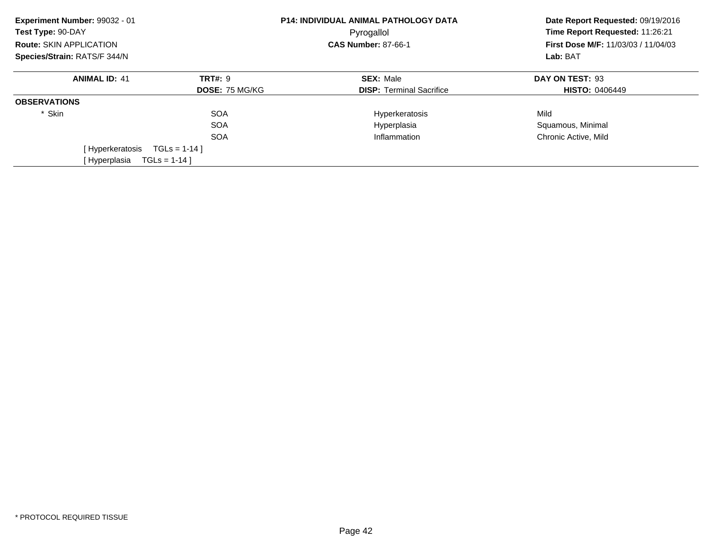| Experiment Number: 99032 - 01<br>Test Type: 90-DAY |                       | <b>P14: INDIVIDUAL ANIMAL PATHOLOGY DATA</b><br>Pyrogallol | Date Report Requested: 09/19/2016<br>Time Report Requested: 11:26:21 |
|----------------------------------------------------|-----------------------|------------------------------------------------------------|----------------------------------------------------------------------|
| Route: SKIN APPLICATION                            |                       | <b>CAS Number: 87-66-1</b>                                 | First Dose M/F: 11/03/03 / 11/04/03                                  |
| Species/Strain: RATS/F 344/N                       |                       |                                                            | Lab: BAT                                                             |
| <b>ANIMAL ID: 41</b>                               | <b>TRT#: 9</b>        | <b>SEX: Male</b>                                           | DAY ON TEST: 93                                                      |
|                                                    | <b>DOSE: 75 MG/KG</b> | <b>DISP:</b> Terminal Sacrifice                            | <b>HISTO: 0406449</b>                                                |
| <b>OBSERVATIONS</b>                                |                       |                                                            |                                                                      |
| * Skin                                             | <b>SOA</b>            | Hyperkeratosis                                             | Mild                                                                 |
|                                                    | <b>SOA</b>            | Hyperplasia                                                | Squamous, Minimal                                                    |
|                                                    | <b>SOA</b>            | Inflammation                                               | Chronic Active, Mild                                                 |
| [Hyperkeratosis                                    | $TGLS = 1-14$         |                                                            |                                                                      |
| [Hyperplasia                                       | $TGLs = 1-14$ ]       |                                                            |                                                                      |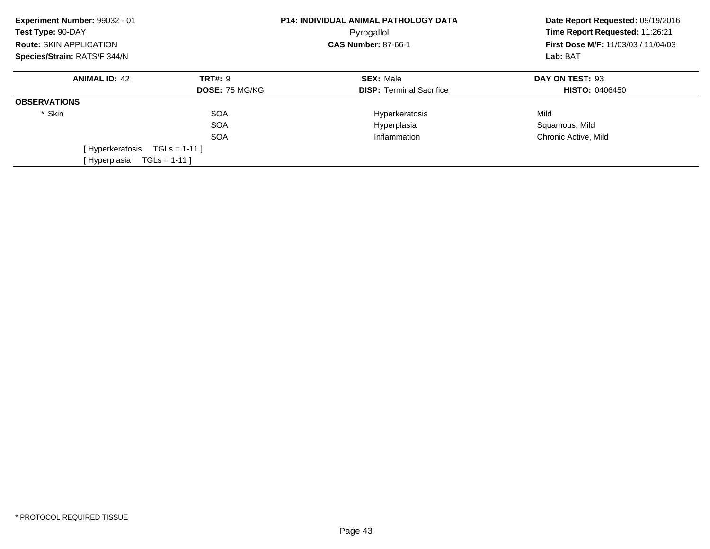| Experiment Number: 99032 - 01<br>Test Type: 90-DAY<br><b>Route: SKIN APPLICATION</b> |                       | <b>P14: INDIVIDUAL ANIMAL PATHOLOGY DATA</b><br>Pyrogallol<br><b>CAS Number: 87-66-1</b> | Date Report Requested: 09/19/2016<br>Time Report Requested: 11:26:21<br><b>First Dose M/F: 11/03/03 / 11/04/03</b><br>Lab: BAT |
|--------------------------------------------------------------------------------------|-----------------------|------------------------------------------------------------------------------------------|--------------------------------------------------------------------------------------------------------------------------------|
| Species/Strain: RATS/F 344/N                                                         |                       |                                                                                          |                                                                                                                                |
| <b>ANIMAL ID: 42</b>                                                                 | <b>TRT#: 9</b>        | <b>SEX: Male</b>                                                                         | DAY ON TEST: 93                                                                                                                |
|                                                                                      | <b>DOSE: 75 MG/KG</b> | <b>DISP: Terminal Sacrifice</b>                                                          | <b>HISTO: 0406450</b>                                                                                                          |
| <b>OBSERVATIONS</b>                                                                  |                       |                                                                                          |                                                                                                                                |
| * Skin                                                                               | <b>SOA</b>            | Hyperkeratosis                                                                           | Mild                                                                                                                           |
|                                                                                      | <b>SOA</b>            | Hyperplasia                                                                              | Squamous, Mild                                                                                                                 |
|                                                                                      | <b>SOA</b>            | Inflammation                                                                             | Chronic Active, Mild                                                                                                           |
| [ Hyperkeratosis                                                                     | $TGLS = 1-11$         |                                                                                          |                                                                                                                                |
| [Hyperplasia                                                                         | $TGLs = 1-11$         |                                                                                          |                                                                                                                                |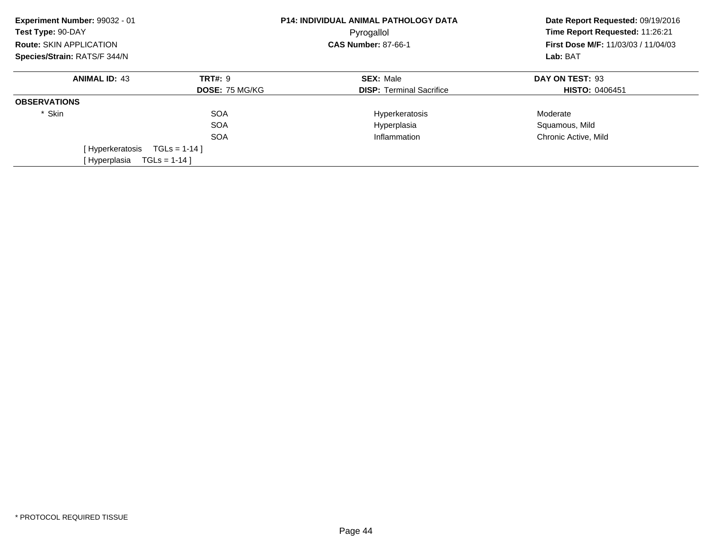| Experiment Number: 99032 - 01<br>Test Type: 90-DAY<br><b>Route: SKIN APPLICATION</b> |                       | <b>P14: INDIVIDUAL ANIMAL PATHOLOGY DATA</b><br>Pyrogallol<br><b>CAS Number: 87-66-1</b> | Date Report Requested: 09/19/2016<br>Time Report Requested: 11:26:21<br>First Dose M/F: 11/03/03 / 11/04/03 |
|--------------------------------------------------------------------------------------|-----------------------|------------------------------------------------------------------------------------------|-------------------------------------------------------------------------------------------------------------|
| Species/Strain: RATS/F 344/N                                                         |                       |                                                                                          | Lab: BAT                                                                                                    |
| <b>ANIMAL ID: 43</b>                                                                 | <b>TRT#: 9</b>        | <b>SEX: Male</b>                                                                         | DAY ON TEST: 93                                                                                             |
|                                                                                      | <b>DOSE: 75 MG/KG</b> | <b>DISP: Terminal Sacrifice</b>                                                          | <b>HISTO: 0406451</b>                                                                                       |
| <b>OBSERVATIONS</b>                                                                  |                       |                                                                                          |                                                                                                             |
| * Skin                                                                               | <b>SOA</b>            | Hyperkeratosis                                                                           | Moderate                                                                                                    |
|                                                                                      | <b>SOA</b>            | Hyperplasia                                                                              | Squamous, Mild                                                                                              |
|                                                                                      | <b>SOA</b>            | Inflammation                                                                             | Chronic Active, Mild                                                                                        |
| [Hyperkeratosis                                                                      | $TGLS = 1-14$         |                                                                                          |                                                                                                             |
| [Hyperplasia                                                                         | $TGLs = 1-14$ ]       |                                                                                          |                                                                                                             |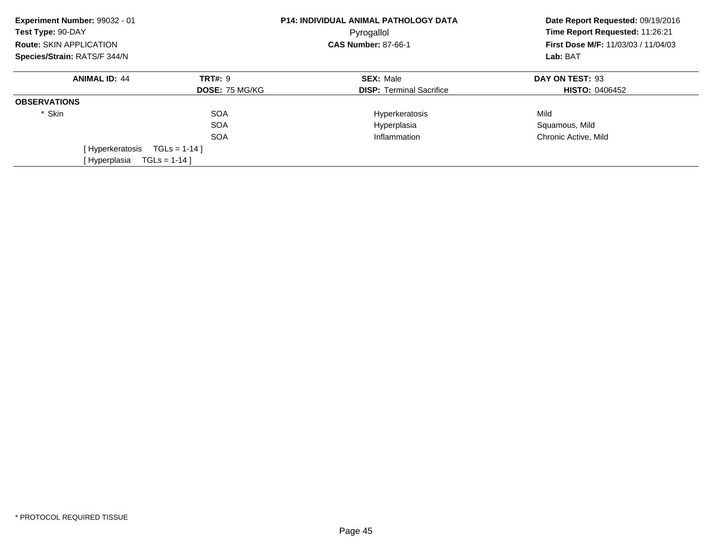| Experiment Number: 99032 - 01<br>Test Type: 90-DAY<br><b>Route: SKIN APPLICATION</b> |                       | <b>P14: INDIVIDUAL ANIMAL PATHOLOGY DATA</b><br>Pyrogallol<br><b>CAS Number: 87-66-1</b> | Date Report Requested: 09/19/2016<br>Time Report Requested: 11:26:21<br><b>First Dose M/F: 11/03/03 / 11/04/03</b><br>Lab: BAT |
|--------------------------------------------------------------------------------------|-----------------------|------------------------------------------------------------------------------------------|--------------------------------------------------------------------------------------------------------------------------------|
| Species/Strain: RATS/F 344/N                                                         |                       |                                                                                          |                                                                                                                                |
| <b>ANIMAL ID: 44</b>                                                                 | <b>TRT#: 9</b>        | <b>SEX: Male</b>                                                                         | DAY ON TEST: 93                                                                                                                |
|                                                                                      | <b>DOSE: 75 MG/KG</b> | <b>DISP: Terminal Sacrifice</b>                                                          | <b>HISTO: 0406452</b>                                                                                                          |
| <b>OBSERVATIONS</b>                                                                  |                       |                                                                                          |                                                                                                                                |
| * Skin                                                                               | <b>SOA</b>            | Hyperkeratosis                                                                           | Mild                                                                                                                           |
|                                                                                      | <b>SOA</b>            | Hyperplasia                                                                              | Squamous, Mild                                                                                                                 |
|                                                                                      | <b>SOA</b>            | Inflammation                                                                             | Chronic Active, Mild                                                                                                           |
| [ Hyperkeratosis                                                                     | $TGLS = 1-14$         |                                                                                          |                                                                                                                                |
| [Hyperplasia                                                                         | $TGLS = 1-14$ ]       |                                                                                          |                                                                                                                                |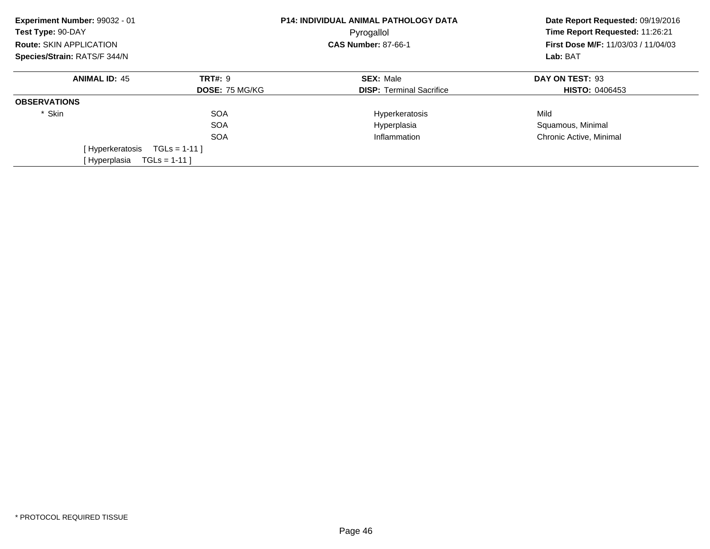| Experiment Number: 99032 - 01<br>Test Type: 90-DAY |                       | <b>P14: INDIVIDUAL ANIMAL PATHOLOGY DATA</b><br>Pyrogallol | Date Report Requested: 09/19/2016<br>Time Report Requested: 11:26:21<br>First Dose M/F: 11/03/03 / 11/04/03<br>Lab: BAT |
|----------------------------------------------------|-----------------------|------------------------------------------------------------|-------------------------------------------------------------------------------------------------------------------------|
| Route: SKIN APPLICATION                            |                       | <b>CAS Number: 87-66-1</b>                                 |                                                                                                                         |
| Species/Strain: RATS/F 344/N                       |                       |                                                            |                                                                                                                         |
| <b>ANIMAL ID: 45</b>                               | <b>TRT#: 9</b>        | <b>SEX: Male</b>                                           | DAY ON TEST: 93                                                                                                         |
|                                                    | <b>DOSE: 75 MG/KG</b> | <b>DISP:</b> Terminal Sacrifice                            | <b>HISTO: 0406453</b>                                                                                                   |
| <b>OBSERVATIONS</b>                                |                       |                                                            |                                                                                                                         |
| * Skin                                             | <b>SOA</b>            | Hyperkeratosis                                             | Mild                                                                                                                    |
|                                                    | <b>SOA</b>            | Hyperplasia                                                | Squamous, Minimal                                                                                                       |
|                                                    | <b>SOA</b>            | Inflammation                                               | Chronic Active, Minimal                                                                                                 |
| [Hyperkeratosis                                    | $TGLs = 1-11$         |                                                            |                                                                                                                         |
| [ Hyperplasia                                      | $TGLS = 1-11$         |                                                            |                                                                                                                         |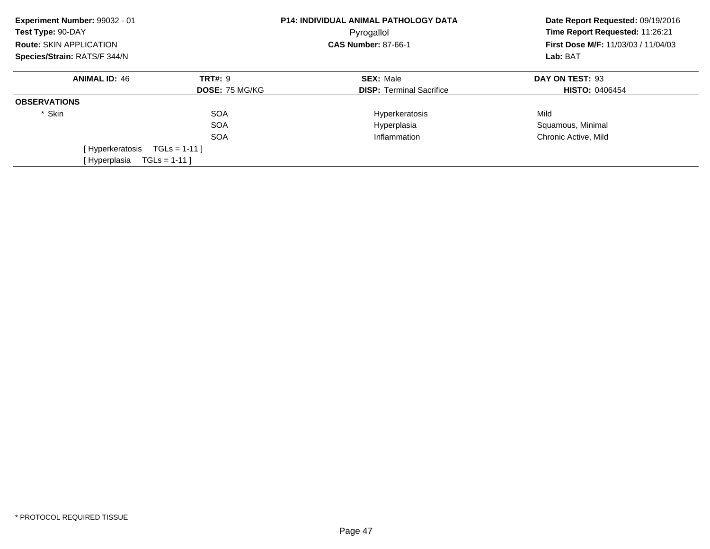| Experiment Number: 99032 - 01<br>Test Type: 90-DAY<br><b>Route: SKIN APPLICATION</b> |                                         | <b>P14: INDIVIDUAL ANIMAL PATHOLOGY DATA</b><br>Pyrogallol<br><b>CAS Number: 87-66-1</b> | Date Report Requested: 09/19/2016<br>Time Report Requested: 11:26:21<br><b>First Dose M/F: 11/03/03 / 11/04/03</b><br>Lab: BAT |
|--------------------------------------------------------------------------------------|-----------------------------------------|------------------------------------------------------------------------------------------|--------------------------------------------------------------------------------------------------------------------------------|
| Species/Strain: RATS/F 344/N                                                         |                                         |                                                                                          |                                                                                                                                |
| <b>ANIMAL ID: 46</b>                                                                 | <b>TRT#: 9</b><br><b>DOSE: 75 MG/KG</b> | <b>SEX: Male</b><br><b>DISP: Terminal Sacrifice</b>                                      | DAY ON TEST: 93<br><b>HISTO: 0406454</b>                                                                                       |
| <b>OBSERVATIONS</b>                                                                  |                                         |                                                                                          |                                                                                                                                |
| * Skin                                                                               | <b>SOA</b><br><b>SOA</b><br><b>SOA</b>  | Hyperkeratosis<br>Hyperplasia<br>Inflammation                                            | Mild<br>Squamous, Minimal<br>Chronic Active, Mild                                                                              |
| [ Hyperkeratosis<br>[Hyperplasia                                                     | $TGLS = 1-11$<br>$TGLs = 1-11$          |                                                                                          |                                                                                                                                |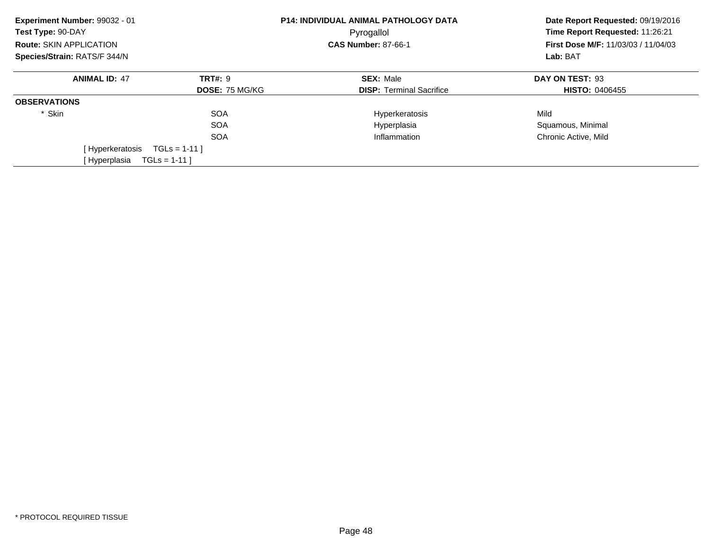| Experiment Number: 99032 - 01<br>Test Type: 90-DAY |                       | <b>P14: INDIVIDUAL ANIMAL PATHOLOGY DATA</b><br>Pyrogallol | Date Report Requested: 09/19/2016<br>Time Report Requested: 11:26:21<br><b>First Dose M/F: 11/03/03 / 11/04/03</b><br>Lab: BAT |
|----------------------------------------------------|-----------------------|------------------------------------------------------------|--------------------------------------------------------------------------------------------------------------------------------|
| <b>Route: SKIN APPLICATION</b>                     |                       | <b>CAS Number: 87-66-1</b>                                 |                                                                                                                                |
| Species/Strain: RATS/F 344/N                       |                       |                                                            |                                                                                                                                |
| <b>ANIMAL ID: 47</b>                               | <b>TRT#: 9</b>        | <b>SEX: Male</b>                                           | DAY ON TEST: 93                                                                                                                |
|                                                    | <b>DOSE: 75 MG/KG</b> | <b>DISP:</b> Terminal Sacrifice                            | <b>HISTO: 0406455</b>                                                                                                          |
| <b>OBSERVATIONS</b>                                |                       |                                                            |                                                                                                                                |
| * Skin                                             | <b>SOA</b>            | Hyperkeratosis                                             | Mild                                                                                                                           |
|                                                    | <b>SOA</b>            | Hyperplasia                                                | Squamous, Minimal                                                                                                              |
|                                                    | <b>SOA</b>            | Inflammation                                               | Chronic Active, Mild                                                                                                           |
| [Hyperkeratosis                                    | $TGLS = 1-11$         |                                                            |                                                                                                                                |
| [Hyperplasia                                       | $TGLS = 1-111$        |                                                            |                                                                                                                                |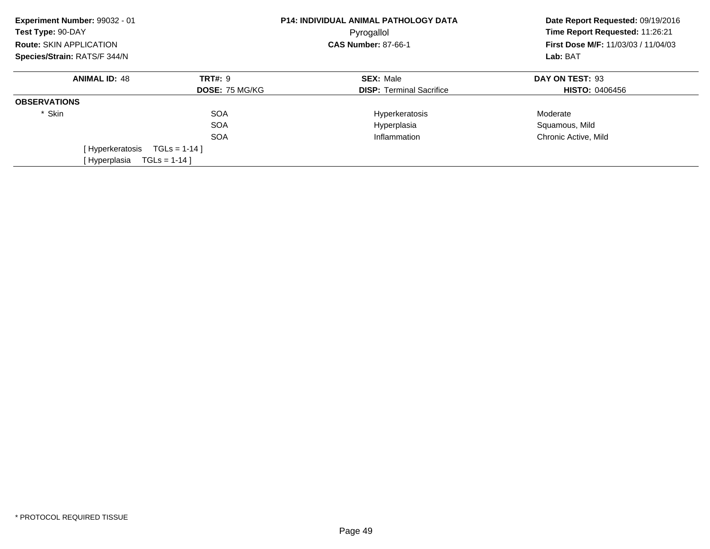| Experiment Number: 99032 - 01<br>Test Type: 90-DAY |                       | <b>P14: INDIVIDUAL ANIMAL PATHOLOGY DATA</b><br>Pyrogallol | Date Report Requested: 09/19/2016<br>Time Report Requested: 11:26:21 |
|----------------------------------------------------|-----------------------|------------------------------------------------------------|----------------------------------------------------------------------|
| Route: SKIN APPLICATION                            |                       | <b>CAS Number: 87-66-1</b>                                 | First Dose M/F: 11/03/03 / 11/04/03                                  |
| Species/Strain: RATS/F 344/N                       |                       | Lab: BAT                                                   |                                                                      |
| <b>ANIMAL ID: 48</b>                               | <b>TRT#: 9</b>        | <b>SEX: Male</b>                                           | DAY ON TEST: 93                                                      |
|                                                    | <b>DOSE: 75 MG/KG</b> | <b>DISP: Terminal Sacrifice</b>                            | <b>HISTO: 0406456</b>                                                |
| <b>OBSERVATIONS</b>                                |                       |                                                            |                                                                      |
| * Skin                                             | <b>SOA</b>            | Hyperkeratosis                                             | Moderate                                                             |
|                                                    | <b>SOA</b>            | Hyperplasia                                                | Squamous, Mild                                                       |
|                                                    | <b>SOA</b>            | Inflammation                                               | Chronic Active, Mild                                                 |
| [Hyperkeratosis                                    | $TGLs = 1-14$         |                                                            |                                                                      |
| [Hyperplasia                                       | $TGLS = 1-14$ ]       |                                                            |                                                                      |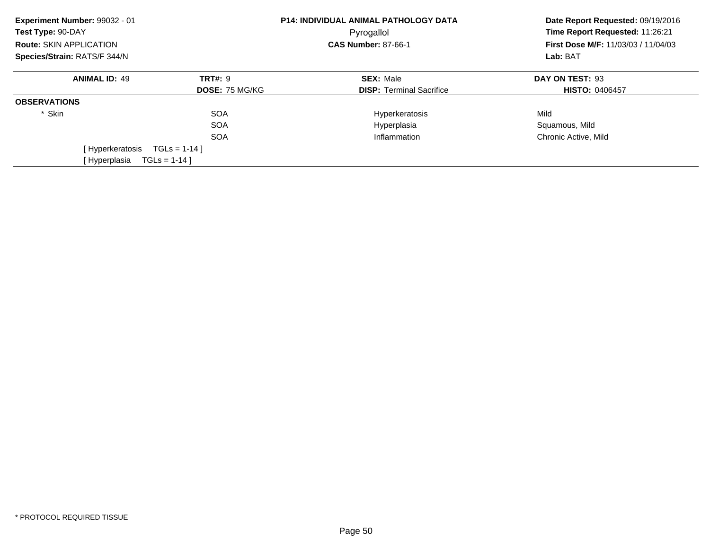| Experiment Number: 99032 - 01<br>Test Type: 90-DAY<br><b>Route: SKIN APPLICATION</b> |                       | <b>P14: INDIVIDUAL ANIMAL PATHOLOGY DATA</b><br>Pyrogallol<br><b>CAS Number: 87-66-1</b> | Date Report Requested: 09/19/2016<br>Time Report Requested: 11:26:21<br><b>First Dose M/F: 11/03/03 / 11/04/03</b> |  |
|--------------------------------------------------------------------------------------|-----------------------|------------------------------------------------------------------------------------------|--------------------------------------------------------------------------------------------------------------------|--|
| Species/Strain: RATS/F 344/N                                                         |                       |                                                                                          | Lab: BAT                                                                                                           |  |
| <b>ANIMAL ID: 49</b>                                                                 | <b>TRT#: 9</b>        | <b>SEX: Male</b>                                                                         | DAY ON TEST: 93                                                                                                    |  |
|                                                                                      | <b>DOSE: 75 MG/KG</b> | <b>DISP: Terminal Sacrifice</b>                                                          | <b>HISTO: 0406457</b>                                                                                              |  |
| <b>OBSERVATIONS</b>                                                                  |                       |                                                                                          |                                                                                                                    |  |
| * Skin                                                                               | <b>SOA</b>            | Hyperkeratosis                                                                           | Mild                                                                                                               |  |
|                                                                                      | <b>SOA</b>            | Hyperplasia                                                                              | Squamous, Mild                                                                                                     |  |
|                                                                                      | <b>SOA</b>            | Inflammation                                                                             | Chronic Active, Mild                                                                                               |  |
| [ Hyperkeratosis                                                                     | $TGLS = 1-14$         |                                                                                          |                                                                                                                    |  |
| [Hyperplasia                                                                         | $TGLS = 1-14$ ]       |                                                                                          |                                                                                                                    |  |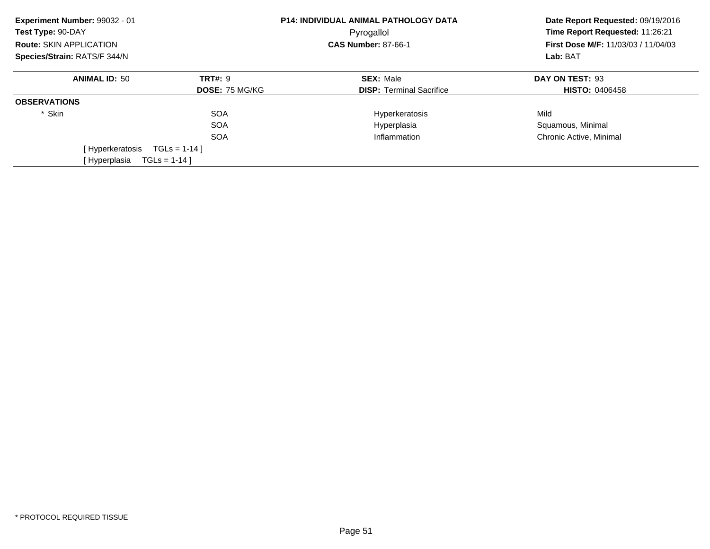| Experiment Number: 99032 - 01<br>Test Type: 90-DAY |                       | <b>P14: INDIVIDUAL ANIMAL PATHOLOGY DATA</b><br>Pyrogallol | Date Report Requested: 09/19/2016<br>Time Report Requested: 11:26:21 |
|----------------------------------------------------|-----------------------|------------------------------------------------------------|----------------------------------------------------------------------|
| Route: SKIN APPLICATION                            |                       | <b>CAS Number: 87-66-1</b>                                 | First Dose M/F: 11/03/03 / 11/04/03                                  |
| Species/Strain: RATS/F 344/N                       |                       | Lab: BAT                                                   |                                                                      |
| <b>ANIMAL ID: 50</b>                               | <b>TRT#: 9</b>        | <b>SEX: Male</b>                                           | DAY ON TEST: 93                                                      |
|                                                    | <b>DOSE: 75 MG/KG</b> | <b>DISP: Terminal Sacrifice</b>                            | <b>HISTO: 0406458</b>                                                |
| <b>OBSERVATIONS</b>                                |                       |                                                            |                                                                      |
| * Skin                                             | <b>SOA</b>            | Hyperkeratosis                                             | Mild                                                                 |
|                                                    | <b>SOA</b>            | Hyperplasia                                                | Squamous, Minimal                                                    |
|                                                    | <b>SOA</b>            | Inflammation                                               | Chronic Active, Minimal                                              |
| [Hyperkeratosis                                    | $TGLs = 1-14$ ]       |                                                            |                                                                      |
| [Hyperplasia                                       | $TGLS = 1-14$ ]       |                                                            |                                                                      |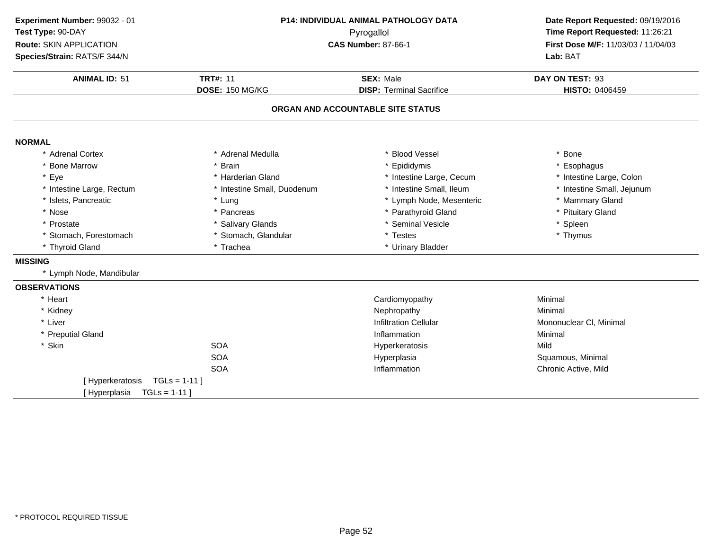| Experiment Number: 99032 - 01<br>Test Type: 90-DAY<br><b>Route: SKIN APPLICATION</b><br>Species/Strain: RATS/F 344/N |                             | P14: INDIVIDUAL ANIMAL PATHOLOGY DATA<br>Pyrogallol<br><b>CAS Number: 87-66-1</b> | Date Report Requested: 09/19/2016<br>Time Report Requested: 11:26:21<br>First Dose M/F: 11/03/03 / 11/04/03<br>Lab: BAT |
|----------------------------------------------------------------------------------------------------------------------|-----------------------------|-----------------------------------------------------------------------------------|-------------------------------------------------------------------------------------------------------------------------|
| <b>ANIMAL ID: 51</b>                                                                                                 | <b>TRT#: 11</b>             | <b>SEX: Male</b>                                                                  | DAY ON TEST: 93                                                                                                         |
|                                                                                                                      | DOSE: 150 MG/KG             | <b>DISP: Terminal Sacrifice</b>                                                   | <b>HISTO: 0406459</b>                                                                                                   |
|                                                                                                                      |                             | ORGAN AND ACCOUNTABLE SITE STATUS                                                 |                                                                                                                         |
| <b>NORMAL</b>                                                                                                        |                             |                                                                                   |                                                                                                                         |
| * Adrenal Cortex                                                                                                     | * Adrenal Medulla           | <b>Blood Vessel</b>                                                               | * Bone                                                                                                                  |
| * Bone Marrow                                                                                                        | * Brain                     | Epididymis                                                                        | * Esophagus                                                                                                             |
| * Eye                                                                                                                | * Harderian Gland           | * Intestine Large, Cecum                                                          | * Intestine Large, Colon                                                                                                |
| * Intestine Large, Rectum                                                                                            | * Intestine Small, Duodenum | * Intestine Small, Ileum                                                          | * Intestine Small, Jejunum                                                                                              |
| * Islets, Pancreatic                                                                                                 | * Lung                      | * Lymph Node, Mesenteric                                                          | * Mammary Gland                                                                                                         |
| * Nose                                                                                                               | * Pancreas                  | * Parathyroid Gland                                                               | * Pituitary Gland                                                                                                       |
| * Prostate                                                                                                           | * Salivary Glands           | * Seminal Vesicle                                                                 | * Spleen                                                                                                                |
| * Stomach, Forestomach                                                                                               | * Stomach, Glandular        | * Testes                                                                          | * Thymus                                                                                                                |
| * Thyroid Gland                                                                                                      | * Trachea                   | * Urinary Bladder                                                                 |                                                                                                                         |
| <b>MISSING</b>                                                                                                       |                             |                                                                                   |                                                                                                                         |
| * Lymph Node, Mandibular                                                                                             |                             |                                                                                   |                                                                                                                         |
| <b>OBSERVATIONS</b>                                                                                                  |                             |                                                                                   |                                                                                                                         |
| * Heart                                                                                                              |                             | Cardiomyopathy                                                                    | Minimal                                                                                                                 |
| * Kidney                                                                                                             |                             | Nephropathy                                                                       | Minimal                                                                                                                 |
| * Liver                                                                                                              |                             | <b>Infiltration Cellular</b>                                                      | Mononuclear CI, Minimal                                                                                                 |
| * Preputial Gland                                                                                                    |                             | Inflammation                                                                      | Minimal                                                                                                                 |
| * Skin                                                                                                               | <b>SOA</b>                  | Hyperkeratosis                                                                    | Mild                                                                                                                    |
|                                                                                                                      | <b>SOA</b>                  | Hyperplasia                                                                       | Squamous, Minimal                                                                                                       |
|                                                                                                                      | <b>SOA</b>                  | Inflammation                                                                      | Chronic Active, Mild                                                                                                    |
| [Hyperkeratosis                                                                                                      | $TGLs = 1-11$               |                                                                                   |                                                                                                                         |
| [Hyperplasia<br>$TGLs = 1-11$                                                                                        |                             |                                                                                   |                                                                                                                         |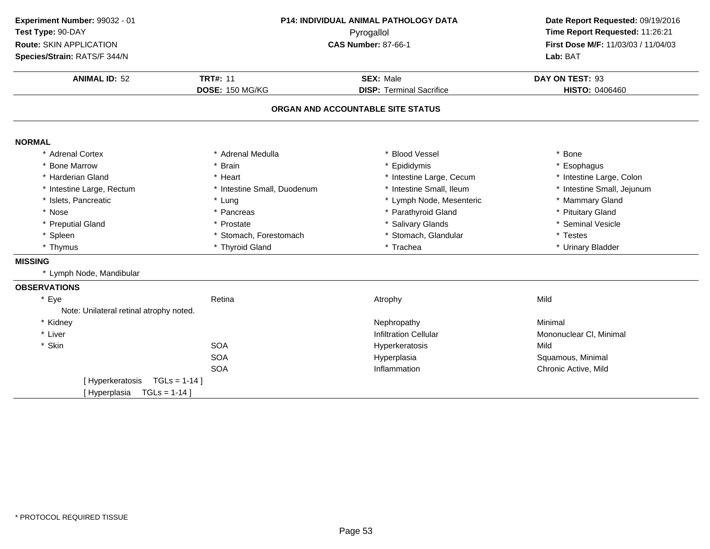| Time Report Requested: 11:26:21<br>First Dose M/F: 11/03/03 / 11/04/03<br>DAY ON TEST: 93<br>HISTO: 0406460 |
|-------------------------------------------------------------------------------------------------------------|
|                                                                                                             |
|                                                                                                             |
|                                                                                                             |
|                                                                                                             |
|                                                                                                             |
|                                                                                                             |
|                                                                                                             |
|                                                                                                             |
| * Esophagus                                                                                                 |
| * Intestine Large, Colon                                                                                    |
| * Intestine Small, Jejunum                                                                                  |
| * Mammary Gland                                                                                             |
| * Pituitary Gland                                                                                           |
| * Seminal Vesicle                                                                                           |
|                                                                                                             |
| * Urinary Bladder                                                                                           |
|                                                                                                             |
|                                                                                                             |
|                                                                                                             |
|                                                                                                             |
|                                                                                                             |
|                                                                                                             |
| Mononuclear CI, Minimal                                                                                     |
|                                                                                                             |
| Squamous, Minimal                                                                                           |
| Chronic Active, Mild                                                                                        |
|                                                                                                             |
|                                                                                                             |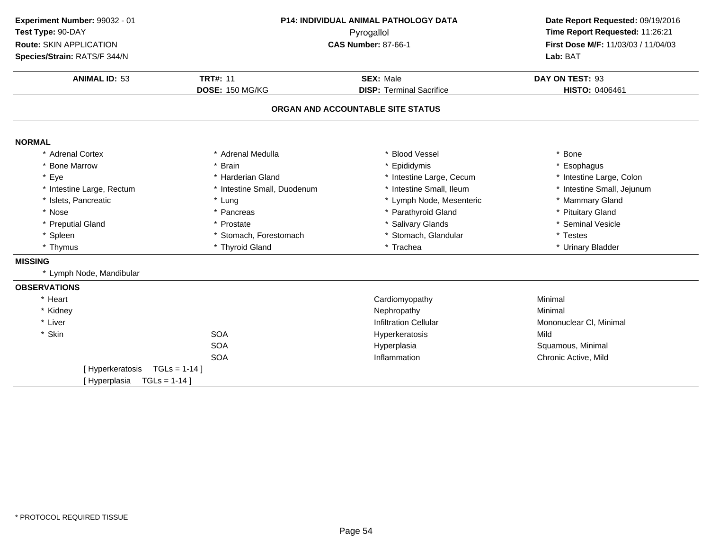| Experiment Number: 99032 - 01   | P14: INDIVIDUAL ANIMAL PATHOLOGY DATA<br>Pyrogallol |                                   | Date Report Requested: 09/19/2016<br>Time Report Requested: 11:26:21 |
|---------------------------------|-----------------------------------------------------|-----------------------------------|----------------------------------------------------------------------|
| Test Type: 90-DAY               |                                                     |                                   |                                                                      |
| Route: SKIN APPLICATION         |                                                     | <b>CAS Number: 87-66-1</b>        |                                                                      |
| Species/Strain: RATS/F 344/N    |                                                     | Lab: BAT                          |                                                                      |
| <b>ANIMAL ID: 53</b>            | <b>TRT#: 11</b>                                     | <b>SEX: Male</b>                  | DAY ON TEST: 93                                                      |
|                                 | <b>DOSE: 150 MG/KG</b>                              | <b>DISP: Terminal Sacrifice</b>   | <b>HISTO: 0406461</b>                                                |
|                                 |                                                     | ORGAN AND ACCOUNTABLE SITE STATUS |                                                                      |
| <b>NORMAL</b>                   |                                                     |                                   |                                                                      |
| * Adrenal Cortex                | * Adrenal Medulla                                   | * Blood Vessel                    | * Bone                                                               |
| * Bone Marrow                   | * Brain                                             | * Epididymis                      | * Esophagus                                                          |
| * Eye                           | * Harderian Gland                                   | * Intestine Large, Cecum          | * Intestine Large, Colon                                             |
| * Intestine Large, Rectum       | * Intestine Small, Duodenum                         | * Intestine Small, Ileum          | * Intestine Small, Jejunum                                           |
| * Islets, Pancreatic            | * Lung                                              | * Lymph Node, Mesenteric          | * Mammary Gland                                                      |
| * Nose                          | * Pancreas                                          | * Parathyroid Gland               | * Pituitary Gland                                                    |
| * Preputial Gland               | * Prostate                                          | * Salivary Glands                 | * Seminal Vesicle                                                    |
| * Spleen                        | * Stomach, Forestomach                              | * Stomach, Glandular              | * Testes                                                             |
| * Thymus                        | * Thyroid Gland                                     | * Trachea                         | * Urinary Bladder                                                    |
| <b>MISSING</b>                  |                                                     |                                   |                                                                      |
| * Lymph Node, Mandibular        |                                                     |                                   |                                                                      |
| <b>OBSERVATIONS</b>             |                                                     |                                   |                                                                      |
| * Heart                         |                                                     | Cardiomyopathy                    | Minimal                                                              |
| * Kidney                        |                                                     | Nephropathy                       | Minimal                                                              |
| * Liver                         |                                                     | <b>Infiltration Cellular</b>      | Mononuclear CI, Minimal                                              |
| * Skin                          | <b>SOA</b>                                          | Hyperkeratosis                    | Mild                                                                 |
|                                 | <b>SOA</b>                                          | Hyperplasia                       | Squamous, Minimal                                                    |
|                                 | <b>SOA</b>                                          | Inflammation                      | Chronic Active, Mild                                                 |
| [Hyperkeratosis]                | $TGLS = 1-14$                                       |                                   |                                                                      |
| $TGLs = 1-14$ ]<br>[Hyperplasia |                                                     |                                   |                                                                      |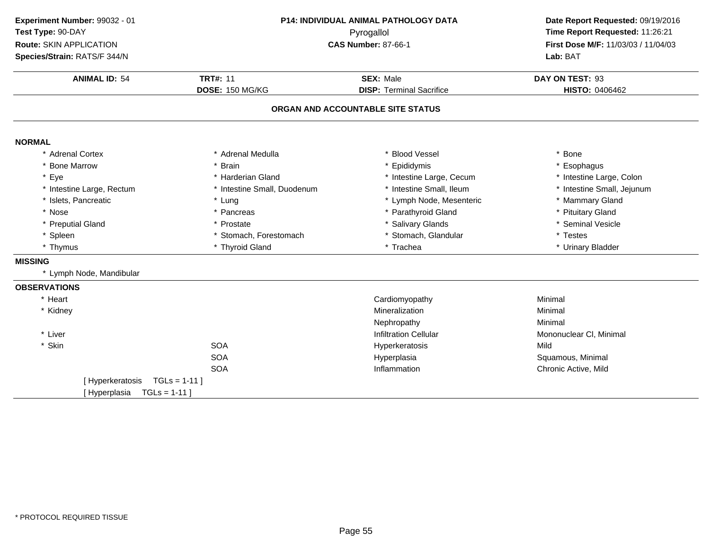| Experiment Number: 99032 - 01 |                                          | P14: INDIVIDUAL ANIMAL PATHOLOGY DATA | Date Report Requested: 09/19/2016                                      |
|-------------------------------|------------------------------------------|---------------------------------------|------------------------------------------------------------------------|
| Test Type: 90-DAY             | Pyrogallol<br><b>CAS Number: 87-66-1</b> |                                       | Time Report Requested: 11:26:21<br>First Dose M/F: 11/03/03 / 11/04/03 |
| Route: SKIN APPLICATION       |                                          |                                       |                                                                        |
| Species/Strain: RATS/F 344/N  |                                          |                                       | Lab: BAT                                                               |
| <b>ANIMAL ID: 54</b>          | <b>TRT#: 11</b>                          | <b>SEX: Male</b>                      | DAY ON TEST: 93                                                        |
|                               | DOSE: 150 MG/KG                          | <b>DISP: Terminal Sacrifice</b>       | HISTO: 0406462                                                         |
|                               |                                          | ORGAN AND ACCOUNTABLE SITE STATUS     |                                                                        |
| <b>NORMAL</b>                 |                                          |                                       |                                                                        |
| * Adrenal Cortex              | * Adrenal Medulla                        | * Blood Vessel                        | * Bone                                                                 |
| * Bone Marrow                 | * Brain                                  | * Epididymis                          | Esophagus                                                              |
| * Eye                         | * Harderian Gland                        | * Intestine Large, Cecum              | * Intestine Large, Colon                                               |
| * Intestine Large, Rectum     | * Intestine Small, Duodenum              | * Intestine Small, Ileum              | * Intestine Small, Jejunum                                             |
| * Islets, Pancreatic          | * Lung                                   | * Lymph Node, Mesenteric              | * Mammary Gland                                                        |
| * Nose                        | * Pancreas                               | * Parathyroid Gland                   | * Pituitary Gland                                                      |
| * Preputial Gland             | * Prostate                               | * Salivary Glands                     | * Seminal Vesicle                                                      |
| * Spleen                      | * Stomach, Forestomach                   | * Stomach, Glandular                  | * Testes                                                               |
| * Thymus                      | * Thyroid Gland                          | * Trachea                             | * Urinary Bladder                                                      |
| <b>MISSING</b>                |                                          |                                       |                                                                        |
| * Lymph Node, Mandibular      |                                          |                                       |                                                                        |
| <b>OBSERVATIONS</b>           |                                          |                                       |                                                                        |
| * Heart                       |                                          | Cardiomyopathy                        | Minimal                                                                |
| * Kidney                      |                                          | Mineralization                        | Minimal                                                                |
|                               |                                          | Nephropathy                           | Minimal                                                                |
| * Liver                       |                                          | <b>Infiltration Cellular</b>          | Mononuclear CI, Minimal                                                |
| * Skin                        | <b>SOA</b>                               | Hyperkeratosis                        | Mild                                                                   |
|                               | <b>SOA</b>                               | Hyperplasia                           | Squamous, Minimal                                                      |
|                               | <b>SOA</b>                               | Inflammation                          | Chronic Active, Mild                                                   |
| [Hyperkeratosis               | $TGLs = 1-11$                            |                                       |                                                                        |
| [Hyperplasia<br>$TGLs = 1-11$ |                                          |                                       |                                                                        |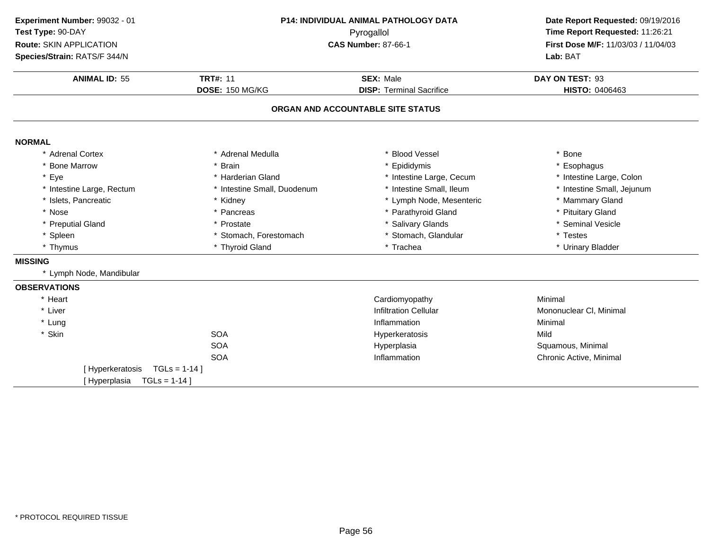| Experiment Number: 99032 - 01  | P14: INDIVIDUAL ANIMAL PATHOLOGY DATA |                                   | Date Report Requested: 09/19/2016   |
|--------------------------------|---------------------------------------|-----------------------------------|-------------------------------------|
| Test Type: 90-DAY              |                                       | Pyrogallol                        | Time Report Requested: 11:26:21     |
| <b>Route: SKIN APPLICATION</b> |                                       | <b>CAS Number: 87-66-1</b>        | First Dose M/F: 11/03/03 / 11/04/03 |
| Species/Strain: RATS/F 344/N   |                                       |                                   | Lab: BAT                            |
| <b>ANIMAL ID: 55</b>           | <b>TRT#: 11</b>                       | <b>SEX: Male</b>                  | DAY ON TEST: 93                     |
|                                | DOSE: 150 MG/KG                       | <b>DISP: Terminal Sacrifice</b>   | HISTO: 0406463                      |
|                                |                                       | ORGAN AND ACCOUNTABLE SITE STATUS |                                     |
| <b>NORMAL</b>                  |                                       |                                   |                                     |
| * Adrenal Cortex               | * Adrenal Medulla                     | * Blood Vessel                    | * Bone                              |
| * Bone Marrow                  | * Brain                               | * Epididymis                      | Esophagus                           |
| * Eye                          | * Harderian Gland                     | * Intestine Large, Cecum          | * Intestine Large, Colon            |
| * Intestine Large, Rectum      | * Intestine Small, Duodenum           | * Intestine Small, Ileum          | * Intestine Small, Jejunum          |
| * Islets, Pancreatic           | * Kidney                              | * Lymph Node, Mesenteric          | * Mammary Gland                     |
| * Nose                         | * Pancreas                            | * Parathyroid Gland               | * Pituitary Gland                   |
| * Preputial Gland              | * Prostate                            | <b>Salivary Glands</b>            | * Seminal Vesicle                   |
| * Spleen                       | * Stomach, Forestomach                | * Stomach, Glandular              | * Testes                            |
| * Thymus                       | * Thyroid Gland                       | * Trachea                         | * Urinary Bladder                   |
| <b>MISSING</b>                 |                                       |                                   |                                     |
| * Lymph Node, Mandibular       |                                       |                                   |                                     |
| <b>OBSERVATIONS</b>            |                                       |                                   |                                     |
| * Heart                        |                                       | Cardiomyopathy                    | Minimal                             |
| * Liver                        |                                       | <b>Infiltration Cellular</b>      | Mononuclear CI, Minimal             |
| * Lung                         |                                       | Inflammation                      | Minimal                             |
| * Skin                         | <b>SOA</b>                            | Hyperkeratosis                    | Mild                                |
|                                | <b>SOA</b>                            | Hyperplasia                       | Squamous, Minimal                   |
|                                | <b>SOA</b>                            | Inflammation                      | Chronic Active, Minimal             |
| [Hyperkeratosis                | $TGLs = 1-14$                         |                                   |                                     |
| [Hyperplasia                   | $TGLs = 1-14$ ]                       |                                   |                                     |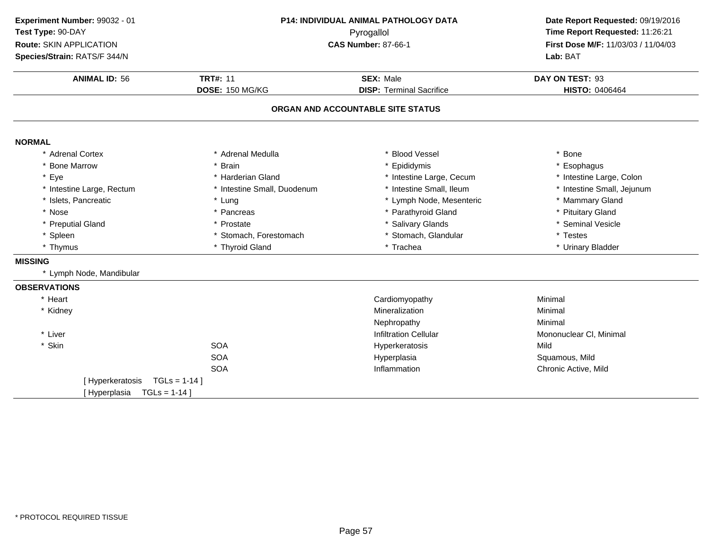| Experiment Number: 99032 - 01                         |                             | P14: INDIVIDUAL ANIMAL PATHOLOGY DATA |                                     |
|-------------------------------------------------------|-----------------------------|---------------------------------------|-------------------------------------|
| Test Type: 90-DAY                                     | Pyrogallol                  |                                       | Time Report Requested: 11:26:21     |
| Route: SKIN APPLICATION<br><b>CAS Number: 87-66-1</b> |                             |                                       | First Dose M/F: 11/03/03 / 11/04/03 |
| Species/Strain: RATS/F 344/N                          |                             |                                       | Lab: BAT                            |
| <b>ANIMAL ID: 56</b>                                  | <b>TRT#: 11</b>             | <b>SEX: Male</b>                      | DAY ON TEST: 93                     |
|                                                       | DOSE: 150 MG/KG             | <b>DISP: Terminal Sacrifice</b>       | HISTO: 0406464                      |
|                                                       |                             | ORGAN AND ACCOUNTABLE SITE STATUS     |                                     |
| <b>NORMAL</b>                                         |                             |                                       |                                     |
| * Adrenal Cortex                                      | * Adrenal Medulla           | * Blood Vessel                        | * Bone                              |
| * Bone Marrow                                         | * Brain                     | * Epididymis                          | * Esophagus                         |
| * Eye                                                 | * Harderian Gland           | * Intestine Large, Cecum              | * Intestine Large, Colon            |
| * Intestine Large, Rectum                             | * Intestine Small, Duodenum | * Intestine Small, Ileum              | * Intestine Small, Jejunum          |
| * Islets, Pancreatic                                  | * Lung                      | * Lymph Node, Mesenteric              | * Mammary Gland                     |
| * Nose                                                | * Pancreas                  | * Parathyroid Gland                   | * Pituitary Gland                   |
| * Preputial Gland                                     | * Prostate                  | * Salivary Glands                     | * Seminal Vesicle                   |
| * Spleen                                              | * Stomach, Forestomach      | * Stomach, Glandular                  | * Testes                            |
| * Thymus                                              | * Thyroid Gland             | * Trachea                             | * Urinary Bladder                   |
| <b>MISSING</b>                                        |                             |                                       |                                     |
| * Lymph Node, Mandibular                              |                             |                                       |                                     |
| <b>OBSERVATIONS</b>                                   |                             |                                       |                                     |
| * Heart                                               |                             | Cardiomyopathy                        | Minimal                             |
| * Kidney                                              |                             | Mineralization                        | Minimal                             |
|                                                       |                             | Nephropathy                           | Minimal                             |
| * Liver                                               |                             | <b>Infiltration Cellular</b>          | Mononuclear CI, Minimal             |
| * Skin                                                | <b>SOA</b>                  | Hyperkeratosis                        | Mild                                |
|                                                       | <b>SOA</b>                  | Hyperplasia                           | Squamous, Mild                      |
|                                                       | <b>SOA</b>                  | Inflammation                          | Chronic Active, Mild                |
| [Hyperkeratosis                                       | $TGLs = 1-14$ ]             |                                       |                                     |
| [Hyperplasia                                          | $TGLs = 1-14$               |                                       |                                     |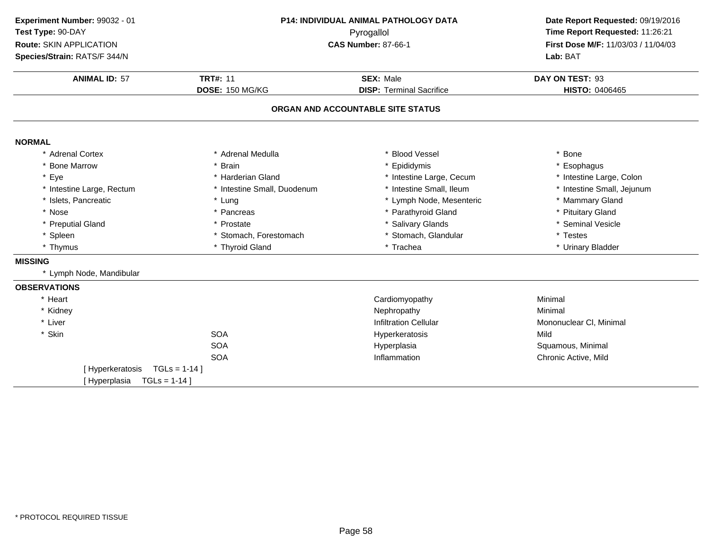| Experiment Number: 99032 - 01   | P14: INDIVIDUAL ANIMAL PATHOLOGY DATA |                                                 | Date Report Requested: 09/19/2016 |
|---------------------------------|---------------------------------------|-------------------------------------------------|-----------------------------------|
| Test Type: 90-DAY               |                                       | Pyrogallol                                      | Time Report Requested: 11:26:21   |
| Route: SKIN APPLICATION         |                                       | <b>CAS Number: 87-66-1</b>                      |                                   |
| Species/Strain: RATS/F 344/N    |                                       | First Dose M/F: 11/03/03 / 11/04/03<br>Lab: BAT |                                   |
| <b>ANIMAL ID: 57</b>            | <b>TRT#: 11</b>                       | <b>SEX: Male</b>                                | DAY ON TEST: 93                   |
|                                 | DOSE: 150 MG/KG                       | <b>DISP: Terminal Sacrifice</b>                 | HISTO: 0406465                    |
|                                 |                                       | ORGAN AND ACCOUNTABLE SITE STATUS               |                                   |
| <b>NORMAL</b>                   |                                       |                                                 |                                   |
| * Adrenal Cortex                | * Adrenal Medulla                     | * Blood Vessel                                  | * Bone                            |
| * Bone Marrow                   | * Brain                               | * Epididymis                                    | * Esophagus                       |
| * Eye                           | * Harderian Gland                     | * Intestine Large, Cecum                        | * Intestine Large, Colon          |
| * Intestine Large, Rectum       | * Intestine Small, Duodenum           | * Intestine Small, Ileum                        | * Intestine Small, Jejunum        |
| * Islets, Pancreatic            | * Lung                                | * Lymph Node, Mesenteric                        | * Mammary Gland                   |
| * Nose                          | * Pancreas                            | * Parathyroid Gland                             | * Pituitary Gland                 |
| * Preputial Gland               | * Prostate                            | * Salivary Glands                               | * Seminal Vesicle                 |
| * Spleen                        | * Stomach, Forestomach                | * Stomach, Glandular                            | * Testes                          |
| * Thymus                        | * Thyroid Gland                       | * Trachea                                       | * Urinary Bladder                 |
| <b>MISSING</b>                  |                                       |                                                 |                                   |
| * Lymph Node, Mandibular        |                                       |                                                 |                                   |
| <b>OBSERVATIONS</b>             |                                       |                                                 |                                   |
| * Heart                         |                                       | Cardiomyopathy                                  | Minimal                           |
| * Kidney                        |                                       | Nephropathy                                     | Minimal                           |
| * Liver                         |                                       | <b>Infiltration Cellular</b>                    | Mononuclear CI, Minimal           |
| * Skin                          | <b>SOA</b>                            | Hyperkeratosis                                  | Mild                              |
|                                 | <b>SOA</b>                            | Hyperplasia                                     | Squamous, Minimal                 |
|                                 | <b>SOA</b>                            | Inflammation                                    | Chronic Active, Mild              |
| [Hyperkeratosis]                | $TGLS = 1-14$                         |                                                 |                                   |
| $TGLs = 1-14$ ]<br>[Hyperplasia |                                       |                                                 |                                   |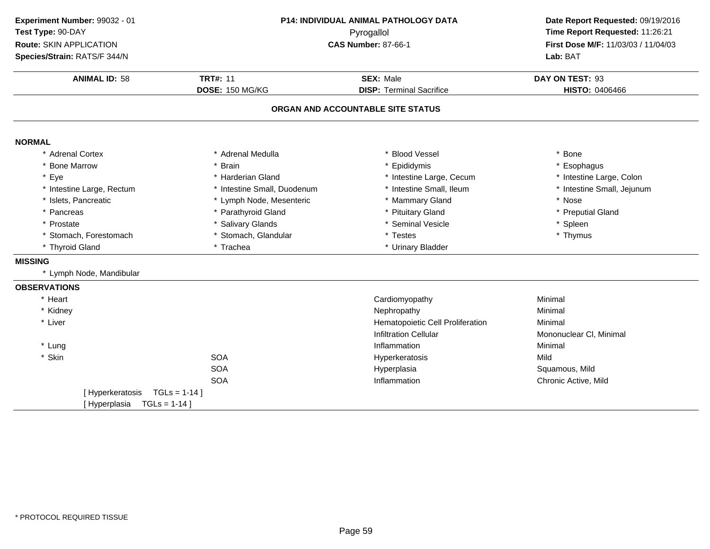| Experiment Number: 99032 - 01 |                             | P14: INDIVIDUAL ANIMAL PATHOLOGY DATA | Date Report Requested: 09/19/2016<br>Time Report Requested: 11:26:21<br>First Dose M/F: 11/03/03 / 11/04/03 |
|-------------------------------|-----------------------------|---------------------------------------|-------------------------------------------------------------------------------------------------------------|
| Test Type: 90-DAY             |                             | Pyrogallol                            |                                                                                                             |
| Route: SKIN APPLICATION       |                             | <b>CAS Number: 87-66-1</b>            |                                                                                                             |
| Species/Strain: RATS/F 344/N  |                             |                                       | Lab: BAT                                                                                                    |
| <b>ANIMAL ID: 58</b>          | <b>TRT#: 11</b>             | <b>SEX: Male</b>                      | DAY ON TEST: 93                                                                                             |
|                               | <b>DOSE: 150 MG/KG</b>      | <b>DISP: Terminal Sacrifice</b>       | <b>HISTO: 0406466</b>                                                                                       |
|                               |                             | ORGAN AND ACCOUNTABLE SITE STATUS     |                                                                                                             |
| <b>NORMAL</b>                 |                             |                                       |                                                                                                             |
| * Adrenal Cortex              | * Adrenal Medulla           | * Blood Vessel                        | * Bone                                                                                                      |
| * Bone Marrow                 | * Brain                     | Epididymis                            | * Esophagus                                                                                                 |
| * Eye                         | * Harderian Gland           | * Intestine Large, Cecum              | * Intestine Large, Colon                                                                                    |
| * Intestine Large, Rectum     | * Intestine Small, Duodenum | * Intestine Small, Ileum              | * Intestine Small, Jejunum                                                                                  |
| * Islets, Pancreatic          | * Lymph Node, Mesenteric    | * Mammary Gland                       | * Nose                                                                                                      |
| * Pancreas                    | * Parathyroid Gland         | * Pituitary Gland                     | * Preputial Gland                                                                                           |
| * Prostate                    | * Salivary Glands           | * Seminal Vesicle                     | * Spleen                                                                                                    |
| * Stomach, Forestomach        | * Stomach, Glandular        | * Testes                              | * Thymus                                                                                                    |
| * Thyroid Gland               | * Trachea                   | * Urinary Bladder                     |                                                                                                             |
| <b>MISSING</b>                |                             |                                       |                                                                                                             |
| * Lymph Node, Mandibular      |                             |                                       |                                                                                                             |
| <b>OBSERVATIONS</b>           |                             |                                       |                                                                                                             |
| * Heart                       |                             | Cardiomyopathy                        | Minimal                                                                                                     |
| * Kidney                      |                             | Nephropathy                           | Minimal                                                                                                     |
| * Liver                       |                             | Hematopoietic Cell Proliferation      | Minimal                                                                                                     |
|                               |                             | <b>Infiltration Cellular</b>          | Mononuclear CI, Minimal                                                                                     |
| * Lung                        |                             | Inflammation                          | Minimal                                                                                                     |
| * Skin                        | <b>SOA</b>                  | Hyperkeratosis                        | Mild                                                                                                        |
|                               | <b>SOA</b>                  | Hyperplasia                           | Squamous, Mild                                                                                              |
|                               | <b>SOA</b>                  | Inflammation                          | Chronic Active, Mild                                                                                        |
| [Hyperkeratosis               | $TGLs = 1-14$               |                                       |                                                                                                             |
| [Hyperplasia                  | $TGLs = 1-14$               |                                       |                                                                                                             |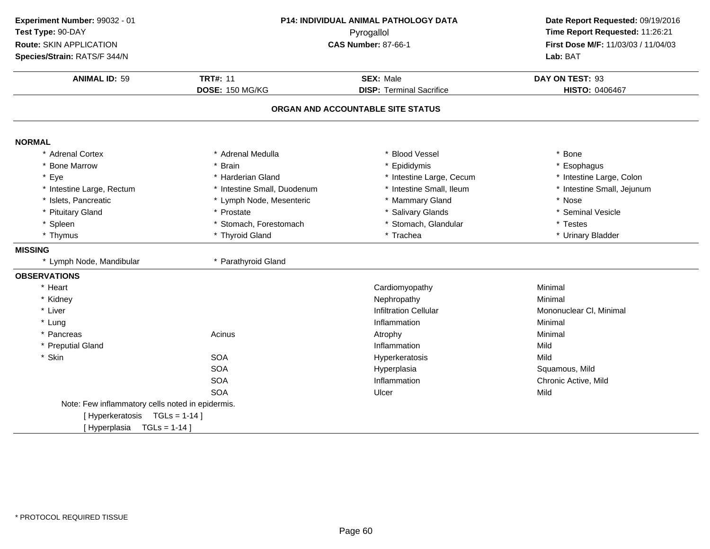| Experiment Number: 99032 - 01                    |                             | P14: INDIVIDUAL ANIMAL PATHOLOGY DATA | Date Report Requested: 09/19/2016 |
|--------------------------------------------------|-----------------------------|---------------------------------------|-----------------------------------|
| Test Type: 90-DAY                                | Pyrogallol                  |                                       | Time Report Requested: 11:26:21   |
| Route: SKIN APPLICATION                          |                             | <b>CAS Number: 87-66-1</b>            |                                   |
| Species/Strain: RATS/F 344/N                     |                             |                                       | Lab: BAT                          |
| <b>ANIMAL ID: 59</b>                             | <b>TRT#: 11</b>             | <b>SEX: Male</b>                      | DAY ON TEST: 93                   |
|                                                  | DOSE: 150 MG/KG             | <b>DISP: Terminal Sacrifice</b>       | HISTO: 0406467                    |
|                                                  |                             | ORGAN AND ACCOUNTABLE SITE STATUS     |                                   |
| <b>NORMAL</b>                                    |                             |                                       |                                   |
| * Adrenal Cortex                                 | * Adrenal Medulla           | * Blood Vessel                        | * Bone                            |
| * Bone Marrow                                    | * Brain                     | * Epididymis                          | * Esophagus                       |
| * Eye                                            | * Harderian Gland           | * Intestine Large, Cecum              | * Intestine Large, Colon          |
| * Intestine Large, Rectum                        | * Intestine Small, Duodenum | * Intestine Small, Ileum              | * Intestine Small, Jejunum        |
| * Islets, Pancreatic                             | * Lymph Node, Mesenteric    | * Mammary Gland                       | * Nose                            |
| * Pituitary Gland                                | * Prostate                  | * Salivary Glands                     | * Seminal Vesicle                 |
| * Spleen                                         | * Stomach, Forestomach      | * Stomach, Glandular                  | * Testes                          |
| * Thymus                                         | * Thyroid Gland             | * Trachea                             | * Urinary Bladder                 |
| <b>MISSING</b>                                   |                             |                                       |                                   |
| * Lymph Node, Mandibular                         | * Parathyroid Gland         |                                       |                                   |
| <b>OBSERVATIONS</b>                              |                             |                                       |                                   |
| * Heart                                          |                             | Cardiomyopathy                        | Minimal                           |
| * Kidney                                         |                             | Nephropathy                           | Minimal                           |
| * Liver                                          |                             | <b>Infiltration Cellular</b>          | Mononuclear CI, Minimal           |
| * Lung                                           |                             | Inflammation                          | Minimal                           |
| * Pancreas                                       | Acinus                      | Atrophy                               | Minimal                           |
| * Preputial Gland                                |                             | Inflammation                          | Mild                              |
| * Skin                                           | <b>SOA</b>                  | Hyperkeratosis                        | Mild                              |
|                                                  | <b>SOA</b>                  | Hyperplasia                           | Squamous, Mild                    |
|                                                  | SOA                         | Inflammation                          | Chronic Active, Mild              |
|                                                  | <b>SOA</b>                  | Ulcer                                 | Mild                              |
| Note: Few inflammatory cells noted in epidermis. |                             |                                       |                                   |
| [Hyperkeratosis TGLs = 1-14]                     |                             |                                       |                                   |
| [Hyperplasia TGLs = 1-14]                        |                             |                                       |                                   |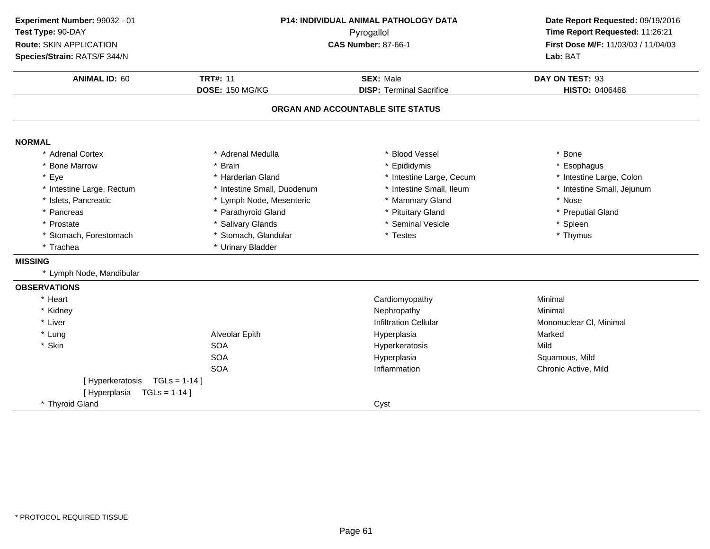| Experiment Number: 99032 - 01   | P14: INDIVIDUAL ANIMAL PATHOLOGY DATA<br>Pyrogallol |                                   | Date Report Requested: 09/19/2016<br>Time Report Requested: 11:26:21 |
|---------------------------------|-----------------------------------------------------|-----------------------------------|----------------------------------------------------------------------|
| Test Type: 90-DAY               |                                                     |                                   |                                                                      |
| Route: SKIN APPLICATION         |                                                     | <b>CAS Number: 87-66-1</b>        | First Dose M/F: 11/03/03 / 11/04/03                                  |
| Species/Strain: RATS/F 344/N    |                                                     |                                   | Lab: BAT                                                             |
| <b>ANIMAL ID: 60</b>            | <b>TRT#: 11</b>                                     | <b>SEX: Male</b>                  | DAY ON TEST: 93                                                      |
|                                 | DOSE: 150 MG/KG                                     | <b>DISP: Terminal Sacrifice</b>   | <b>HISTO: 0406468</b>                                                |
|                                 |                                                     | ORGAN AND ACCOUNTABLE SITE STATUS |                                                                      |
| <b>NORMAL</b>                   |                                                     |                                   |                                                                      |
| * Adrenal Cortex                | * Adrenal Medulla                                   | <b>Blood Vessel</b>               | * Bone                                                               |
| * Bone Marrow                   | * Brain                                             | * Epididymis                      | * Esophagus                                                          |
| * Eye                           | * Harderian Gland                                   | * Intestine Large, Cecum          | * Intestine Large, Colon                                             |
| * Intestine Large, Rectum       | * Intestine Small, Duodenum                         | * Intestine Small, Ileum          | * Intestine Small, Jejunum                                           |
| * Islets, Pancreatic            | * Lymph Node, Mesenteric                            | * Mammary Gland                   | * Nose                                                               |
| * Pancreas                      | * Parathyroid Gland                                 | * Pituitary Gland                 | * Preputial Gland                                                    |
| * Prostate                      | * Salivary Glands                                   | * Seminal Vesicle                 | * Spleen                                                             |
| * Stomach, Forestomach          | * Stomach, Glandular                                | * Testes                          | * Thymus                                                             |
| * Trachea                       | * Urinary Bladder                                   |                                   |                                                                      |
| <b>MISSING</b>                  |                                                     |                                   |                                                                      |
| * Lymph Node, Mandibular        |                                                     |                                   |                                                                      |
| <b>OBSERVATIONS</b>             |                                                     |                                   |                                                                      |
| * Heart                         |                                                     | Cardiomyopathy                    | Minimal                                                              |
| * Kidney                        |                                                     | Nephropathy                       | Minimal                                                              |
| * Liver                         |                                                     | <b>Infiltration Cellular</b>      | Mononuclear CI, Minimal                                              |
| * Lung                          | Alveolar Epith                                      | Hyperplasia                       | Marked                                                               |
| * Skin                          | <b>SOA</b>                                          | Hyperkeratosis                    | Mild                                                                 |
|                                 | <b>SOA</b>                                          | Hyperplasia                       | Squamous, Mild                                                       |
|                                 | <b>SOA</b>                                          | Inflammation                      | Chronic Active, Mild                                                 |
| [Hyperkeratosis TGLs = 1-14]    |                                                     |                                   |                                                                      |
| [Hyperplasia<br>$TGLs = 1-14$ ] |                                                     |                                   |                                                                      |
| * Thyroid Gland                 |                                                     | Cyst                              |                                                                      |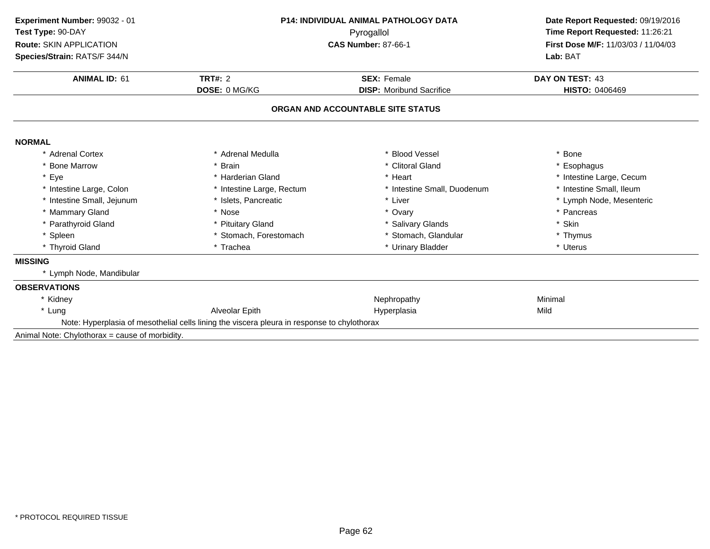| Experiment Number: 99032 - 01                  |                                                                                             | <b>P14: INDIVIDUAL ANIMAL PATHOLOGY DATA</b><br>Pyrogallol |                                     |  |
|------------------------------------------------|---------------------------------------------------------------------------------------------|------------------------------------------------------------|-------------------------------------|--|
| Test Type: 90-DAY                              |                                                                                             |                                                            |                                     |  |
| <b>Route: SKIN APPLICATION</b>                 |                                                                                             | <b>CAS Number: 87-66-1</b>                                 | First Dose M/F: 11/03/03 / 11/04/03 |  |
| Species/Strain: RATS/F 344/N                   |                                                                                             |                                                            | Lab: BAT                            |  |
| <b>ANIMAL ID: 61</b>                           | <b>TRT#: 2</b>                                                                              | <b>SEX: Female</b>                                         | DAY ON TEST: 43                     |  |
|                                                | DOSE: 0 MG/KG                                                                               | <b>DISP:</b> Moribund Sacrifice                            | <b>HISTO: 0406469</b>               |  |
|                                                |                                                                                             | ORGAN AND ACCOUNTABLE SITE STATUS                          |                                     |  |
| <b>NORMAL</b>                                  |                                                                                             |                                                            |                                     |  |
| * Adrenal Cortex                               | * Adrenal Medulla                                                                           | * Blood Vessel                                             | * Bone                              |  |
| * Bone Marrow                                  | * Brain                                                                                     | * Clitoral Gland                                           | * Esophagus                         |  |
| * Eye                                          | * Harderian Gland                                                                           | * Heart                                                    | * Intestine Large, Cecum            |  |
| * Intestine Large, Colon                       | * Intestine Large, Rectum                                                                   | * Intestine Small, Duodenum                                | * Intestine Small, Ileum            |  |
| * Intestine Small, Jejunum                     | * Islets, Pancreatic                                                                        | * Liver                                                    | * Lymph Node, Mesenteric            |  |
| * Mammary Gland                                | * Nose                                                                                      | * Ovary                                                    | * Pancreas                          |  |
| * Parathyroid Gland                            | * Pituitary Gland                                                                           | * Salivary Glands                                          | * Skin                              |  |
| * Spleen                                       | * Stomach, Forestomach                                                                      | * Stomach, Glandular                                       | * Thymus                            |  |
| * Thyroid Gland                                | * Trachea<br>* Urinary Bladder                                                              |                                                            | * Uterus                            |  |
| <b>MISSING</b>                                 |                                                                                             |                                                            |                                     |  |
| * Lymph Node, Mandibular                       |                                                                                             |                                                            |                                     |  |
| <b>OBSERVATIONS</b>                            |                                                                                             |                                                            |                                     |  |
| * Kidney                                       |                                                                                             | Nephropathy                                                | Minimal                             |  |
| * Lung                                         | Alveolar Epith                                                                              | Hyperplasia                                                | Mild                                |  |
|                                                | Note: Hyperplasia of mesothelial cells lining the viscera pleura in response to chylothorax |                                                            |                                     |  |
| Animal Note: Chylothorax = cause of morbidity. |                                                                                             |                                                            |                                     |  |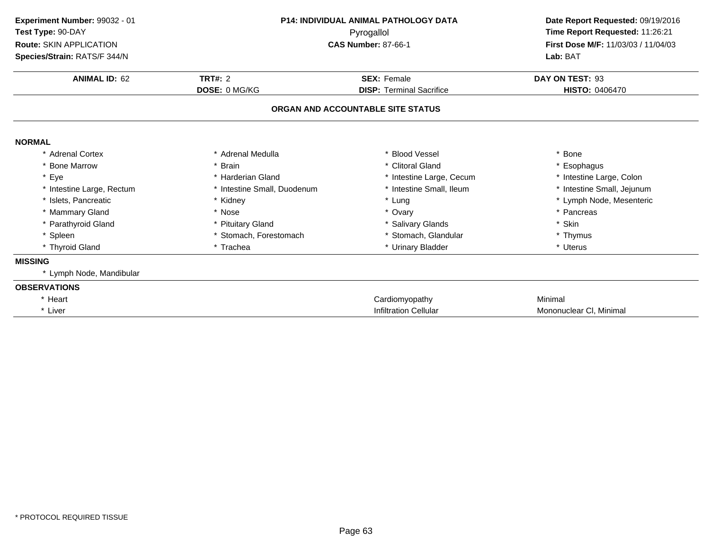| Experiment Number: 99032 - 01<br>Test Type: 90-DAY<br>Route: SKIN APPLICATION<br>Species/Strain: RATS/F 344/N | <b>P14: INDIVIDUAL ANIMAL PATHOLOGY DATA</b><br>Pyrogallol<br><b>CAS Number: 87-66-1</b> |                                   | Date Report Requested: 09/19/2016<br>Time Report Requested: 11:26:21<br>First Dose M/F: 11/03/03 / 11/04/03<br>Lab: BAT |  |
|---------------------------------------------------------------------------------------------------------------|------------------------------------------------------------------------------------------|-----------------------------------|-------------------------------------------------------------------------------------------------------------------------|--|
| <b>ANIMAL ID: 62</b>                                                                                          | <b>TRT#: 2</b>                                                                           | <b>SEX: Female</b>                | DAY ON TEST: 93                                                                                                         |  |
|                                                                                                               | DOSE: 0 MG/KG                                                                            | <b>DISP: Terminal Sacrifice</b>   | <b>HISTO: 0406470</b>                                                                                                   |  |
|                                                                                                               |                                                                                          | ORGAN AND ACCOUNTABLE SITE STATUS |                                                                                                                         |  |
| <b>NORMAL</b>                                                                                                 |                                                                                          |                                   |                                                                                                                         |  |
| * Adrenal Cortex                                                                                              | * Adrenal Medulla                                                                        | * Blood Vessel                    | * Bone                                                                                                                  |  |
| <b>Bone Marrow</b>                                                                                            | * Brain                                                                                  | * Clitoral Gland                  | * Esophagus                                                                                                             |  |
| * Eye                                                                                                         | * Harderian Gland                                                                        | * Intestine Large, Cecum          | * Intestine Large, Colon                                                                                                |  |
| * Intestine Large, Rectum                                                                                     | * Intestine Small, Duodenum                                                              | * Intestine Small, Ileum          | * Intestine Small, Jejunum                                                                                              |  |
| * Islets, Pancreatic                                                                                          | * Kidney                                                                                 | * Lung                            | * Lymph Node, Mesenteric                                                                                                |  |
| * Mammary Gland                                                                                               | * Nose                                                                                   | * Ovary                           | * Pancreas                                                                                                              |  |
| * Parathyroid Gland                                                                                           | * Pituitary Gland                                                                        | * Salivary Glands                 | * Skin                                                                                                                  |  |
| * Spleen                                                                                                      | * Stomach. Forestomach                                                                   | * Stomach, Glandular              | * Thymus                                                                                                                |  |
| * Thyroid Gland                                                                                               | * Trachea                                                                                | * Urinary Bladder                 | * Uterus                                                                                                                |  |
| <b>MISSING</b>                                                                                                |                                                                                          |                                   |                                                                                                                         |  |
| * Lymph Node, Mandibular                                                                                      |                                                                                          |                                   |                                                                                                                         |  |
| <b>OBSERVATIONS</b>                                                                                           |                                                                                          |                                   |                                                                                                                         |  |
| * Heart                                                                                                       |                                                                                          | Cardiomyopathy                    | Minimal                                                                                                                 |  |
| * Liver                                                                                                       |                                                                                          | <b>Infiltration Cellular</b>      | Mononuclear CI, Minimal                                                                                                 |  |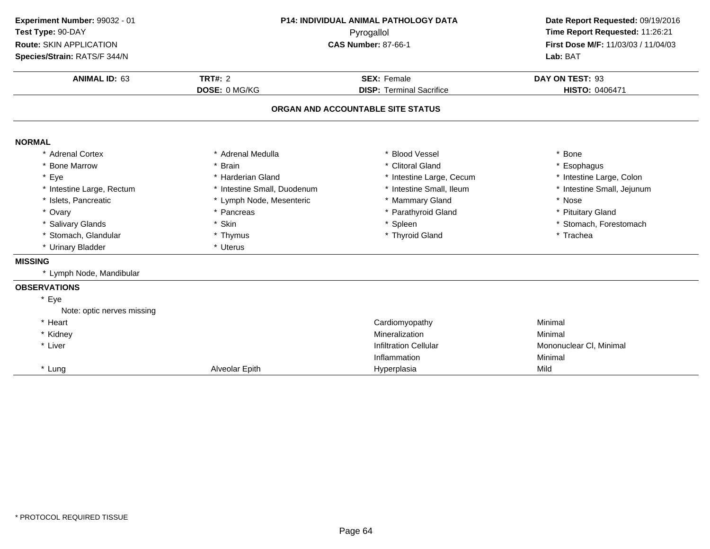| Experiment Number: 99032 - 01 | <b>P14: INDIVIDUAL ANIMAL PATHOLOGY DATA</b> |                                   | Date Report Requested: 09/19/2016   |  |
|-------------------------------|----------------------------------------------|-----------------------------------|-------------------------------------|--|
| Test Type: 90-DAY             |                                              | Pyrogallol                        |                                     |  |
| Route: SKIN APPLICATION       |                                              | <b>CAS Number: 87-66-1</b>        | First Dose M/F: 11/03/03 / 11/04/03 |  |
| Species/Strain: RATS/F 344/N  |                                              |                                   | Lab: BAT                            |  |
| <b>ANIMAL ID: 63</b>          | TRT#: $2$                                    | <b>SEX: Female</b>                | DAY ON TEST: 93                     |  |
|                               | DOSE: 0 MG/KG                                | <b>DISP: Terminal Sacrifice</b>   | HISTO: 0406471                      |  |
|                               |                                              | ORGAN AND ACCOUNTABLE SITE STATUS |                                     |  |
| <b>NORMAL</b>                 |                                              |                                   |                                     |  |
| * Adrenal Cortex              | * Adrenal Medulla                            | * Blood Vessel                    | * Bone                              |  |
| * Bone Marrow                 | * Brain                                      | * Clitoral Gland                  | * Esophagus                         |  |
| * Eye                         | * Harderian Gland                            | * Intestine Large, Cecum          | * Intestine Large, Colon            |  |
| * Intestine Large, Rectum     | * Intestine Small, Duodenum                  | * Intestine Small, Ileum          | * Intestine Small, Jejunum          |  |
| * Islets, Pancreatic          | * Lymph Node, Mesenteric                     | * Mammary Gland                   | * Nose                              |  |
| * Ovary                       | * Pancreas                                   | * Parathyroid Gland               | * Pituitary Gland                   |  |
| * Salivary Glands             | * Skin                                       | * Spleen                          | * Stomach, Forestomach              |  |
| * Stomach, Glandular          | * Thymus                                     | * Thyroid Gland                   | * Trachea                           |  |
| * Urinary Bladder             | * Uterus                                     |                                   |                                     |  |
| <b>MISSING</b>                |                                              |                                   |                                     |  |
| * Lymph Node, Mandibular      |                                              |                                   |                                     |  |
| <b>OBSERVATIONS</b>           |                                              |                                   |                                     |  |
| * Eye                         |                                              |                                   |                                     |  |
| Note: optic nerves missing    |                                              |                                   |                                     |  |
| * Heart                       |                                              | Cardiomyopathy                    | Minimal                             |  |
| * Kidney                      |                                              | Mineralization                    | Minimal                             |  |
| * Liver                       |                                              | <b>Infiltration Cellular</b>      | Mononuclear CI, Minimal             |  |
|                               |                                              | Inflammation                      | Minimal                             |  |
| * Lung                        | Alveolar Epith                               | Hyperplasia                       | Mild                                |  |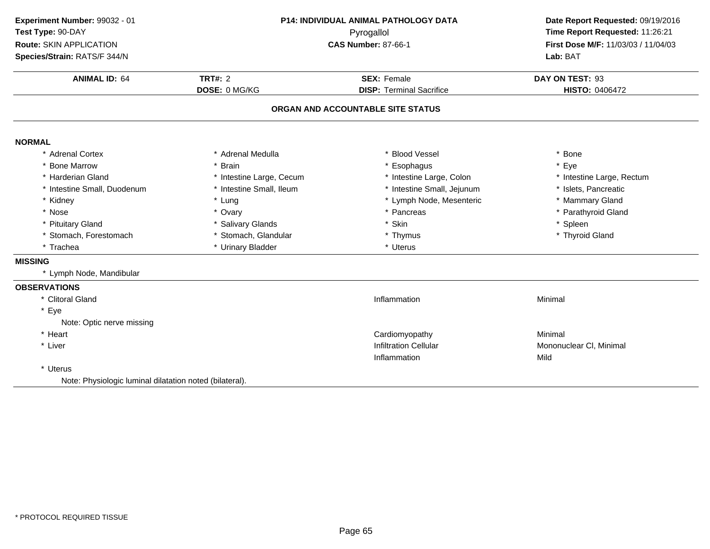| Experiment Number: 99032 - 01                           |                          | <b>P14: INDIVIDUAL ANIMAL PATHOLOGY DATA</b> | Date Report Requested: 09/19/2016<br>Time Report Requested: 11:26:21 |  |
|---------------------------------------------------------|--------------------------|----------------------------------------------|----------------------------------------------------------------------|--|
| Test Type: 90-DAY                                       |                          | Pyrogallol                                   |                                                                      |  |
| <b>Route: SKIN APPLICATION</b>                          |                          | <b>CAS Number: 87-66-1</b>                   | First Dose M/F: 11/03/03 / 11/04/03                                  |  |
| Species/Strain: RATS/F 344/N                            |                          |                                              | Lab: BAT                                                             |  |
| <b>ANIMAL ID: 64</b>                                    | <b>TRT#: 2</b>           | <b>SEX: Female</b>                           | DAY ON TEST: 93                                                      |  |
|                                                         | DOSE: 0 MG/KG            | <b>DISP: Terminal Sacrifice</b>              | HISTO: 0406472                                                       |  |
|                                                         |                          | ORGAN AND ACCOUNTABLE SITE STATUS            |                                                                      |  |
| <b>NORMAL</b>                                           |                          |                                              |                                                                      |  |
| * Adrenal Cortex                                        | * Adrenal Medulla        | * Blood Vessel                               | * Bone                                                               |  |
| * Bone Marrow                                           | * Brain                  | * Esophagus                                  | * Eye                                                                |  |
| * Harderian Gland                                       | * Intestine Large, Cecum | * Intestine Large, Colon                     | * Intestine Large, Rectum                                            |  |
| * Intestine Small, Duodenum                             | * Intestine Small, Ileum | * Intestine Small, Jejunum                   | * Islets, Pancreatic                                                 |  |
| * Kidney                                                | * Lung                   | * Lymph Node, Mesenteric                     | * Mammary Gland                                                      |  |
| * Nose                                                  | * Ovary                  | * Pancreas                                   | * Parathyroid Gland                                                  |  |
| * Pituitary Gland                                       | * Salivary Glands        | * Skin                                       | * Spleen                                                             |  |
| * Stomach, Forestomach                                  | * Stomach, Glandular     | * Thymus                                     | * Thyroid Gland                                                      |  |
| * Trachea                                               | * Urinary Bladder        | * Uterus                                     |                                                                      |  |
| <b>MISSING</b>                                          |                          |                                              |                                                                      |  |
| * Lymph Node, Mandibular                                |                          |                                              |                                                                      |  |
| <b>OBSERVATIONS</b>                                     |                          |                                              |                                                                      |  |
| * Clitoral Gland                                        |                          | Inflammation                                 | Minimal                                                              |  |
| * Eye                                                   |                          |                                              |                                                                      |  |
| Note: Optic nerve missing                               |                          |                                              |                                                                      |  |
| * Heart                                                 |                          | Cardiomyopathy                               | Minimal                                                              |  |
| * Liver                                                 |                          | <b>Infiltration Cellular</b>                 | Mononuclear CI, Minimal                                              |  |
|                                                         |                          | Inflammation                                 | Mild                                                                 |  |
| * Uterus                                                |                          |                                              |                                                                      |  |
| Note: Physiologic luminal dilatation noted (bilateral). |                          |                                              |                                                                      |  |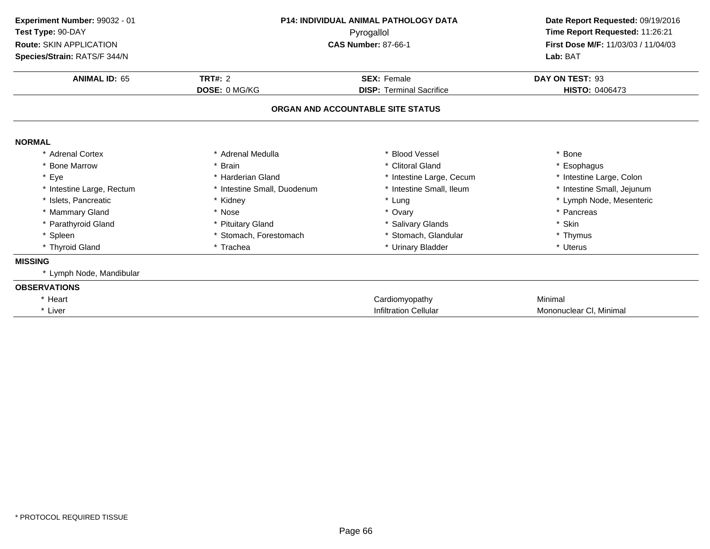| Experiment Number: 99032 - 01<br>Test Type: 90-DAY<br>Route: SKIN APPLICATION | <b>P14: INDIVIDUAL ANIMAL PATHOLOGY DATA</b><br>Pyrogallol<br><b>CAS Number: 87-66-1</b> |                                   | Date Report Requested: 09/19/2016<br>Time Report Requested: 11:26:21<br>First Dose M/F: 11/03/03 / 11/04/03 |
|-------------------------------------------------------------------------------|------------------------------------------------------------------------------------------|-----------------------------------|-------------------------------------------------------------------------------------------------------------|
| Species/Strain: RATS/F 344/N                                                  |                                                                                          |                                   | Lab: BAT                                                                                                    |
| <b>ANIMAL ID: 65</b>                                                          | TRT#: $2$                                                                                | <b>SEX: Female</b>                | DAY ON TEST: 93                                                                                             |
|                                                                               | <b>DOSE: 0 MG/KG</b>                                                                     | <b>DISP: Terminal Sacrifice</b>   | <b>HISTO: 0406473</b>                                                                                       |
|                                                                               |                                                                                          | ORGAN AND ACCOUNTABLE SITE STATUS |                                                                                                             |
| <b>NORMAL</b>                                                                 |                                                                                          |                                   |                                                                                                             |
| * Adrenal Cortex                                                              | * Adrenal Medulla                                                                        | * Blood Vessel                    | * Bone                                                                                                      |
| <b>Bone Marrow</b>                                                            | * Brain                                                                                  | * Clitoral Gland                  | * Esophagus                                                                                                 |
| * Eye                                                                         | * Harderian Gland                                                                        | * Intestine Large, Cecum          | * Intestine Large, Colon                                                                                    |
| * Intestine Large, Rectum                                                     | * Intestine Small, Duodenum                                                              | * Intestine Small, Ileum          | * Intestine Small, Jejunum                                                                                  |
| * Islets, Pancreatic                                                          | * Kidney                                                                                 | * Lung                            | * Lymph Node, Mesenteric                                                                                    |
| * Mammary Gland                                                               | * Nose                                                                                   | * Ovary                           | * Pancreas                                                                                                  |
| * Parathyroid Gland                                                           | * Pituitary Gland                                                                        | * Salivary Glands                 | * Skin                                                                                                      |
| * Spleen                                                                      | * Stomach, Forestomach                                                                   | * Stomach, Glandular              | * Thymus                                                                                                    |
| * Thyroid Gland                                                               | * Trachea                                                                                | * Urinary Bladder                 | * Uterus                                                                                                    |
| <b>MISSING</b>                                                                |                                                                                          |                                   |                                                                                                             |
| * Lymph Node, Mandibular                                                      |                                                                                          |                                   |                                                                                                             |
| <b>OBSERVATIONS</b>                                                           |                                                                                          |                                   |                                                                                                             |
| * Heart                                                                       |                                                                                          | Cardiomyopathy                    | Minimal                                                                                                     |
| * Liver                                                                       |                                                                                          | <b>Infiltration Cellular</b>      | Mononuclear CI, Minimal                                                                                     |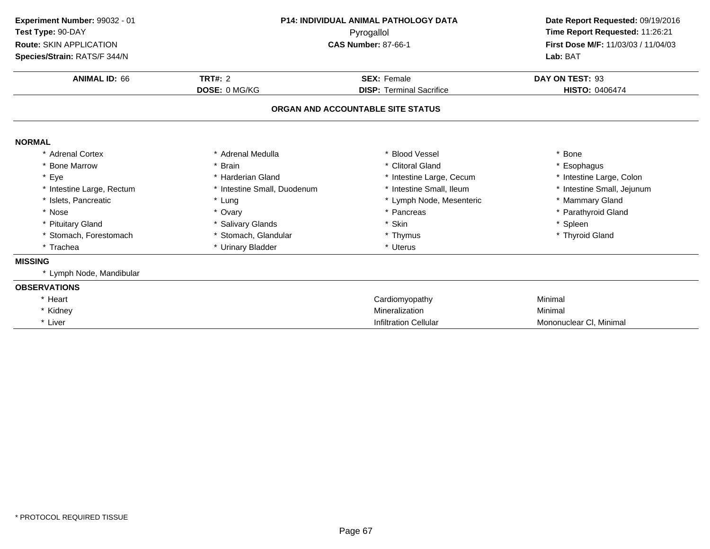| Experiment Number: 99032 - 01<br>Test Type: 90-DAY<br><b>Route: SKIN APPLICATION</b> | <b>P14: INDIVIDUAL ANIMAL PATHOLOGY DATA</b><br>Pyrogallol<br><b>CAS Number: 87-66-1</b> |                                   | Date Report Requested: 09/19/2016<br>Time Report Requested: 11:26:21<br>First Dose M/F: 11/03/03 / 11/04/03 |  |
|--------------------------------------------------------------------------------------|------------------------------------------------------------------------------------------|-----------------------------------|-------------------------------------------------------------------------------------------------------------|--|
| Species/Strain: RATS/F 344/N                                                         |                                                                                          |                                   | Lab: BAT                                                                                                    |  |
| <b>ANIMAL ID: 66</b>                                                                 | <b>TRT#: 2</b>                                                                           | <b>SEX: Female</b>                | DAY ON TEST: 93                                                                                             |  |
|                                                                                      | <b>DOSE: 0 MG/KG</b>                                                                     | <b>DISP: Terminal Sacrifice</b>   | <b>HISTO: 0406474</b>                                                                                       |  |
|                                                                                      |                                                                                          | ORGAN AND ACCOUNTABLE SITE STATUS |                                                                                                             |  |
| <b>NORMAL</b>                                                                        |                                                                                          |                                   |                                                                                                             |  |
| Adrenal Cortex                                                                       | * Adrenal Medulla                                                                        | <b>Blood Vessel</b>               | * Bone                                                                                                      |  |
| * Bone Marrow                                                                        | * Brain                                                                                  | * Clitoral Gland                  | * Esophagus                                                                                                 |  |
| * Eye                                                                                | * Harderian Gland                                                                        | * Intestine Large, Cecum          | * Intestine Large, Colon                                                                                    |  |
| * Intestine Large, Rectum                                                            | * Intestine Small, Duodenum                                                              | * Intestine Small, Ileum          | * Intestine Small, Jejunum                                                                                  |  |
| * Islets, Pancreatic                                                                 | * Lung                                                                                   | * Lymph Node, Mesenteric          | * Mammary Gland                                                                                             |  |
| * Nose                                                                               | * Ovary                                                                                  | * Pancreas                        | * Parathyroid Gland                                                                                         |  |
| * Pituitary Gland                                                                    | * Salivary Glands                                                                        | * Skin                            | * Spleen                                                                                                    |  |
| * Stomach, Forestomach                                                               | * Stomach, Glandular                                                                     | * Thymus                          | * Thyroid Gland                                                                                             |  |
| * Trachea                                                                            | * Urinary Bladder                                                                        | * Uterus                          |                                                                                                             |  |
| <b>MISSING</b>                                                                       |                                                                                          |                                   |                                                                                                             |  |
| * Lymph Node, Mandibular                                                             |                                                                                          |                                   |                                                                                                             |  |
| <b>OBSERVATIONS</b>                                                                  |                                                                                          |                                   |                                                                                                             |  |
| * Heart                                                                              |                                                                                          | Cardiomyopathy                    | Minimal                                                                                                     |  |
| * Kidney                                                                             |                                                                                          | Mineralization                    | Minimal                                                                                                     |  |
| * Liver                                                                              |                                                                                          | <b>Infiltration Cellular</b>      | Mononuclear CI, Minimal                                                                                     |  |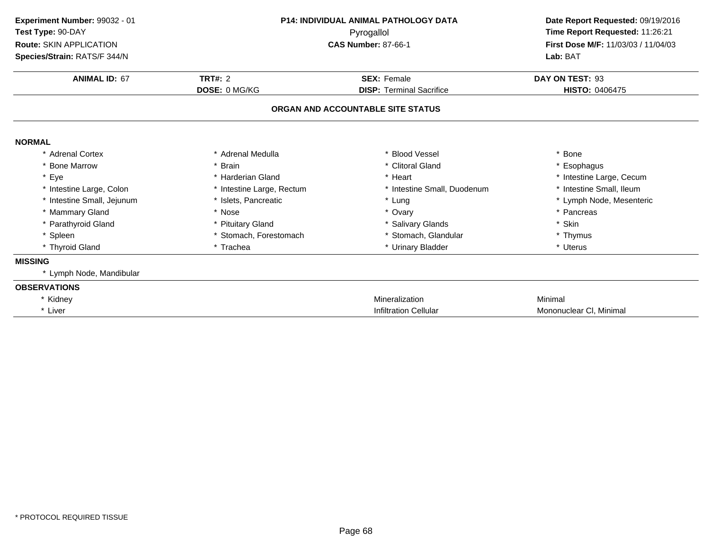| Experiment Number: 99032 - 01 | <b>P14: INDIVIDUAL ANIMAL PATHOLOGY DATA</b> |                                   | Date Report Requested: 09/19/2016   |  |
|-------------------------------|----------------------------------------------|-----------------------------------|-------------------------------------|--|
| Test Type: 90-DAY             | Pyrogallol                                   |                                   | Time Report Requested: 11:26:21     |  |
| Route: SKIN APPLICATION       |                                              | <b>CAS Number: 87-66-1</b>        | First Dose M/F: 11/03/03 / 11/04/03 |  |
| Species/Strain: RATS/F 344/N  |                                              |                                   | Lab: BAT                            |  |
| <b>ANIMAL ID: 67</b>          | <b>TRT#: 2</b>                               | <b>SEX: Female</b>                | DAY ON TEST: 93                     |  |
|                               | DOSE: 0 MG/KG                                | <b>DISP: Terminal Sacrifice</b>   | <b>HISTO: 0406475</b>               |  |
|                               |                                              | ORGAN AND ACCOUNTABLE SITE STATUS |                                     |  |
| <b>NORMAL</b>                 |                                              |                                   |                                     |  |
| * Adrenal Cortex              | * Adrenal Medulla                            | * Blood Vessel                    | * Bone                              |  |
| <b>Bone Marrow</b>            | * Brain                                      | * Clitoral Gland                  | * Esophagus                         |  |
| * Eye                         | * Harderian Gland                            | * Heart                           | * Intestine Large, Cecum            |  |
| * Intestine Large, Colon      | * Intestine Large, Rectum                    | * Intestine Small, Duodenum       | * Intestine Small, Ileum            |  |
| * Intestine Small, Jejunum    | * Islets, Pancreatic                         | * Lung                            | * Lymph Node, Mesenteric            |  |
| * Mammary Gland               | * Nose                                       | * Ovary                           | * Pancreas                          |  |
| * Parathyroid Gland           | * Pituitary Gland                            | * Salivary Glands                 | * Skin                              |  |
| * Spleen                      | * Stomach, Forestomach                       | * Stomach, Glandular              | * Thymus                            |  |
| * Thyroid Gland               | * Trachea                                    | * Urinary Bladder                 | * Uterus                            |  |
| <b>MISSING</b>                |                                              |                                   |                                     |  |
| * Lymph Node, Mandibular      |                                              |                                   |                                     |  |
| <b>OBSERVATIONS</b>           |                                              |                                   |                                     |  |
| * Kidney                      |                                              | Mineralization                    | Minimal                             |  |
| * Liver                       |                                              | <b>Infiltration Cellular</b>      | Mononuclear CI, Minimal             |  |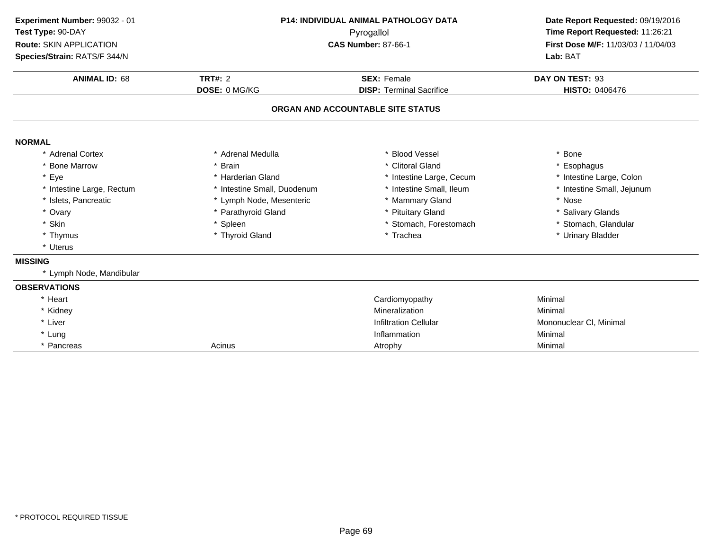| Experiment Number: 99032 - 01 | P14: INDIVIDUAL ANIMAL PATHOLOGY DATA |                                   | Date Report Requested: 09/19/2016<br>Time Report Requested: 11:26:21 |  |
|-------------------------------|---------------------------------------|-----------------------------------|----------------------------------------------------------------------|--|
| Test Type: 90-DAY             |                                       | Pyrogallol                        |                                                                      |  |
| Route: SKIN APPLICATION       |                                       | <b>CAS Number: 87-66-1</b>        | First Dose M/F: 11/03/03 / 11/04/03                                  |  |
| Species/Strain: RATS/F 344/N  |                                       |                                   | Lab: BAT                                                             |  |
| <b>ANIMAL ID: 68</b>          | TRT#: $2$                             | <b>SEX: Female</b>                | DAY ON TEST: 93                                                      |  |
|                               | DOSE: 0 MG/KG                         | <b>DISP: Terminal Sacrifice</b>   | <b>HISTO: 0406476</b>                                                |  |
|                               |                                       | ORGAN AND ACCOUNTABLE SITE STATUS |                                                                      |  |
| <b>NORMAL</b>                 |                                       |                                   |                                                                      |  |
| * Adrenal Cortex              | * Adrenal Medulla                     | * Blood Vessel                    | * Bone                                                               |  |
| * Bone Marrow                 | * Brain                               | * Clitoral Gland                  | Esophagus                                                            |  |
| * Eye                         | * Harderian Gland                     | * Intestine Large, Cecum          | * Intestine Large, Colon                                             |  |
| * Intestine Large, Rectum     | * Intestine Small, Duodenum           | * Intestine Small, Ileum          | * Intestine Small, Jejunum                                           |  |
| * Islets, Pancreatic          | * Lymph Node, Mesenteric              | * Mammary Gland                   | * Nose                                                               |  |
| * Ovary                       | * Parathyroid Gland                   | * Pituitary Gland                 | * Salivary Glands                                                    |  |
| * Skin                        | * Spleen                              | * Stomach, Forestomach            | * Stomach, Glandular                                                 |  |
| * Thymus                      | * Thyroid Gland                       | * Trachea                         | * Urinary Bladder                                                    |  |
| * Uterus                      |                                       |                                   |                                                                      |  |
| <b>MISSING</b>                |                                       |                                   |                                                                      |  |
| * Lymph Node, Mandibular      |                                       |                                   |                                                                      |  |
| <b>OBSERVATIONS</b>           |                                       |                                   |                                                                      |  |
| * Heart                       |                                       | Cardiomyopathy                    | Minimal                                                              |  |
| * Kidney                      |                                       | Mineralization                    | Minimal                                                              |  |
| * Liver                       |                                       | <b>Infiltration Cellular</b>      | Mononuclear CI, Minimal                                              |  |
| * Lung                        |                                       | Inflammation                      | Minimal                                                              |  |
| * Pancreas                    | Acinus                                | Atrophy                           | Minimal                                                              |  |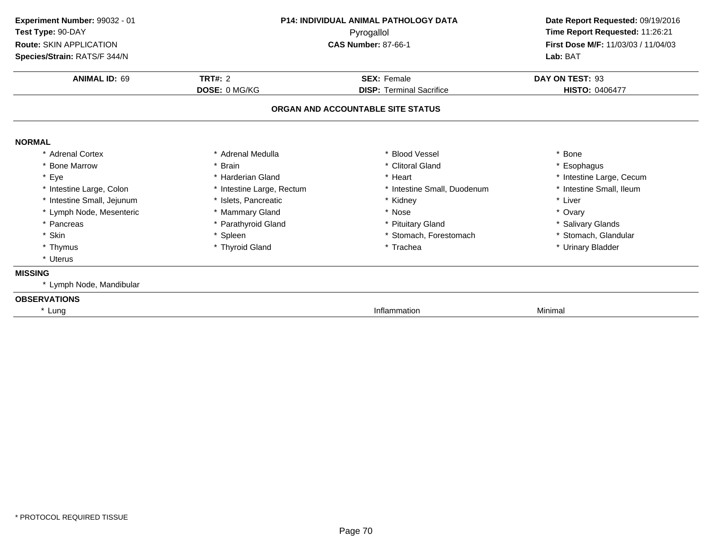| Experiment Number: 99032 - 01<br>Test Type: 90-DAY<br><b>Route: SKIN APPLICATION</b><br>Species/Strain: RATS/F 344/N | <b>P14: INDIVIDUAL ANIMAL PATHOLOGY DATA</b><br>Pyrogallol<br><b>CAS Number: 87-66-1</b> |                                                                      | Date Report Requested: 09/19/2016<br>Time Report Requested: 11:26:21<br>First Dose M/F: 11/03/03 / 11/04/03<br>Lab: BAT |  |
|----------------------------------------------------------------------------------------------------------------------|------------------------------------------------------------------------------------------|----------------------------------------------------------------------|-------------------------------------------------------------------------------------------------------------------------|--|
| <b>ANIMAL ID: 69</b>                                                                                                 | <b>TRT#: 2</b>                                                                           | <b>SEX: Female</b>                                                   | DAY ON TEST: 93                                                                                                         |  |
|                                                                                                                      | DOSE: 0 MG/KG                                                                            | <b>DISP: Terminal Sacrifice</b><br>ORGAN AND ACCOUNTABLE SITE STATUS | <b>HISTO: 0406477</b>                                                                                                   |  |
| <b>NORMAL</b>                                                                                                        |                                                                                          |                                                                      |                                                                                                                         |  |
| * Adrenal Cortex                                                                                                     | * Adrenal Medulla                                                                        | * Blood Vessel                                                       | * Bone                                                                                                                  |  |
| * Bone Marrow                                                                                                        | * Brain                                                                                  | * Clitoral Gland                                                     | * Esophagus                                                                                                             |  |
| * Eye                                                                                                                | * Harderian Gland                                                                        | * Heart                                                              | * Intestine Large, Cecum                                                                                                |  |
| * Intestine Large, Colon                                                                                             | * Intestine Large, Rectum                                                                | * Intestine Small, Duodenum                                          | * Intestine Small, Ileum                                                                                                |  |
| * Intestine Small, Jejunum                                                                                           | * Islets, Pancreatic                                                                     | * Kidney                                                             | * Liver                                                                                                                 |  |
| * Lymph Node, Mesenteric                                                                                             | * Mammary Gland                                                                          | * Nose                                                               | * Ovary                                                                                                                 |  |
| * Pancreas                                                                                                           | * Parathyroid Gland                                                                      | * Pituitary Gland                                                    | * Salivary Glands                                                                                                       |  |
| * Skin                                                                                                               | * Spleen                                                                                 | * Stomach, Forestomach                                               | * Stomach, Glandular                                                                                                    |  |
| * Thymus                                                                                                             | * Thyroid Gland                                                                          | * Trachea                                                            | * Urinary Bladder                                                                                                       |  |
| * Uterus                                                                                                             |                                                                                          |                                                                      |                                                                                                                         |  |
| <b>MISSING</b>                                                                                                       |                                                                                          |                                                                      |                                                                                                                         |  |
| * Lymph Node, Mandibular                                                                                             |                                                                                          |                                                                      |                                                                                                                         |  |
| <b>OBSERVATIONS</b>                                                                                                  |                                                                                          |                                                                      |                                                                                                                         |  |
| * Lung                                                                                                               |                                                                                          | Inflammation                                                         | Minimal                                                                                                                 |  |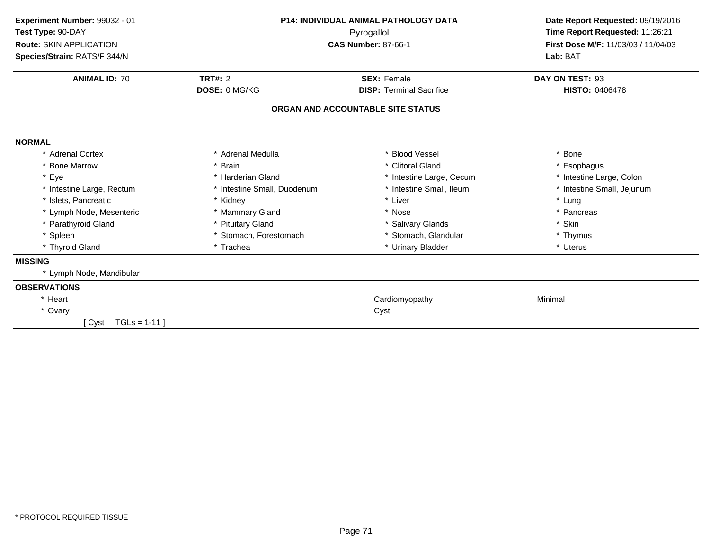| <b>P14: INDIVIDUAL ANIMAL PATHOLOGY DATA</b> |                                 | Date Report Requested: 09/19/2016<br>Time Report Requested: 11:26:21                                |  |
|----------------------------------------------|---------------------------------|-----------------------------------------------------------------------------------------------------|--|
|                                              |                                 |                                                                                                     |  |
|                                              |                                 | Lab: BAT                                                                                            |  |
|                                              |                                 | DAY ON TEST: 93                                                                                     |  |
| DOSE: 0 MG/KG                                | <b>DISP: Terminal Sacrifice</b> | <b>HISTO: 0406478</b>                                                                               |  |
|                                              |                                 |                                                                                                     |  |
|                                              |                                 |                                                                                                     |  |
| * Adrenal Medulla                            | * Blood Vessel                  | * Bone                                                                                              |  |
| * Brain                                      | * Clitoral Gland                | * Esophagus                                                                                         |  |
| * Harderian Gland                            | * Intestine Large, Cecum        | * Intestine Large, Colon                                                                            |  |
| * Intestine Small, Duodenum                  | * Intestine Small, Ileum        | * Intestine Small, Jejunum                                                                          |  |
| * Kidney                                     | * Liver                         | * Lung                                                                                              |  |
| * Mammary Gland                              | * Nose                          | * Pancreas                                                                                          |  |
| * Pituitary Gland                            | * Salivary Glands               | * Skin                                                                                              |  |
| * Stomach, Forestomach                       | * Stomach, Glandular            | * Thymus                                                                                            |  |
| * Trachea                                    | * Urinary Bladder               | * Uterus                                                                                            |  |
|                                              |                                 |                                                                                                     |  |
|                                              |                                 |                                                                                                     |  |
|                                              |                                 |                                                                                                     |  |
|                                              | Cardiomyopathy                  | Minimal                                                                                             |  |
|                                              | Cyst                            |                                                                                                     |  |
|                                              |                                 |                                                                                                     |  |
|                                              | <b>TRT#: 2</b>                  | Pyrogallol<br><b>CAS Number: 87-66-1</b><br><b>SEX: Female</b><br>ORGAN AND ACCOUNTABLE SITE STATUS |  |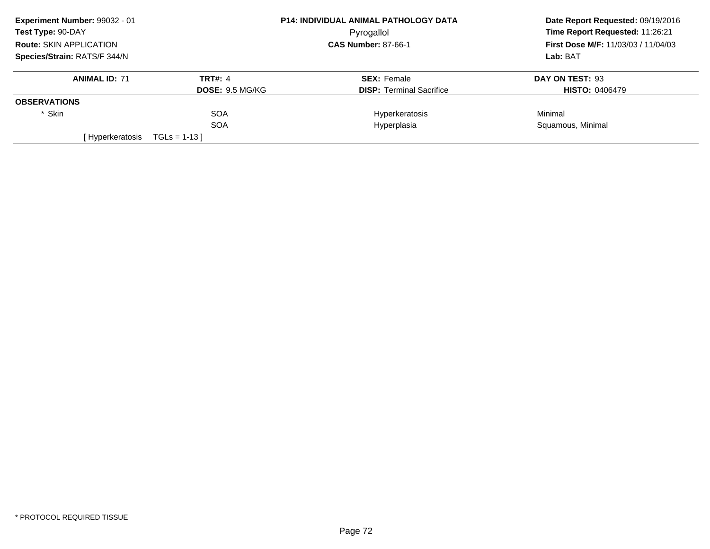| Experiment Number: 99032 - 01  | <b>P14: INDIVIDUAL ANIMAL PATHOLOGY DATA</b> |                                 | Date Report Requested: 09/19/2016   |  |
|--------------------------------|----------------------------------------------|---------------------------------|-------------------------------------|--|
| Test Type: 90-DAY              |                                              | Pyrogallol                      | Time Report Requested: 11:26:21     |  |
| <b>Route: SKIN APPLICATION</b> |                                              | <b>CAS Number: 87-66-1</b>      | First Dose M/F: 11/03/03 / 11/04/03 |  |
| Species/Strain: RATS/F 344/N   |                                              |                                 | Lab: BAT                            |  |
| <b>ANIMAL ID: 71</b>           | TRT#: 4                                      | <b>SEX: Female</b>              | DAY ON TEST: 93                     |  |
|                                | <b>DOSE: 9.5 MG/KG</b>                       | <b>DISP:</b> Terminal Sacrifice | <b>HISTO: 0406479</b>               |  |
| <b>OBSERVATIONS</b>            |                                              |                                 |                                     |  |
| * Skin                         | <b>SOA</b>                                   | Hyperkeratosis                  | Minimal                             |  |
|                                | <b>SOA</b>                                   | Hyperplasia                     | Squamous, Minimal                   |  |
| [Hyperkeratosis                | $TGLs = 1-13$                                |                                 |                                     |  |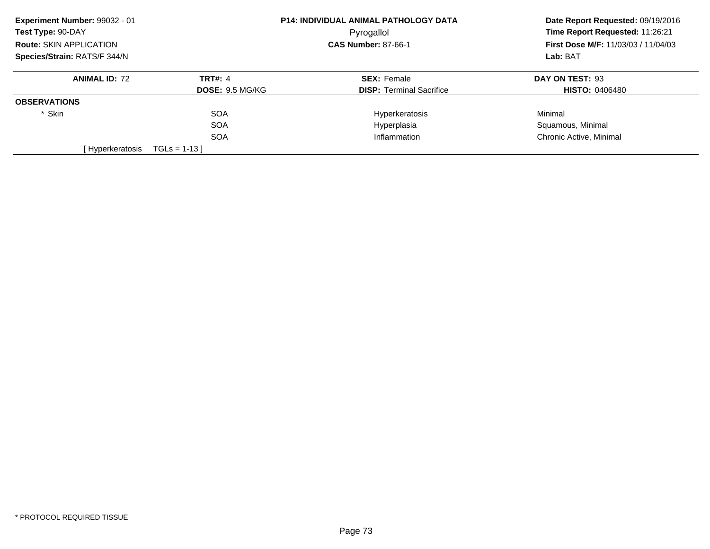| Experiment Number: 99032 - 01  |                        | <b>P14: INDIVIDUAL ANIMAL PATHOLOGY DATA</b> | Date Report Requested: 09/19/2016<br>Time Report Requested: 11:26:21<br><b>First Dose M/F: 11/03/03 / 11/04/03</b><br>Lab: BAT |
|--------------------------------|------------------------|----------------------------------------------|--------------------------------------------------------------------------------------------------------------------------------|
| Test Type: 90-DAY              |                        | Pyrogallol                                   |                                                                                                                                |
| <b>Route: SKIN APPLICATION</b> |                        | <b>CAS Number: 87-66-1</b>                   |                                                                                                                                |
| Species/Strain: RATS/F 344/N   |                        |                                              |                                                                                                                                |
| <b>ANIMAL ID: 72</b>           | <b>TRT#: 4</b>         | <b>SEX: Female</b>                           | DAY ON TEST: 93                                                                                                                |
|                                | <b>DOSE: 9.5 MG/KG</b> | <b>DISP:</b> Terminal Sacrifice              | <b>HISTO: 0406480</b>                                                                                                          |
| <b>OBSERVATIONS</b>            |                        |                                              |                                                                                                                                |
| * Skin                         | <b>SOA</b>             | Hyperkeratosis                               | Minimal                                                                                                                        |
|                                | <b>SOA</b>             | Hyperplasia                                  | Squamous, Minimal                                                                                                              |
|                                | <b>SOA</b>             | Inflammation                                 | Chronic Active, Minimal                                                                                                        |
| [Hyperkeratosis                | $TGLs = 1-13$          |                                              |                                                                                                                                |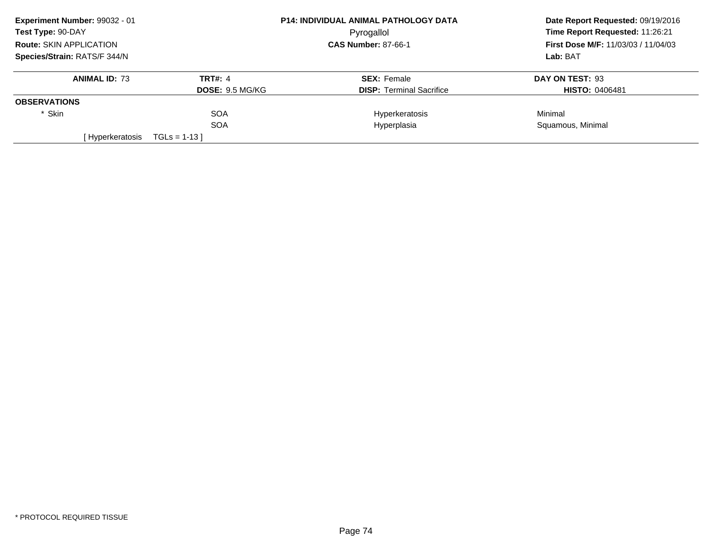| Experiment Number: 99032 - 01<br>Test Type: 90-DAY<br><b>Route: SKIN APPLICATION</b> |                | <b>P14: INDIVIDUAL ANIMAL PATHOLOGY DATA</b> | Date Report Requested: 09/19/2016<br>Time Report Requested: 11:26:21<br><b>First Dose M/F: 11/03/03 / 11/04/03</b> |  |
|--------------------------------------------------------------------------------------|----------------|----------------------------------------------|--------------------------------------------------------------------------------------------------------------------|--|
|                                                                                      |                | Pyrogallol                                   |                                                                                                                    |  |
|                                                                                      |                | <b>CAS Number: 87-66-1</b>                   |                                                                                                                    |  |
| Species/Strain: RATS/F 344/N                                                         |                |                                              | Lab: BAT                                                                                                           |  |
| <b>ANIMAL ID: 73</b>                                                                 | <b>TRT#: 4</b> | <b>SEX: Female</b>                           | DAY ON TEST: 93                                                                                                    |  |
| <b>DOSE: 9.5 MG/KG</b>                                                               |                | <b>DISP:</b> Terminal Sacrifice              | <b>HISTO: 0406481</b>                                                                                              |  |
| <b>OBSERVATIONS</b>                                                                  |                |                                              |                                                                                                                    |  |
| * Skin                                                                               | <b>SOA</b>     | Hyperkeratosis                               | Minimal                                                                                                            |  |
|                                                                                      | <b>SOA</b>     | Hyperplasia                                  | Squamous, Minimal                                                                                                  |  |
| [Hyperkeratosis                                                                      | $TGLs = 1-13$  |                                              |                                                                                                                    |  |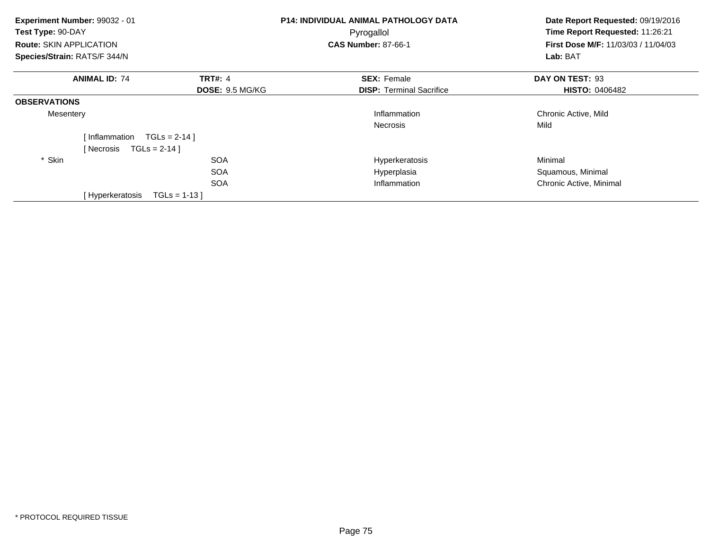| Experiment Number: 99032 - 01<br>Test Type: 90-DAY<br><b>Route: SKIN APPLICATION</b> |                                           | P14: INDIVIDUAL ANIMAL PATHOLOGY DATA<br>Pyrogallol<br><b>CAS Number: 87-66-1</b> | Date Report Requested: 09/19/2016<br>Time Report Requested: 11:26:21<br>First Dose M/F: 11/03/03 / 11/04/03 |  |
|--------------------------------------------------------------------------------------|-------------------------------------------|-----------------------------------------------------------------------------------|-------------------------------------------------------------------------------------------------------------|--|
| Species/Strain: RATS/F 344/N                                                         |                                           |                                                                                   | Lab: BAT                                                                                                    |  |
| <b>ANIMAL ID: 74</b>                                                                 | <b>TRT#: 4</b><br><b>DOSE: 9.5 MG/KG</b>  | <b>SEX: Female</b><br><b>DISP:</b> Terminal Sacrifice                             | DAY ON TEST: 93<br><b>HISTO: 0406482</b>                                                                    |  |
| <b>OBSERVATIONS</b>                                                                  |                                           |                                                                                   |                                                                                                             |  |
| Mesentery                                                                            |                                           | Inflammation                                                                      | Chronic Active, Mild                                                                                        |  |
| [Inflammation<br>$TGLs = 2-14$ ]<br>[ Necrosis<br>* Skin                             | $TGLS = 2-14$<br><b>SOA</b><br><b>SOA</b> | <b>Necrosis</b><br>Hyperkeratosis<br>Hyperplasia                                  | Mild<br>Minimal<br>Squamous, Minimal                                                                        |  |
| [Hyperkeratosis                                                                      | <b>SOA</b><br>$TGLs = 1-13$               | Inflammation                                                                      | Chronic Active, Minimal                                                                                     |  |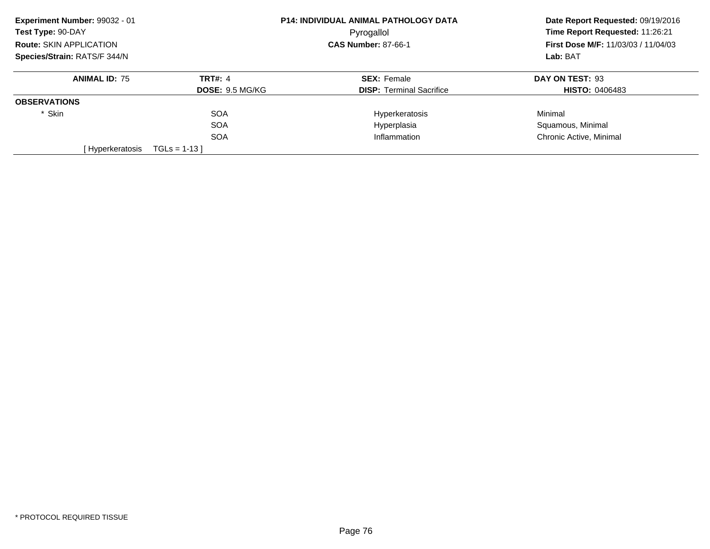| Experiment Number: 99032 - 01  |                        | P14: INDIVIDUAL ANIMAL PATHOLOGY DATA | Date Report Requested: 09/19/2016          |
|--------------------------------|------------------------|---------------------------------------|--------------------------------------------|
| Test Type: 90-DAY              |                        | Pyrogallol                            | Time Report Requested: 11:26:21            |
| <b>Route: SKIN APPLICATION</b> |                        | <b>CAS Number: 87-66-1</b>            | <b>First Dose M/F: 11/03/03 / 11/04/03</b> |
| Species/Strain: RATS/F 344/N   |                        |                                       | Lab: BAT                                   |
| <b>ANIMAL ID: 75</b>           | <b>TRT#: 4</b>         | <b>SEX: Female</b>                    | DAY ON TEST: 93                            |
|                                | <b>DOSE: 9.5 MG/KG</b> | <b>DISP:</b> Terminal Sacrifice       | <b>HISTO: 0406483</b>                      |
| <b>OBSERVATIONS</b>            |                        |                                       |                                            |
| * Skin                         | <b>SOA</b>             | Hyperkeratosis                        | Minimal                                    |
|                                | <b>SOA</b>             | Hyperplasia                           | Squamous, Minimal                          |
|                                | <b>SOA</b>             | Inflammation                          | Chronic Active, Minimal                    |
| [ Hyperkeratosis               | $TGLs = 1-13$          |                                       |                                            |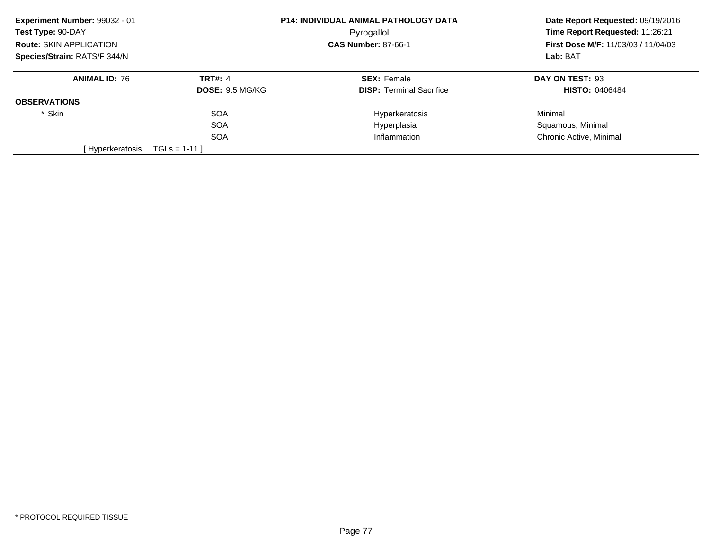| Experiment Number: 99032 - 01  |                        | <b>P14: INDIVIDUAL ANIMAL PATHOLOGY DATA</b> | Date Report Requested: 09/19/2016<br>Time Report Requested: 11:26:21<br><b>First Dose M/F: 11/03/03 / 11/04/03</b> |
|--------------------------------|------------------------|----------------------------------------------|--------------------------------------------------------------------------------------------------------------------|
| Test Type: 90-DAY              |                        | Pyrogallol                                   |                                                                                                                    |
| <b>Route: SKIN APPLICATION</b> |                        | <b>CAS Number: 87-66-1</b>                   |                                                                                                                    |
| Species/Strain: RATS/F 344/N   |                        |                                              | Lab: BAT                                                                                                           |
| <b>ANIMAL ID: 76</b>           | <b>TRT#: 4</b>         | <b>SEX: Female</b>                           | DAY ON TEST: 93                                                                                                    |
|                                | <b>DOSE: 9.5 MG/KG</b> | <b>DISP:</b> Terminal Sacrifice              | <b>HISTO: 0406484</b>                                                                                              |
| <b>OBSERVATIONS</b>            |                        |                                              |                                                                                                                    |
| * Skin                         | <b>SOA</b>             | Hyperkeratosis                               | Minimal                                                                                                            |
|                                | <b>SOA</b>             | Hyperplasia                                  | Squamous, Minimal                                                                                                  |
|                                | <b>SOA</b>             | Inflammation                                 | Chronic Active, Minimal                                                                                            |
| [Hyperkeratosis                | $TGLS = 1-11$          |                                              |                                                                                                                    |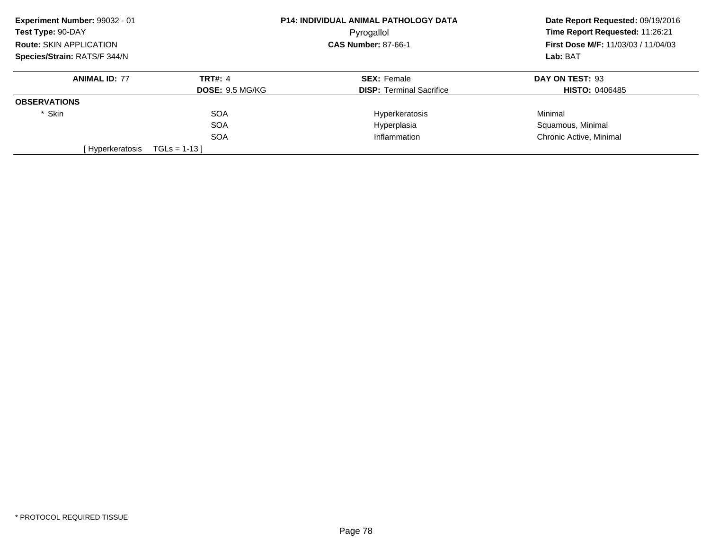| Experiment Number: 99032 - 01  |                        | <b>P14: INDIVIDUAL ANIMAL PATHOLOGY DATA</b> | Date Report Requested: 09/19/2016          |
|--------------------------------|------------------------|----------------------------------------------|--------------------------------------------|
| Test Type: 90-DAY              |                        | Pyrogallol                                   | Time Report Requested: 11:26:21            |
| <b>Route: SKIN APPLICATION</b> |                        | <b>CAS Number: 87-66-1</b>                   | <b>First Dose M/F: 11/03/03 / 11/04/03</b> |
| Species/Strain: RATS/F 344/N   |                        |                                              | Lab: BAT                                   |
| <b>ANIMAL ID: 77</b>           | <b>TRT#: 4</b>         | <b>SEX: Female</b>                           | DAY ON TEST: 93                            |
|                                | <b>DOSE: 9.5 MG/KG</b> | <b>DISP:</b> Terminal Sacrifice              | <b>HISTO: 0406485</b>                      |
| <b>OBSERVATIONS</b>            |                        |                                              |                                            |
| * Skin                         | <b>SOA</b>             | Hyperkeratosis                               | Minimal                                    |
|                                | <b>SOA</b>             | Hyperplasia                                  | Squamous, Minimal                          |
|                                | <b>SOA</b>             | Inflammation                                 | Chronic Active, Minimal                    |
| [Hyperkeratosis                | $TGLs = 1-13$          |                                              |                                            |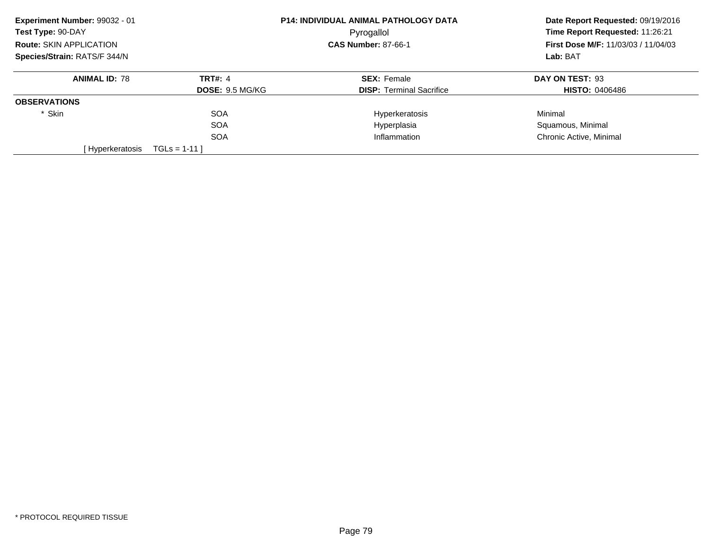| Experiment Number: 99032 - 01  |                        | P14: INDIVIDUAL ANIMAL PATHOLOGY DATA | Date Report Requested: 09/19/2016                                             |
|--------------------------------|------------------------|---------------------------------------|-------------------------------------------------------------------------------|
| Test Type: 90-DAY              |                        | Pyrogallol                            | Time Report Requested: 11:26:21<br><b>First Dose M/F: 11/03/03 / 11/04/03</b> |
| <b>Route: SKIN APPLICATION</b> |                        | <b>CAS Number: 87-66-1</b>            |                                                                               |
| Species/Strain: RATS/F 344/N   |                        |                                       | Lab: BAT                                                                      |
| <b>ANIMAL ID: 78</b>           | <b>TRT#: 4</b>         | <b>SEX: Female</b>                    | DAY ON TEST: 93                                                               |
|                                | <b>DOSE: 9.5 MG/KG</b> | <b>DISP:</b> Terminal Sacrifice       | <b>HISTO: 0406486</b>                                                         |
| <b>OBSERVATIONS</b>            |                        |                                       |                                                                               |
| * Skin                         | <b>SOA</b>             | Hyperkeratosis                        | Minimal                                                                       |
|                                | <b>SOA</b>             | Hyperplasia                           | Squamous, Minimal                                                             |
|                                | <b>SOA</b>             | Inflammation                          | Chronic Active, Minimal                                                       |
| [ Hyperkeratosis               | $TGLs = 1-11$          |                                       |                                                                               |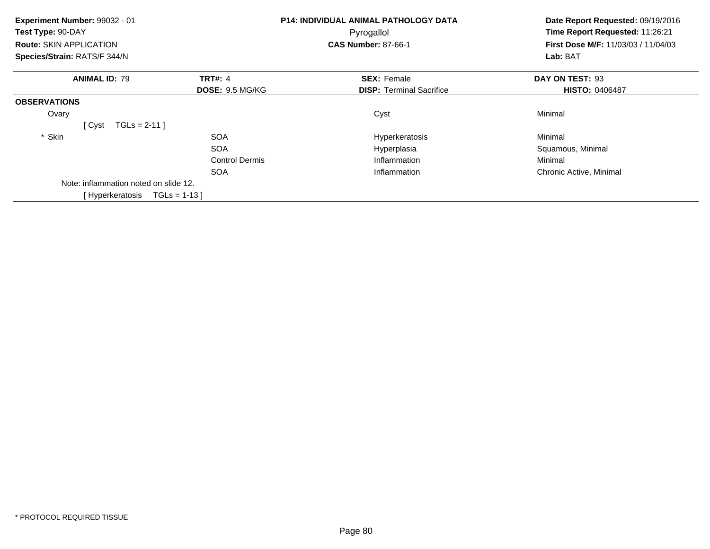| Experiment Number: 99032 - 01         |                        | <b>P14: INDIVIDUAL ANIMAL PATHOLOGY DATA</b> | Date Report Requested: 09/19/2016<br>Time Report Requested: 11:26:21<br>First Dose M/F: 11/03/03 / 11/04/03<br>Lab: BAT |
|---------------------------------------|------------------------|----------------------------------------------|-------------------------------------------------------------------------------------------------------------------------|
| Test Type: 90-DAY                     |                        | Pyrogallol                                   |                                                                                                                         |
| Route: SKIN APPLICATION               |                        | <b>CAS Number: 87-66-1</b>                   |                                                                                                                         |
| Species/Strain: RATS/F 344/N          |                        |                                              |                                                                                                                         |
| <b>ANIMAL ID: 79</b>                  | <b>TRT#: 4</b>         | <b>SEX: Female</b>                           | DAY ON TEST: 93                                                                                                         |
|                                       | <b>DOSE: 9.5 MG/KG</b> | <b>DISP: Terminal Sacrifice</b>              | <b>HISTO: 0406487</b>                                                                                                   |
| <b>OBSERVATIONS</b>                   |                        |                                              |                                                                                                                         |
| Ovary                                 |                        | Cyst                                         | Minimal                                                                                                                 |
| $TGLs = 2-11$<br>[ Cyst               |                        |                                              |                                                                                                                         |
| * Skin                                | <b>SOA</b>             | Hyperkeratosis                               | Minimal                                                                                                                 |
|                                       | <b>SOA</b>             | Hyperplasia                                  | Squamous, Minimal                                                                                                       |
|                                       | <b>Control Dermis</b>  | Inflammation                                 | Minimal                                                                                                                 |
|                                       | <b>SOA</b>             | Inflammation                                 | Chronic Active, Minimal                                                                                                 |
| Note: inflammation noted on slide 12. |                        |                                              |                                                                                                                         |
| [Hyperkeratosis $TGLs = 1-13$ ]       |                        |                                              |                                                                                                                         |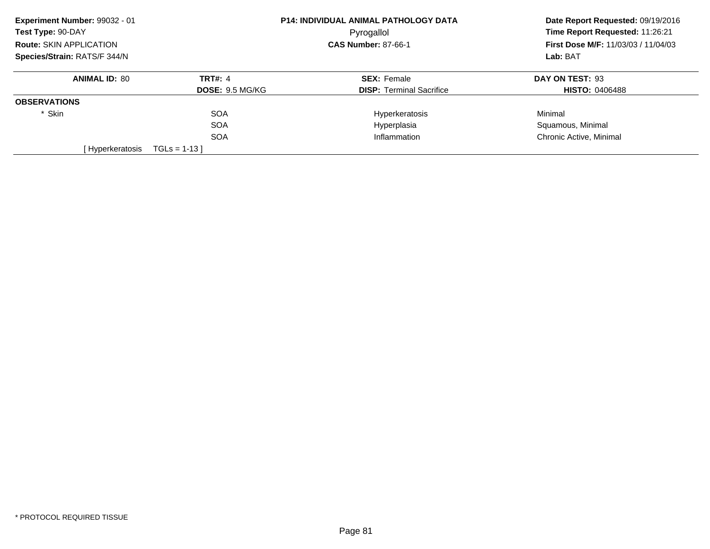| Experiment Number: 99032 - 01  |                        | <b>P14: INDIVIDUAL ANIMAL PATHOLOGY DATA</b> | Date Report Requested: 09/19/2016                                                         |
|--------------------------------|------------------------|----------------------------------------------|-------------------------------------------------------------------------------------------|
| Test Type: 90-DAY              |                        | Pyrogallol                                   | Time Report Requested: 11:26:21<br><b>First Dose M/F: 11/03/03 / 11/04/03</b><br>Lab: BAT |
| <b>Route: SKIN APPLICATION</b> |                        | <b>CAS Number: 87-66-1</b>                   |                                                                                           |
| Species/Strain: RATS/F 344/N   |                        |                                              |                                                                                           |
| <b>ANIMAL ID: 80</b>           | <b>TRT#: 4</b>         | <b>SEX: Female</b>                           | DAY ON TEST: 93                                                                           |
|                                | <b>DOSE: 9.5 MG/KG</b> | <b>DISP:</b> Terminal Sacrifice              | <b>HISTO: 0406488</b>                                                                     |
| <b>OBSERVATIONS</b>            |                        |                                              |                                                                                           |
| * Skin                         | <b>SOA</b>             | Hyperkeratosis                               | Minimal                                                                                   |
|                                | <b>SOA</b>             | Hyperplasia                                  | Squamous, Minimal                                                                         |
|                                | <b>SOA</b>             | Inflammation                                 | Chronic Active, Minimal                                                                   |
| [Hyperkeratosis                | $TGLs = 1-13$          |                                              |                                                                                           |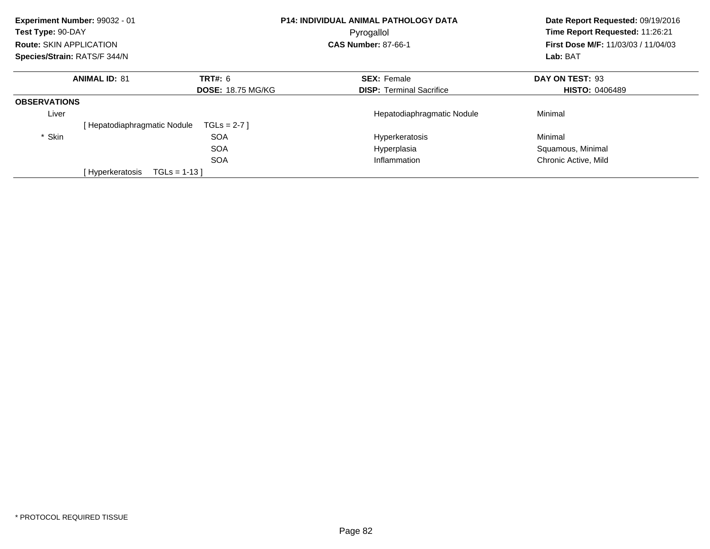| Experiment Number: 99032 - 01<br>Test Type: 90-DAY<br>Route: SKIN APPLICATION<br>Species/Strain: RATS/F 344/N |                             |                                            | <b>P14: INDIVIDUAL ANIMAL PATHOLOGY DATA</b><br>Pyrogallol<br><b>CAS Number: 87-66-1</b> | Date Report Requested: 09/19/2016<br>Time Report Requested: 11:26:21<br>First Dose M/F: 11/03/03 / 11/04/03<br>Lab: BAT |
|---------------------------------------------------------------------------------------------------------------|-----------------------------|--------------------------------------------|------------------------------------------------------------------------------------------|-------------------------------------------------------------------------------------------------------------------------|
|                                                                                                               | <b>ANIMAL ID: 81</b>        | <b>TRT#: 6</b><br><b>DOSE: 18.75 MG/KG</b> | <b>SEX: Female</b><br><b>DISP:</b> Terminal Sacrifice                                    | DAY ON TEST: 93<br><b>HISTO: 0406489</b>                                                                                |
| <b>OBSERVATIONS</b>                                                                                           |                             |                                            |                                                                                          |                                                                                                                         |
| Liver                                                                                                         | [Hepatodiaphragmatic Nodule | $TGLS = 2-7$                               | Hepatodiaphragmatic Nodule                                                               | Minimal                                                                                                                 |
| * Skin                                                                                                        |                             | <b>SOA</b>                                 | Hyperkeratosis                                                                           | Minimal                                                                                                                 |
|                                                                                                               |                             | <b>SOA</b>                                 | Hyperplasia                                                                              | Squamous, Minimal                                                                                                       |
|                                                                                                               |                             | <b>SOA</b>                                 | Inflammation                                                                             | Chronic Active, Mild                                                                                                    |
|                                                                                                               | [ Hyperkeratosis            | $TGLs = 1-13$                              |                                                                                          |                                                                                                                         |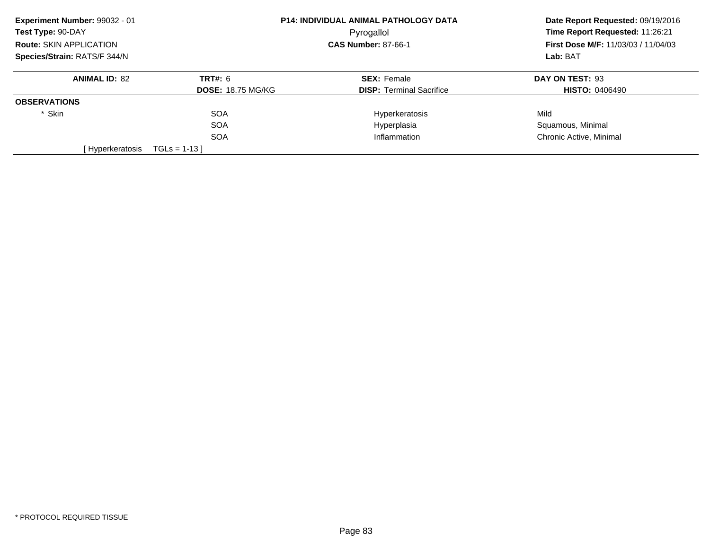| Experiment Number: 99032 - 01  |                          | P14: INDIVIDUAL ANIMAL PATHOLOGY DATA    | Date Report Requested: 09/19/2016 |
|--------------------------------|--------------------------|------------------------------------------|-----------------------------------|
| Test Type: 90-DAY              |                          | Pyrogallol<br><b>CAS Number: 87-66-1</b> |                                   |
| <b>Route: SKIN APPLICATION</b> |                          |                                          |                                   |
| Species/Strain: RATS/F 344/N   |                          |                                          | Lab: BAT                          |
| <b>ANIMAL ID: 82</b>           | <b>TRT#: 6</b>           | <b>SEX: Female</b>                       | DAY ON TEST: 93                   |
|                                | <b>DOSE: 18.75 MG/KG</b> | <b>DISP:</b> Terminal Sacrifice          | <b>HISTO: 0406490</b>             |
| <b>OBSERVATIONS</b>            |                          |                                          |                                   |
| * Skin                         | <b>SOA</b>               | Hyperkeratosis                           | Mild                              |
|                                | <b>SOA</b>               | Hyperplasia                              | Squamous, Minimal                 |
|                                | <b>SOA</b>               | Inflammation                             | Chronic Active, Minimal           |
| [Hyperkeratosis                | $TGLs = 1-13$            |                                          |                                   |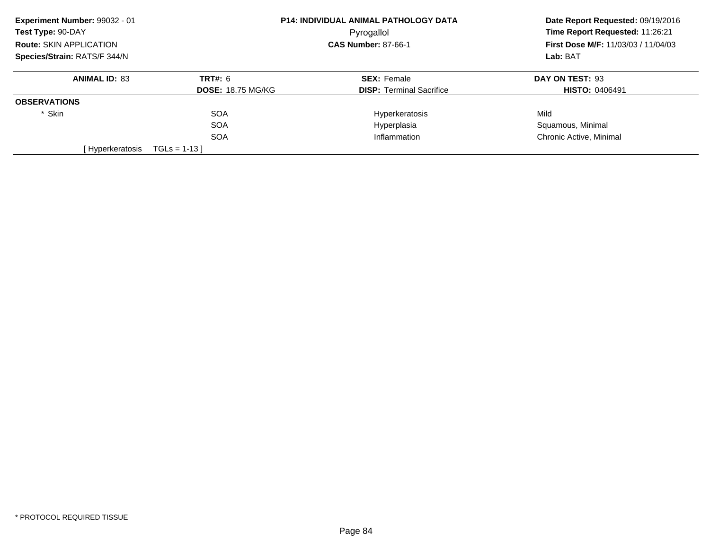| Experiment Number: 99032 - 01  |                          | P14: INDIVIDUAL ANIMAL PATHOLOGY DATA    | Date Report Requested: 09/19/2016 |
|--------------------------------|--------------------------|------------------------------------------|-----------------------------------|
| Test Type: 90-DAY              |                          | Pyrogallol<br><b>CAS Number: 87-66-1</b> |                                   |
| <b>Route: SKIN APPLICATION</b> |                          |                                          |                                   |
| Species/Strain: RATS/F 344/N   |                          |                                          | Lab: BAT                          |
| <b>ANIMAL ID: 83</b>           | <b>TRT#: 6</b>           | <b>SEX: Female</b>                       | DAY ON TEST: 93                   |
|                                | <b>DOSE: 18.75 MG/KG</b> | <b>DISP:</b> Terminal Sacrifice          | <b>HISTO: 0406491</b>             |
| <b>OBSERVATIONS</b>            |                          |                                          |                                   |
| * Skin                         | <b>SOA</b>               | Hyperkeratosis                           | Mild                              |
|                                | <b>SOA</b>               | Hyperplasia                              | Squamous, Minimal                 |
|                                | <b>SOA</b>               | Inflammation                             | Chronic Active, Minimal           |
| [Hyperkeratosis                | $TGLs = 1-13$            |                                          |                                   |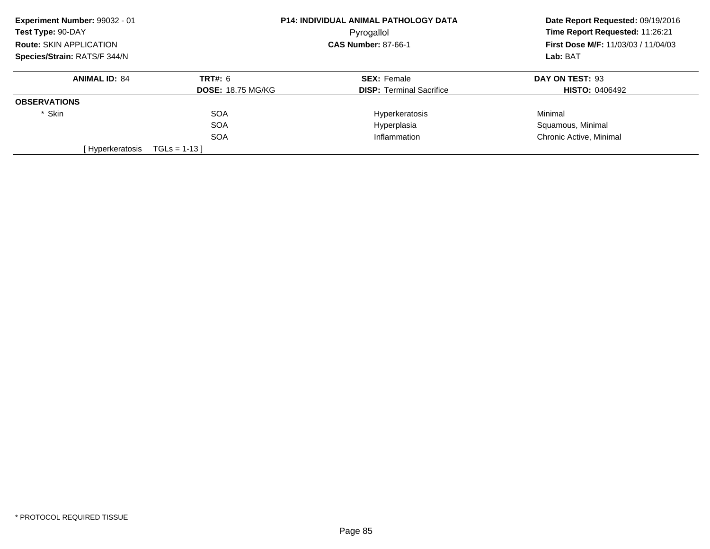| Experiment Number: 99032 - 01  |                          | <b>P14: INDIVIDUAL ANIMAL PATHOLOGY DATA</b> | Date Report Requested: 09/19/2016          |
|--------------------------------|--------------------------|----------------------------------------------|--------------------------------------------|
| Test Type: 90-DAY              |                          | Pyrogallol                                   |                                            |
| <b>Route: SKIN APPLICATION</b> |                          | <b>CAS Number: 87-66-1</b>                   | <b>First Dose M/F: 11/03/03 / 11/04/03</b> |
| Species/Strain: RATS/F 344/N   |                          |                                              | Lab: BAT                                   |
| <b>ANIMAL ID: 84</b>           | <b>TRT#: 6</b>           | <b>SEX: Female</b>                           | DAY ON TEST: 93                            |
|                                | <b>DOSE: 18.75 MG/KG</b> | <b>DISP:</b> Terminal Sacrifice              | <b>HISTO: 0406492</b>                      |
| <b>OBSERVATIONS</b>            |                          |                                              |                                            |
| * Skin                         | <b>SOA</b>               | Hyperkeratosis                               | Minimal                                    |
|                                | <b>SOA</b>               | Hyperplasia                                  | Squamous, Minimal                          |
|                                | <b>SOA</b>               | Inflammation                                 | Chronic Active, Minimal                    |
| [Hyperkeratosis                | $TGLs = 1-13$            |                                              |                                            |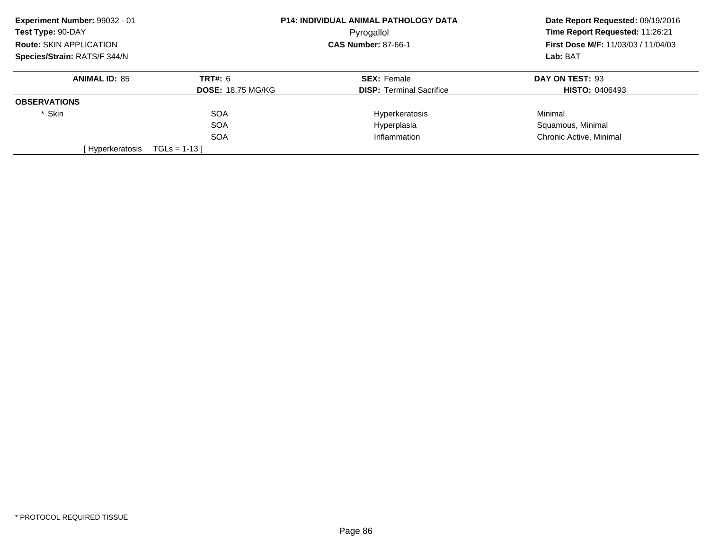| Experiment Number: 99032 - 01  |                          | <b>P14: INDIVIDUAL ANIMAL PATHOLOGY DATA</b> | Date Report Requested: 09/19/2016          |
|--------------------------------|--------------------------|----------------------------------------------|--------------------------------------------|
| Test Type: 90-DAY              |                          | Pyrogallol                                   |                                            |
| <b>Route: SKIN APPLICATION</b> |                          | <b>CAS Number: 87-66-1</b>                   | <b>First Dose M/F: 11/03/03 / 11/04/03</b> |
| Species/Strain: RATS/F 344/N   |                          |                                              | Lab: BAT                                   |
| <b>ANIMAL ID: 85</b>           | <b>TRT#: 6</b>           | <b>SEX: Female</b>                           | DAY ON TEST: 93                            |
|                                | <b>DOSE: 18.75 MG/KG</b> | <b>DISP:</b> Terminal Sacrifice              | <b>HISTO: 0406493</b>                      |
| <b>OBSERVATIONS</b>            |                          |                                              |                                            |
| * Skin                         | <b>SOA</b>               | Hyperkeratosis                               | Minimal                                    |
|                                | <b>SOA</b>               | Hyperplasia                                  | Squamous, Minimal                          |
|                                | <b>SOA</b>               | Inflammation                                 | Chronic Active, Minimal                    |
| [Hyperkeratosis                | $TGLs = 1-13$            |                                              |                                            |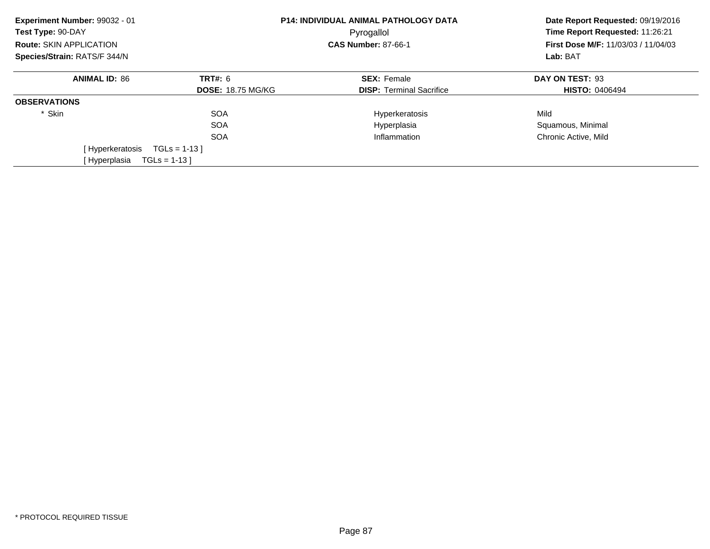| Experiment Number: 99032 - 01<br>Test Type: 90-DAY<br><b>Route: SKIN APPLICATION</b> |                          | <b>P14: INDIVIDUAL ANIMAL PATHOLOGY DATA</b><br>Pyrogallol<br><b>CAS Number: 87-66-1</b> | Date Report Requested: 09/19/2016<br>Time Report Requested: 11:26:21<br><b>First Dose M/F: 11/03/03 / 11/04/03</b><br>Lab: BAT |
|--------------------------------------------------------------------------------------|--------------------------|------------------------------------------------------------------------------------------|--------------------------------------------------------------------------------------------------------------------------------|
| Species/Strain: RATS/F 344/N                                                         |                          |                                                                                          |                                                                                                                                |
| <b>ANIMAL ID: 86</b>                                                                 | <b>TRT#: 6</b>           | <b>SEX: Female</b>                                                                       | DAY ON TEST: 93                                                                                                                |
|                                                                                      | <b>DOSE: 18.75 MG/KG</b> | <b>DISP:</b> Terminal Sacrifice                                                          | <b>HISTO: 0406494</b>                                                                                                          |
| <b>OBSERVATIONS</b>                                                                  |                          |                                                                                          |                                                                                                                                |
| * Skin                                                                               | <b>SOA</b>               | Hyperkeratosis                                                                           | Mild                                                                                                                           |
|                                                                                      | <b>SOA</b>               | Hyperplasia                                                                              | Squamous, Minimal                                                                                                              |
|                                                                                      | <b>SOA</b>               | Inflammation                                                                             | Chronic Active, Mild                                                                                                           |
| [ Hyperkeratosis                                                                     | $TGLs = 1-13$            |                                                                                          |                                                                                                                                |
| [Hyperplasia                                                                         | $TGLs = 1-13$            |                                                                                          |                                                                                                                                |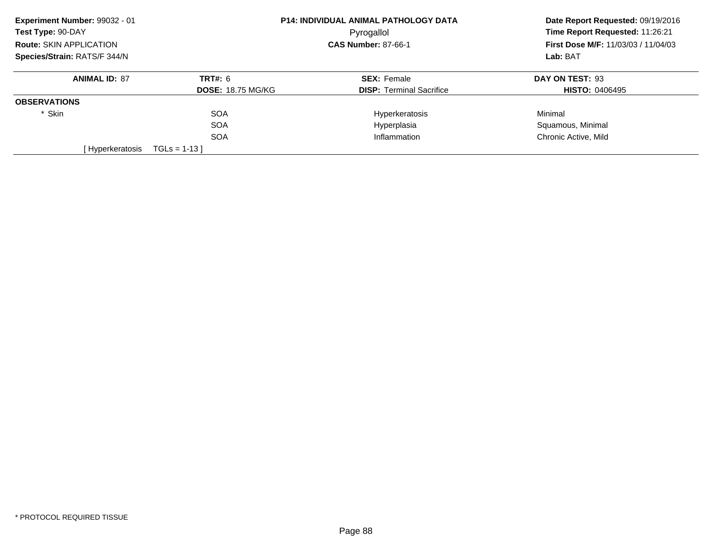| Experiment Number: 99032 - 01  |                          | P14: INDIVIDUAL ANIMAL PATHOLOGY DATA | Date Report Requested: 09/19/2016<br>Time Report Requested: 11:26:21<br><b>First Dose M/F: 11/03/03 / 11/04/03</b><br>Lab: BAT |
|--------------------------------|--------------------------|---------------------------------------|--------------------------------------------------------------------------------------------------------------------------------|
| Test Type: 90-DAY              |                          | Pyrogallol                            |                                                                                                                                |
| <b>Route: SKIN APPLICATION</b> |                          | <b>CAS Number: 87-66-1</b>            |                                                                                                                                |
| Species/Strain: RATS/F 344/N   |                          |                                       |                                                                                                                                |
| <b>ANIMAL ID: 87</b>           | <b>TRT#: 6</b>           | <b>SEX: Female</b>                    | DAY ON TEST: 93                                                                                                                |
|                                | <b>DOSE: 18.75 MG/KG</b> | <b>DISP:</b> Terminal Sacrifice       | <b>HISTO: 0406495</b>                                                                                                          |
| <b>OBSERVATIONS</b>            |                          |                                       |                                                                                                                                |
| * Skin                         | <b>SOA</b>               | Hyperkeratosis                        | Minimal                                                                                                                        |
|                                | <b>SOA</b>               | Hyperplasia                           | Squamous, Minimal                                                                                                              |
|                                | <b>SOA</b>               | Inflammation                          | Chronic Active, Mild                                                                                                           |
| [Hyperkeratosis                | $TGLs = 1-13$            |                                       |                                                                                                                                |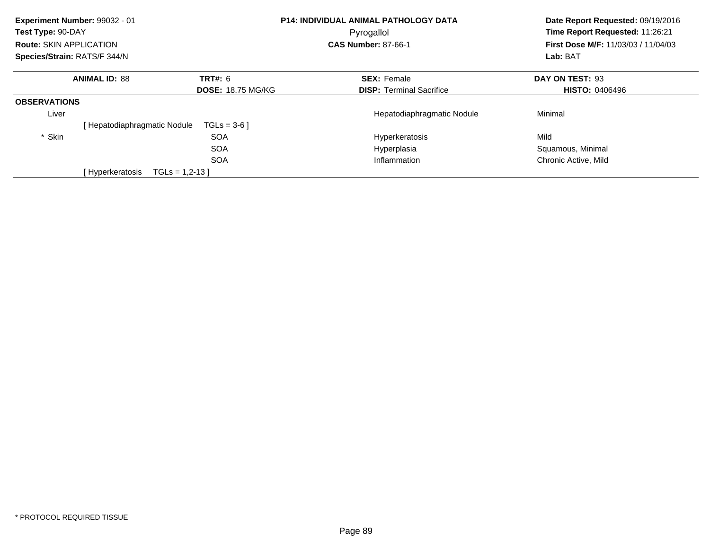| Experiment Number: 99032 - 01<br>Test Type: 90-DAY |                            |                          | <b>P14: INDIVIDUAL ANIMAL PATHOLOGY DATA</b> | Date Report Requested: 09/19/2016<br>Time Report Requested: 11:26:21 |  |
|----------------------------------------------------|----------------------------|--------------------------|----------------------------------------------|----------------------------------------------------------------------|--|
|                                                    |                            |                          | Pyrogallol                                   |                                                                      |  |
| Route: SKIN APPLICATION                            |                            |                          | <b>CAS Number: 87-66-1</b>                   | First Dose M/F: 11/03/03 / 11/04/03                                  |  |
| Species/Strain: RATS/F 344/N                       |                            |                          |                                              | Lab: BAT                                                             |  |
|                                                    | <b>ANIMAL ID: 88</b>       | <b>TRT#: 6</b>           | <b>SEX: Female</b>                           | DAY ON TEST: 93                                                      |  |
|                                                    |                            | <b>DOSE: 18.75 MG/KG</b> | <b>DISP:</b> Terminal Sacrifice              | <b>HISTO: 0406496</b>                                                |  |
| <b>OBSERVATIONS</b>                                |                            |                          |                                              |                                                                      |  |
| Liver                                              |                            |                          | Hepatodiaphragmatic Nodule                   | Minimal                                                              |  |
|                                                    | Hepatodiaphragmatic Nodule | $TGLs = 3-6$             |                                              |                                                                      |  |
| * Skin                                             |                            | <b>SOA</b>               | Hyperkeratosis                               | Mild                                                                 |  |
|                                                    |                            | <b>SOA</b>               | Hyperplasia                                  | Squamous, Minimal                                                    |  |
|                                                    |                            | <b>SOA</b>               | Inflammation                                 | Chronic Active, Mild                                                 |  |
|                                                    | [Hyperkeratosis            | $TGLs = 1,2-13$          |                                              |                                                                      |  |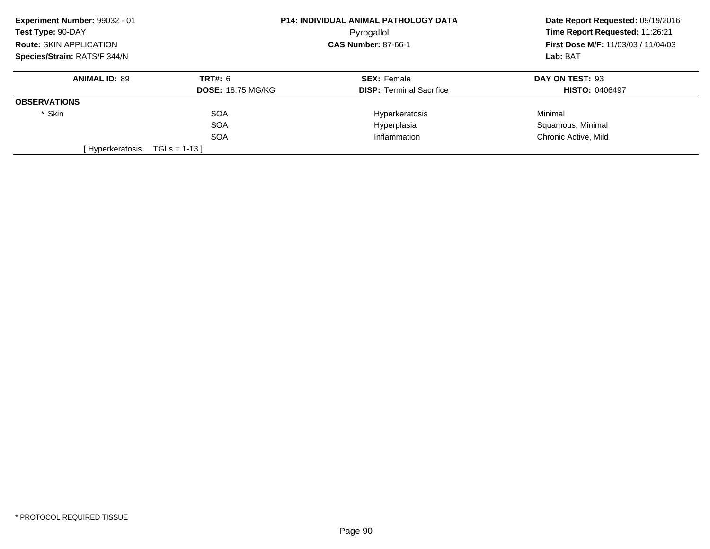| Experiment Number: 99032 - 01  |                          | P14: INDIVIDUAL ANIMAL PATHOLOGY DATA | Date Report Requested: 09/19/2016          |
|--------------------------------|--------------------------|---------------------------------------|--------------------------------------------|
| Test Type: 90-DAY              |                          | Pyrogallol                            |                                            |
| <b>Route: SKIN APPLICATION</b> |                          | <b>CAS Number: 87-66-1</b>            | <b>First Dose M/F: 11/03/03 / 11/04/03</b> |
| Species/Strain: RATS/F 344/N   |                          |                                       | Lab: BAT                                   |
| <b>ANIMAL ID: 89</b>           | <b>TRT#: 6</b>           | <b>SEX: Female</b>                    | DAY ON TEST: 93                            |
|                                | <b>DOSE: 18.75 MG/KG</b> | <b>DISP:</b> Terminal Sacrifice       | <b>HISTO: 0406497</b>                      |
| <b>OBSERVATIONS</b>            |                          |                                       |                                            |
| * Skin                         | <b>SOA</b>               | Hyperkeratosis                        | Minimal                                    |
|                                | <b>SOA</b>               | Hyperplasia                           | Squamous, Minimal                          |
|                                | <b>SOA</b>               | Inflammation                          | Chronic Active, Mild                       |
| [ Hyperkeratosis               | $TGLs = 1-13$            |                                       |                                            |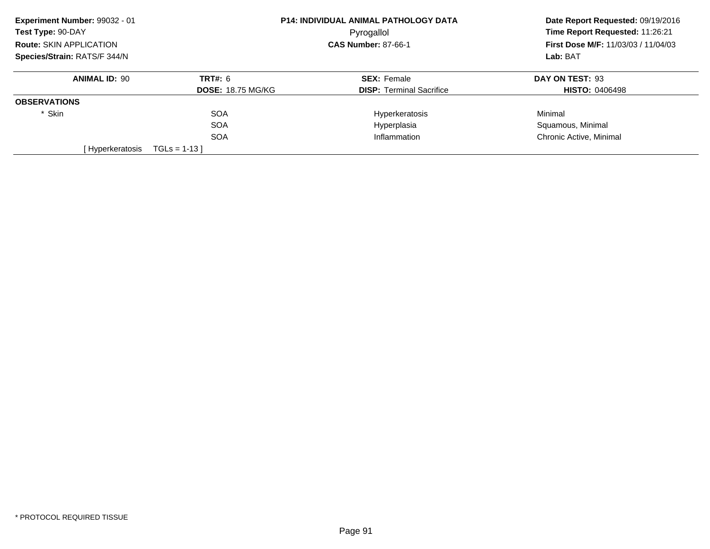| Experiment Number: 99032 - 01  |                          | <b>P14: INDIVIDUAL ANIMAL PATHOLOGY DATA</b> | Date Report Requested: 09/19/2016                      |
|--------------------------------|--------------------------|----------------------------------------------|--------------------------------------------------------|
| Test Type: 90-DAY              |                          | Pyrogallol                                   |                                                        |
| <b>Route: SKIN APPLICATION</b> |                          | <b>CAS Number: 87-66-1</b>                   | <b>First Dose M/F: 11/03/03 / 11/04/03</b><br>Lab: BAT |
| Species/Strain: RATS/F 344/N   |                          |                                              |                                                        |
| <b>ANIMAL ID: 90</b>           | <b>TRT#: 6</b>           | <b>SEX: Female</b>                           | DAY ON TEST: 93                                        |
|                                | <b>DOSE: 18.75 MG/KG</b> | <b>DISP:</b> Terminal Sacrifice              | <b>HISTO: 0406498</b>                                  |
| <b>OBSERVATIONS</b>            |                          |                                              |                                                        |
| * Skin                         | <b>SOA</b>               | Hyperkeratosis                               | Minimal                                                |
|                                | <b>SOA</b>               | Hyperplasia                                  | Squamous, Minimal                                      |
|                                | <b>SOA</b>               | Inflammation                                 | Chronic Active, Minimal                                |
| [Hyperkeratosis                | $TGLs = 1-13$            |                                              |                                                        |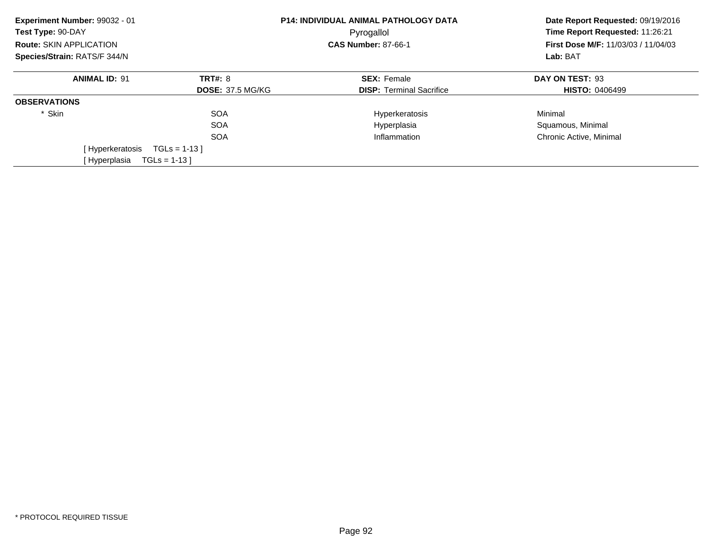| Experiment Number: 99032 - 01<br>Test Type: 90-DAY |                         | <b>P14: INDIVIDUAL ANIMAL PATHOLOGY DATA</b> | Date Report Requested: 09/19/2016<br>Time Report Requested: 11:26:21<br>First Dose M/F: 11/03/03 / 11/04/03 |  |
|----------------------------------------------------|-------------------------|----------------------------------------------|-------------------------------------------------------------------------------------------------------------|--|
| Route: SKIN APPLICATION                            |                         | Pyrogallol<br><b>CAS Number: 87-66-1</b>     |                                                                                                             |  |
|                                                    |                         |                                              |                                                                                                             |  |
| Species/Strain: RATS/F 344/N                       |                         |                                              | Lab: BAT                                                                                                    |  |
| <b>ANIMAL ID: 91</b>                               | <b>TRT#: 8</b>          | <b>SEX: Female</b>                           | DAY ON TEST: 93                                                                                             |  |
|                                                    | <b>DOSE: 37.5 MG/KG</b> | <b>DISP:</b> Terminal Sacrifice              | <b>HISTO: 0406499</b>                                                                                       |  |
| <b>OBSERVATIONS</b>                                |                         |                                              |                                                                                                             |  |
| * Skin                                             | <b>SOA</b>              | Hyperkeratosis                               | Minimal                                                                                                     |  |
|                                                    | <b>SOA</b>              | Hyperplasia                                  | Squamous, Minimal                                                                                           |  |
|                                                    | <b>SOA</b>              | Inflammation                                 | Chronic Active, Minimal                                                                                     |  |
| [Hyperkeratosis                                    | $TGLs = 1-13$           |                                              |                                                                                                             |  |
| [ Hyperplasia                                      | $TGLs = 1-13$           |                                              |                                                                                                             |  |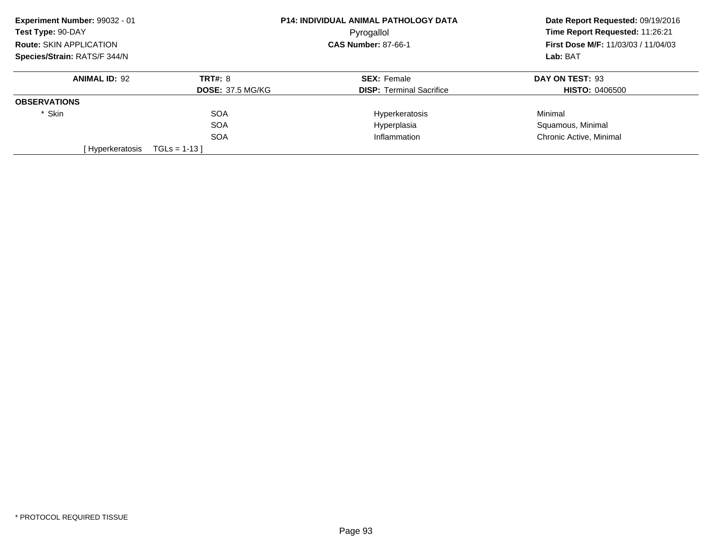| Experiment Number: 99032 - 01  |                         | P14: INDIVIDUAL ANIMAL PATHOLOGY DATA | Date Report Requested: 09/19/2016<br>Time Report Requested: 11:26:21 |
|--------------------------------|-------------------------|---------------------------------------|----------------------------------------------------------------------|
| Test Type: 90-DAY              |                         | Pyrogallol                            |                                                                      |
| <b>Route: SKIN APPLICATION</b> |                         | <b>CAS Number: 87-66-1</b>            | <b>First Dose M/F: 11/03/03 / 11/04/03</b>                           |
| Species/Strain: RATS/F 344/N   |                         |                                       | Lab: BAT                                                             |
| <b>ANIMAL ID: 92</b>           | <b>TRT#: 8</b>          | <b>SEX: Female</b>                    | DAY ON TEST: 93                                                      |
|                                | <b>DOSE: 37.5 MG/KG</b> | <b>DISP:</b> Terminal Sacrifice       | <b>HISTO: 0406500</b>                                                |
| <b>OBSERVATIONS</b>            |                         |                                       |                                                                      |
| * Skin                         | <b>SOA</b>              | Hyperkeratosis                        | Minimal                                                              |
|                                | <b>SOA</b>              | Hyperplasia                           | Squamous, Minimal                                                    |
|                                | <b>SOA</b>              | Inflammation                          | Chronic Active, Minimal                                              |
| [Hyperkeratosis                | $TGLs = 1-13$           |                                       |                                                                      |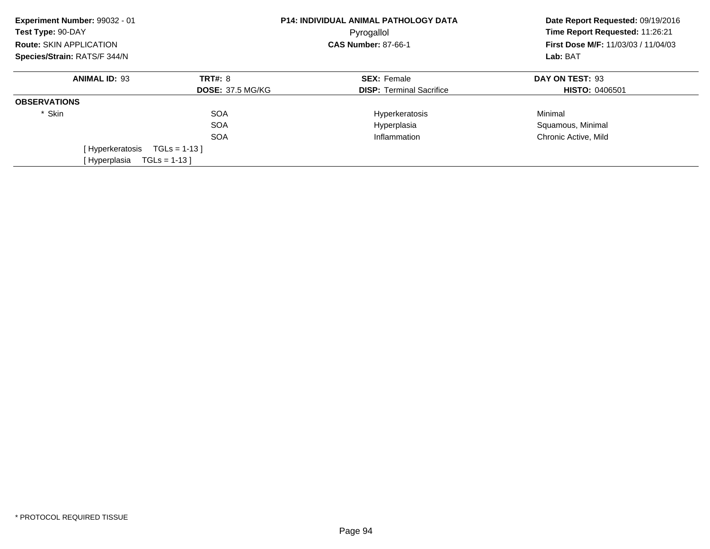| Experiment Number: 99032 - 01<br>Test Type: 90-DAY |                         | <b>P14: INDIVIDUAL ANIMAL PATHOLOGY DATA</b><br>Pyrogallol | Date Report Requested: 09/19/2016<br>Time Report Requested: 11:26:21<br>First Dose M/F: 11/03/03 / 11/04/03 |  |
|----------------------------------------------------|-------------------------|------------------------------------------------------------|-------------------------------------------------------------------------------------------------------------|--|
| Route: SKIN APPLICATION                            |                         | <b>CAS Number: 87-66-1</b>                                 |                                                                                                             |  |
| Species/Strain: RATS/F 344/N                       |                         |                                                            | Lab: BAT                                                                                                    |  |
| <b>ANIMAL ID: 93</b>                               | <b>TRT#: 8</b>          | <b>SEX: Female</b>                                         | DAY ON TEST: 93                                                                                             |  |
|                                                    | <b>DOSE: 37.5 MG/KG</b> | <b>DISP:</b> Terminal Sacrifice                            | <b>HISTO: 0406501</b>                                                                                       |  |
| <b>OBSERVATIONS</b>                                |                         |                                                            |                                                                                                             |  |
| * Skin                                             | <b>SOA</b>              | Hyperkeratosis                                             | Minimal                                                                                                     |  |
|                                                    | <b>SOA</b>              | Hyperplasia                                                | Squamous, Minimal                                                                                           |  |
|                                                    | <b>SOA</b>              | Inflammation                                               | Chronic Active, Mild                                                                                        |  |
| [Hyperkeratosis                                    | $TGLs = 1-13$           |                                                            |                                                                                                             |  |
| [Hyperplasia                                       | $TGLs = 1-13$           |                                                            |                                                                                                             |  |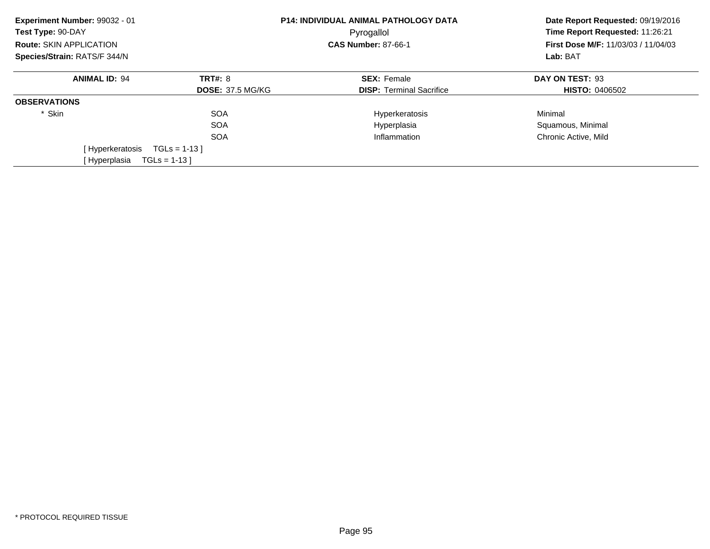| Experiment Number: 99032 - 01<br>Test Type: 90-DAY |                         | <b>P14: INDIVIDUAL ANIMAL PATHOLOGY DATA</b><br>Pyrogallol | Date Report Requested: 09/19/2016<br>Time Report Requested: 11:26:21<br>First Dose M/F: 11/03/03 / 11/04/03 |  |
|----------------------------------------------------|-------------------------|------------------------------------------------------------|-------------------------------------------------------------------------------------------------------------|--|
| Route: SKIN APPLICATION                            |                         | <b>CAS Number: 87-66-1</b>                                 |                                                                                                             |  |
| Species/Strain: RATS/F 344/N                       |                         |                                                            | Lab: BAT                                                                                                    |  |
| <b>ANIMAL ID: 94</b>                               | <b>TRT#: 8</b>          | <b>SEX: Female</b>                                         | DAY ON TEST: 93                                                                                             |  |
|                                                    | <b>DOSE: 37.5 MG/KG</b> | <b>DISP:</b> Terminal Sacrifice                            | <b>HISTO: 0406502</b>                                                                                       |  |
| <b>OBSERVATIONS</b>                                |                         |                                                            |                                                                                                             |  |
| * Skin                                             | <b>SOA</b>              | Hyperkeratosis                                             | Minimal                                                                                                     |  |
|                                                    | <b>SOA</b>              | Hyperplasia                                                | Squamous, Minimal                                                                                           |  |
|                                                    | <b>SOA</b>              | Inflammation                                               | Chronic Active, Mild                                                                                        |  |
| [Hyperkeratosis                                    | $TGLs = 1-13$           |                                                            |                                                                                                             |  |
| [Hyperplasia                                       | $TGLs = 1-13$           |                                                            |                                                                                                             |  |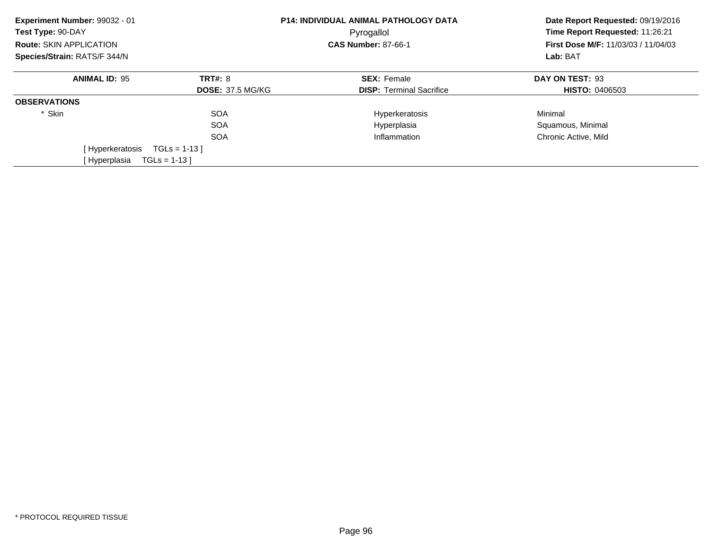| Experiment Number: 99032 - 01<br>Test Type: 90-DAY |                         | <b>P14: INDIVIDUAL ANIMAL PATHOLOGY DATA</b><br>Pyrogallol | Date Report Requested: 09/19/2016<br>Time Report Requested: 11:26:21<br>First Dose M/F: 11/03/03 / 11/04/03 |  |
|----------------------------------------------------|-------------------------|------------------------------------------------------------|-------------------------------------------------------------------------------------------------------------|--|
| Route: SKIN APPLICATION                            |                         | <b>CAS Number: 87-66-1</b>                                 |                                                                                                             |  |
| Species/Strain: RATS/F 344/N                       |                         |                                                            | Lab: BAT                                                                                                    |  |
| <b>ANIMAL ID: 95</b>                               | <b>TRT#: 8</b>          | <b>SEX: Female</b>                                         | DAY ON TEST: 93                                                                                             |  |
|                                                    | <b>DOSE: 37.5 MG/KG</b> | <b>DISP:</b> Terminal Sacrifice                            | <b>HISTO: 0406503</b>                                                                                       |  |
| <b>OBSERVATIONS</b>                                |                         |                                                            |                                                                                                             |  |
| * Skin                                             | <b>SOA</b>              | Hyperkeratosis                                             | Minimal                                                                                                     |  |
|                                                    | <b>SOA</b>              | Hyperplasia                                                | Squamous, Minimal                                                                                           |  |
|                                                    | <b>SOA</b>              | Inflammation                                               | Chronic Active, Mild                                                                                        |  |
| [Hyperkeratosis                                    | $TGLs = 1-13$           |                                                            |                                                                                                             |  |
| [Hyperplasia                                       | $TGLs = 1-13$           |                                                            |                                                                                                             |  |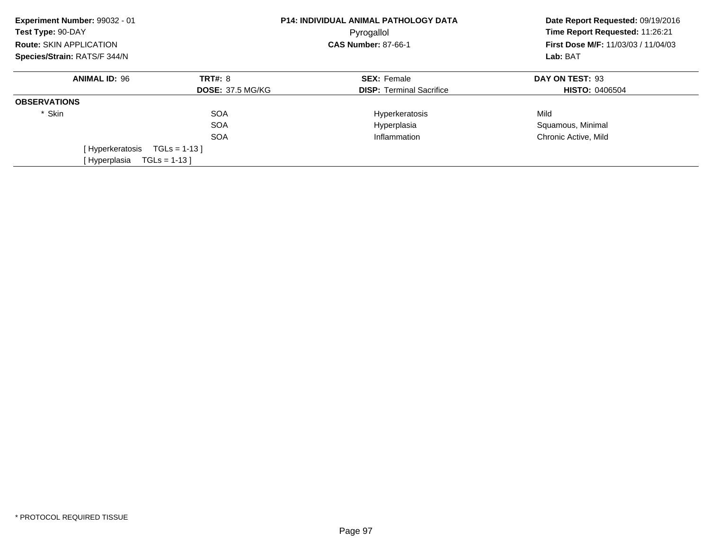| Experiment Number: 99032 - 01<br>Test Type: 90-DAY |                         | P14: INDIVIDUAL ANIMAL PATHOLOGY DATA<br>Pyrogallol | Date Report Requested: 09/19/2016<br>Time Report Requested: 11:26:21<br>First Dose M/F: 11/03/03 / 11/04/03<br>Lab: BAT |
|----------------------------------------------------|-------------------------|-----------------------------------------------------|-------------------------------------------------------------------------------------------------------------------------|
| Route: SKIN APPLICATION                            |                         | <b>CAS Number: 87-66-1</b>                          |                                                                                                                         |
| Species/Strain: RATS/F 344/N                       |                         |                                                     |                                                                                                                         |
| <b>ANIMAL ID: 96</b>                               | <b>TRT#: 8</b>          | <b>SEX: Female</b>                                  | DAY ON TEST: 93                                                                                                         |
|                                                    | <b>DOSE: 37.5 MG/KG</b> | <b>DISP:</b> Terminal Sacrifice                     | <b>HISTO: 0406504</b>                                                                                                   |
| <b>OBSERVATIONS</b>                                |                         |                                                     |                                                                                                                         |
| * Skin                                             | <b>SOA</b>              | Hyperkeratosis                                      | Mild                                                                                                                    |
|                                                    | <b>SOA</b>              | Hyperplasia                                         | Squamous, Minimal                                                                                                       |
|                                                    | <b>SOA</b>              | Inflammation                                        | Chronic Active, Mild                                                                                                    |
| [Hyperkeratosis                                    | $TGLs = 1-13$           |                                                     |                                                                                                                         |
| [Hyperplasia                                       | $TGLs = 1-13$           |                                                     |                                                                                                                         |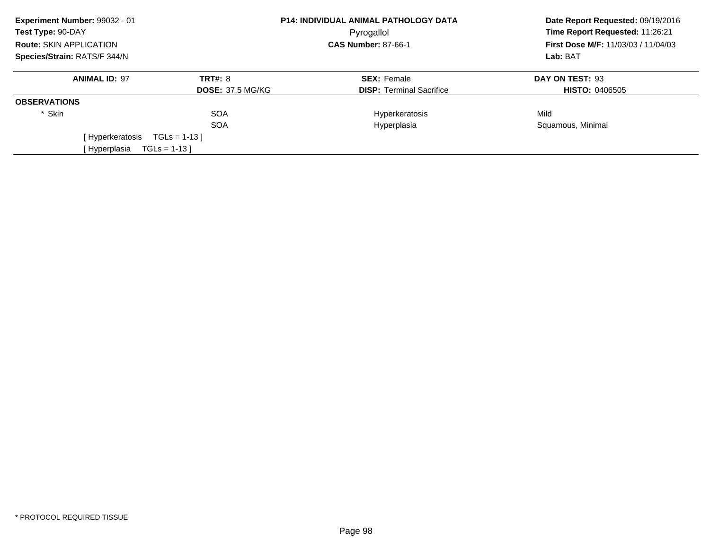| Experiment Number: 99032 - 01<br>Test Type: 90-DAY |                                |                         | <b>P14: INDIVIDUAL ANIMAL PATHOLOGY DATA</b><br>Pyrogallol | Date Report Requested: 09/19/2016<br>Time Report Requested: 11:26:21 |
|----------------------------------------------------|--------------------------------|-------------------------|------------------------------------------------------------|----------------------------------------------------------------------|
|                                                    | <b>Route: SKIN APPLICATION</b> |                         | <b>CAS Number: 87-66-1</b>                                 | <b>First Dose M/F: 11/03/03 / 11/04/03</b>                           |
| Species/Strain: RATS/F 344/N                       |                                |                         |                                                            | Lab: BAT                                                             |
|                                                    | <b>ANIMAL ID: 97</b>           | TRT#: 8                 | <b>SEX: Female</b>                                         | DAY ON TEST: 93                                                      |
|                                                    |                                | <b>DOSE: 37.5 MG/KG</b> | <b>DISP:</b> Terminal Sacrifice                            | <b>HISTO: 0406505</b>                                                |
| <b>OBSERVATIONS</b>                                |                                |                         |                                                            |                                                                      |
| * Skin                                             |                                | <b>SOA</b>              | Hyperkeratosis                                             | Mild                                                                 |
|                                                    |                                | <b>SOA</b>              | Hyperplasia                                                | Squamous, Minimal                                                    |
|                                                    | [Hyperkeratosis                | $TGLs = 1-13$           |                                                            |                                                                      |
|                                                    | [ Hyperplasia                  | $TGLs = 1-13$           |                                                            |                                                                      |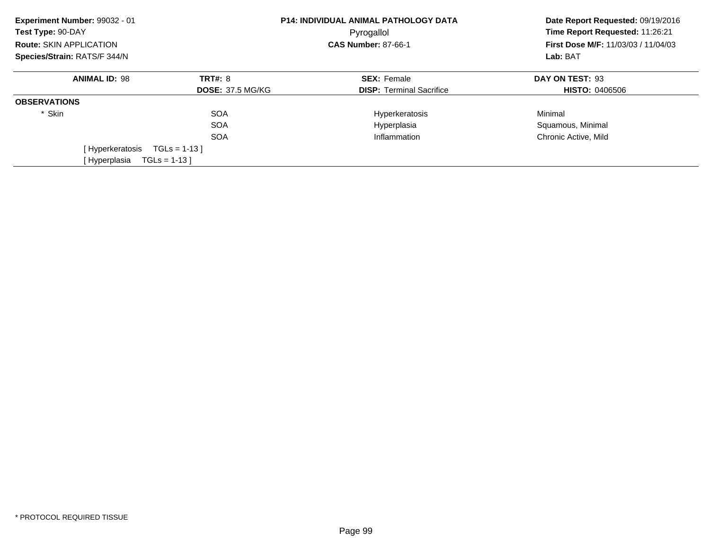| Experiment Number: 99032 - 01<br>Test Type: 90-DAY |                         | <b>P14: INDIVIDUAL ANIMAL PATHOLOGY DATA</b><br>Pyrogallol | Date Report Requested: 09/19/2016<br>Time Report Requested: 11:26:21<br>First Dose M/F: 11/03/03 / 11/04/03 |  |
|----------------------------------------------------|-------------------------|------------------------------------------------------------|-------------------------------------------------------------------------------------------------------------|--|
| Route: SKIN APPLICATION                            |                         | <b>CAS Number: 87-66-1</b>                                 |                                                                                                             |  |
| Species/Strain: RATS/F 344/N                       |                         |                                                            | Lab: BAT                                                                                                    |  |
| <b>ANIMAL ID: 98</b>                               | <b>TRT#: 8</b>          | <b>SEX: Female</b>                                         | DAY ON TEST: 93                                                                                             |  |
|                                                    | <b>DOSE: 37.5 MG/KG</b> | <b>DISP:</b> Terminal Sacrifice                            | <b>HISTO: 0406506</b>                                                                                       |  |
| <b>OBSERVATIONS</b>                                |                         |                                                            |                                                                                                             |  |
| * Skin                                             | <b>SOA</b>              | Hyperkeratosis                                             | Minimal                                                                                                     |  |
|                                                    | <b>SOA</b>              | Hyperplasia                                                | Squamous, Minimal                                                                                           |  |
|                                                    | <b>SOA</b>              | Inflammation                                               | Chronic Active, Mild                                                                                        |  |
| [Hyperkeratosis                                    | $TGLs = 1-13$           |                                                            |                                                                                                             |  |
| [Hyperplasia                                       | $TGLs = 1-13$           |                                                            |                                                                                                             |  |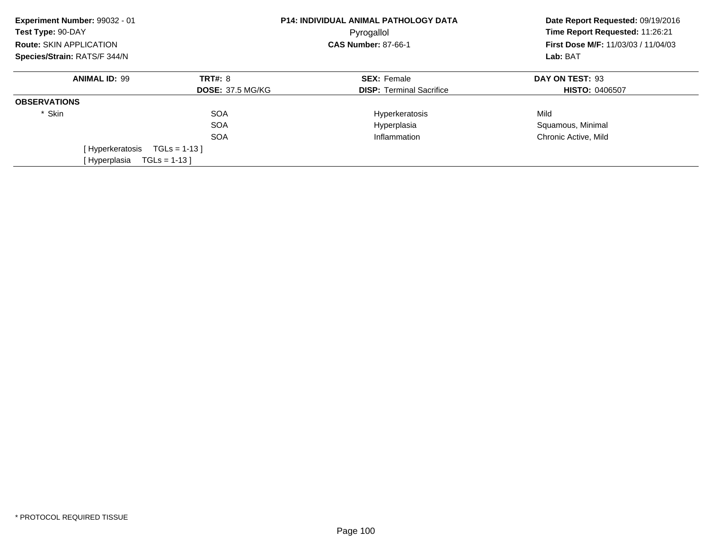| Experiment Number: 99032 - 01<br>Test Type: 90-DAY |                         | <b>P14: INDIVIDUAL ANIMAL PATHOLOGY DATA</b><br>Pyrogallol | Date Report Requested: 09/19/2016<br>Time Report Requested: 11:26:21<br>First Dose M/F: 11/03/03 / 11/04/03 |  |
|----------------------------------------------------|-------------------------|------------------------------------------------------------|-------------------------------------------------------------------------------------------------------------|--|
| Route: SKIN APPLICATION                            |                         | <b>CAS Number: 87-66-1</b>                                 |                                                                                                             |  |
| Species/Strain: RATS/F 344/N                       |                         |                                                            | Lab: BAT                                                                                                    |  |
| <b>ANIMAL ID: 99</b>                               | <b>TRT#: 8</b>          | <b>SEX: Female</b>                                         | DAY ON TEST: 93                                                                                             |  |
|                                                    | <b>DOSE: 37.5 MG/KG</b> | <b>DISP:</b> Terminal Sacrifice                            | <b>HISTO: 0406507</b>                                                                                       |  |
| <b>OBSERVATIONS</b>                                |                         |                                                            |                                                                                                             |  |
| * Skin                                             | <b>SOA</b>              | Hyperkeratosis                                             | Mild                                                                                                        |  |
|                                                    | <b>SOA</b>              | Hyperplasia                                                | Squamous, Minimal                                                                                           |  |
|                                                    | <b>SOA</b>              | Inflammation                                               | Chronic Active, Mild                                                                                        |  |
| [Hyperkeratosis                                    | $TGLs = 1-13$           |                                                            |                                                                                                             |  |
| [Hyperplasia                                       | $TGLs = 1-13$           |                                                            |                                                                                                             |  |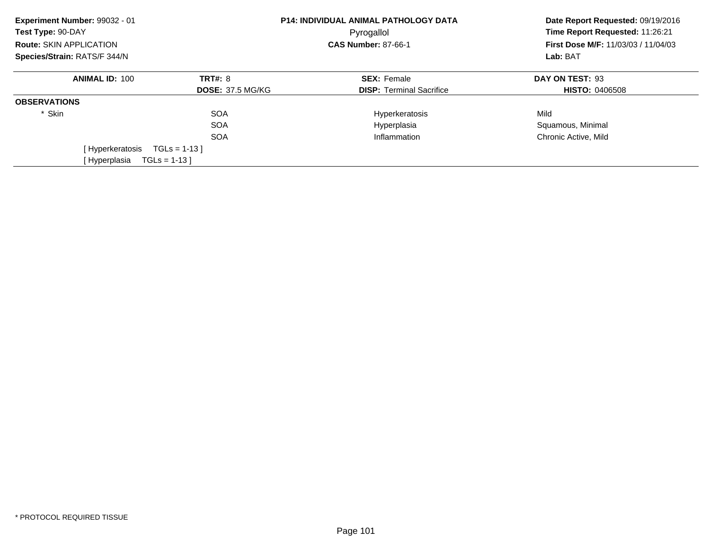| Experiment Number: 99032 - 01<br>Test Type: 90-DAY |                         | <b>P14: INDIVIDUAL ANIMAL PATHOLOGY DATA</b><br>Pyrogallol | Date Report Requested: 09/19/2016<br>Time Report Requested: 11:26:21 |  |
|----------------------------------------------------|-------------------------|------------------------------------------------------------|----------------------------------------------------------------------|--|
| <b>Route: SKIN APPLICATION</b>                     |                         | <b>CAS Number: 87-66-1</b>                                 | <b>First Dose M/F: 11/03/03 / 11/04/03</b>                           |  |
| Species/Strain: RATS/F 344/N                       |                         |                                                            | Lab: BAT                                                             |  |
| <b>ANIMAL ID: 100</b>                              | <b>TRT#: 8</b>          | <b>SEX: Female</b>                                         | DAY ON TEST: 93                                                      |  |
|                                                    | <b>DOSE: 37.5 MG/KG</b> | <b>DISP:</b> Terminal Sacrifice                            | <b>HISTO: 0406508</b>                                                |  |
| <b>OBSERVATIONS</b>                                |                         |                                                            |                                                                      |  |
| * Skin                                             | <b>SOA</b>              | Hyperkeratosis                                             | Mild                                                                 |  |
|                                                    | <b>SOA</b>              | Hyperplasia                                                | Squamous, Minimal                                                    |  |
|                                                    | <b>SOA</b>              | Inflammation                                               | Chronic Active, Mild                                                 |  |
| [Hyperkeratosis                                    | $TGLs = 1-13$           |                                                            |                                                                      |  |
| [Hyperplasia<br>$TGLs = 1-13$                      |                         |                                                            |                                                                      |  |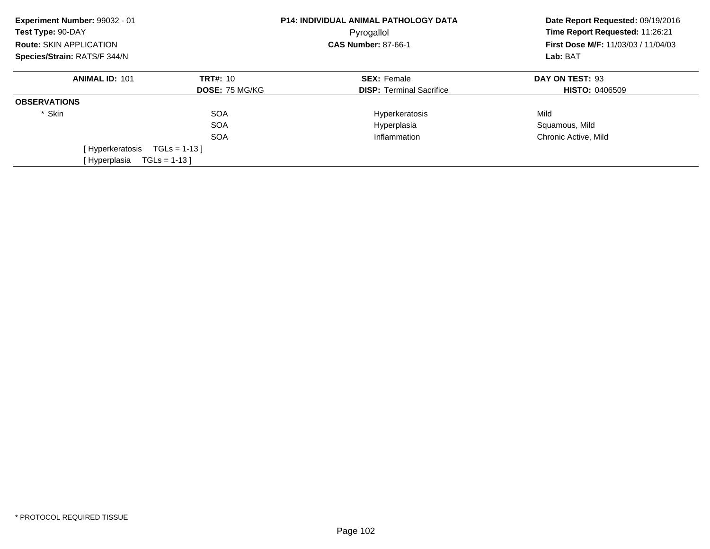| Experiment Number: 99032 - 01<br>Test Type: 90-DAY |                       | <b>P14: INDIVIDUAL ANIMAL PATHOLOGY DATA</b><br>Pyrogallol | Date Report Requested: 09/19/2016<br>Time Report Requested: 11:26:21 |  |
|----------------------------------------------------|-----------------------|------------------------------------------------------------|----------------------------------------------------------------------|--|
| <b>Route: SKIN APPLICATION</b>                     |                       | <b>CAS Number: 87-66-1</b>                                 | <b>First Dose M/F: 11/03/03 / 11/04/03</b>                           |  |
| Species/Strain: RATS/F 344/N                       |                       |                                                            | Lab: BAT                                                             |  |
| <b>ANIMAL ID: 101</b>                              | <b>TRT#: 10</b>       | <b>SEX: Female</b>                                         | DAY ON TEST: 93                                                      |  |
|                                                    | <b>DOSE: 75 MG/KG</b> | <b>DISP:</b> Terminal Sacrifice                            | <b>HISTO: 0406509</b>                                                |  |
| <b>OBSERVATIONS</b>                                |                       |                                                            |                                                                      |  |
| * Skin                                             | <b>SOA</b>            | Hyperkeratosis                                             | Mild                                                                 |  |
|                                                    | <b>SOA</b>            | Hyperplasia                                                | Squamous, Mild                                                       |  |
|                                                    | <b>SOA</b>            | Inflammation                                               | Chronic Active, Mild                                                 |  |
| [Hyperkeratosis                                    | $TGLs = 1-13$         |                                                            |                                                                      |  |
| [Hyperplasia<br>$TGLs = 1-13$                      |                       |                                                            |                                                                      |  |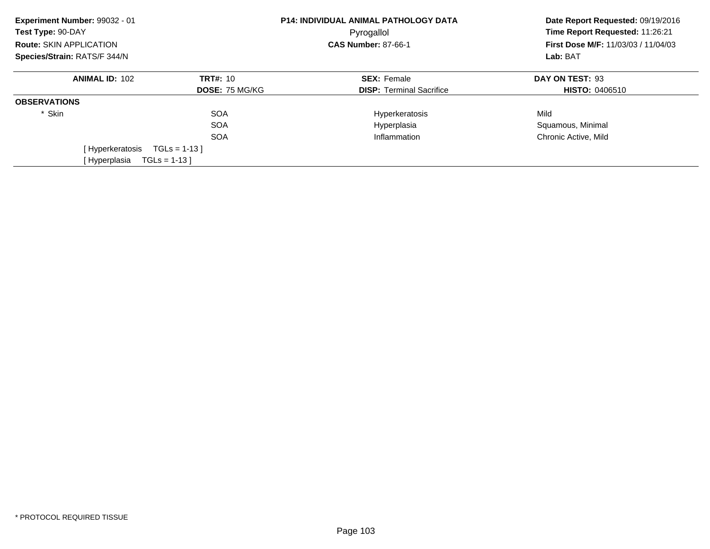| Experiment Number: 99032 - 01<br>Test Type: 90-DAY<br><b>Route: SKIN APPLICATION</b> |                       | <b>P14: INDIVIDUAL ANIMAL PATHOLOGY DATA</b><br>Pyrogallol<br><b>CAS Number: 87-66-1</b> | Date Report Requested: 09/19/2016<br>Time Report Requested: 11:26:21<br><b>First Dose M/F: 11/03/03 / 11/04/03</b><br>Lab: BAT |
|--------------------------------------------------------------------------------------|-----------------------|------------------------------------------------------------------------------------------|--------------------------------------------------------------------------------------------------------------------------------|
| Species/Strain: RATS/F 344/N                                                         |                       |                                                                                          |                                                                                                                                |
| <b>ANIMAL ID: 102</b>                                                                | <b>TRT#: 10</b>       | <b>SEX: Female</b>                                                                       | DAY ON TEST: 93                                                                                                                |
|                                                                                      | <b>DOSE: 75 MG/KG</b> | <b>DISP:</b> Terminal Sacrifice                                                          | <b>HISTO: 0406510</b>                                                                                                          |
| <b>OBSERVATIONS</b>                                                                  |                       |                                                                                          |                                                                                                                                |
| * Skin                                                                               | <b>SOA</b>            | Hyperkeratosis                                                                           | Mild                                                                                                                           |
|                                                                                      | <b>SOA</b>            | Hyperplasia                                                                              | Squamous, Minimal                                                                                                              |
|                                                                                      | <b>SOA</b>            | Inflammation                                                                             | Chronic Active, Mild                                                                                                           |
| [ Hyperkeratosis                                                                     | $TGLs = 1-13$         |                                                                                          |                                                                                                                                |
| $TGLs = 1-13$<br>[Hyperplasia                                                        |                       |                                                                                          |                                                                                                                                |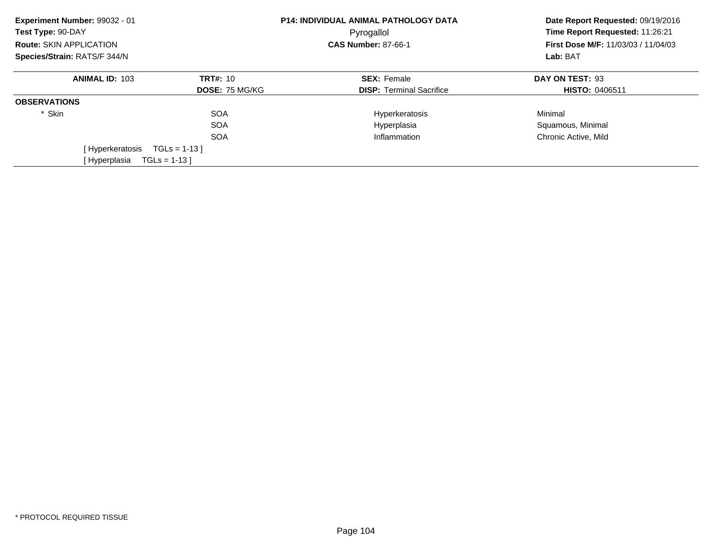| Experiment Number: 99032 - 01<br>Test Type: 90-DAY |                       | <b>P14: INDIVIDUAL ANIMAL PATHOLOGY DATA</b><br>Pyrogallol | Date Report Requested: 09/19/2016<br>Time Report Requested: 11:26:21 |  |
|----------------------------------------------------|-----------------------|------------------------------------------------------------|----------------------------------------------------------------------|--|
| <b>Route: SKIN APPLICATION</b>                     |                       | <b>CAS Number: 87-66-1</b>                                 | <b>First Dose M/F: 11/03/03 / 11/04/03</b>                           |  |
| Species/Strain: RATS/F 344/N                       |                       |                                                            | Lab: BAT                                                             |  |
| <b>ANIMAL ID: 103</b>                              | <b>TRT#: 10</b>       | <b>SEX: Female</b>                                         | DAY ON TEST: 93                                                      |  |
|                                                    | <b>DOSE: 75 MG/KG</b> | <b>DISP:</b> Terminal Sacrifice                            | <b>HISTO: 0406511</b>                                                |  |
| <b>OBSERVATIONS</b>                                |                       |                                                            |                                                                      |  |
| * Skin                                             | <b>SOA</b>            | Hyperkeratosis                                             | Minimal                                                              |  |
|                                                    | <b>SOA</b>            | Hyperplasia                                                | Squamous, Minimal                                                    |  |
|                                                    | <b>SOA</b>            | Inflammation                                               | Chronic Active, Mild                                                 |  |
| [Hyperkeratosis                                    | $TGLs = 1-13$         |                                                            |                                                                      |  |
| [Hyperplasia<br>$TGLs = 1-13$                      |                       |                                                            |                                                                      |  |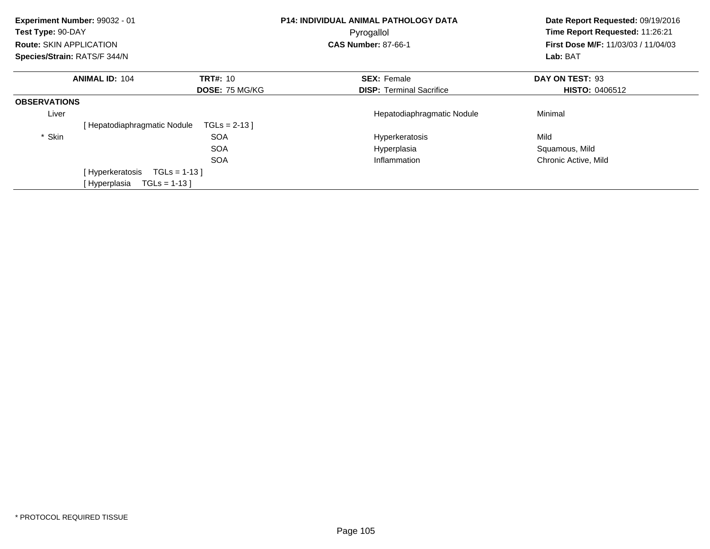| Experiment Number: 99032 - 01<br>Test Type: 90-DAY<br><b>Route: SKIN APPLICATION</b><br>Species/Strain: RATS/F 344/N |                             |                       | P14: INDIVIDUAL ANIMAL PATHOLOGY DATA<br>Pyrogallol<br><b>CAS Number: 87-66-1</b> | Date Report Requested: 09/19/2016<br>Time Report Requested: 11:26:21<br>First Dose M/F: 11/03/03 / 11/04/03<br>Lab: BAT |
|----------------------------------------------------------------------------------------------------------------------|-----------------------------|-----------------------|-----------------------------------------------------------------------------------|-------------------------------------------------------------------------------------------------------------------------|
|                                                                                                                      | <b>ANIMAL ID: 104</b>       | <b>TRT#: 10</b>       | <b>SEX: Female</b>                                                                | DAY ON TEST: 93                                                                                                         |
|                                                                                                                      |                             | <b>DOSE: 75 MG/KG</b> | <b>DISP:</b> Terminal Sacrifice                                                   | <b>HISTO: 0406512</b>                                                                                                   |
| <b>OBSERVATIONS</b>                                                                                                  |                             |                       |                                                                                   |                                                                                                                         |
| Liver                                                                                                                |                             |                       | Hepatodiaphragmatic Nodule                                                        | Minimal                                                                                                                 |
|                                                                                                                      | [Hepatodiaphragmatic Nodule | $TGLs = 2-13$         |                                                                                   |                                                                                                                         |
| * Skin                                                                                                               |                             | <b>SOA</b>            | Hyperkeratosis                                                                    | Mild                                                                                                                    |
|                                                                                                                      |                             | <b>SOA</b>            | Hyperplasia                                                                       | Squamous, Mild                                                                                                          |
|                                                                                                                      |                             | <b>SOA</b>            | Inflammation                                                                      | Chronic Active, Mild                                                                                                    |
|                                                                                                                      | [Hyperkeratosis             | $TGLs = 1-13$         |                                                                                   |                                                                                                                         |
|                                                                                                                      | [ Hyperplasia               | $TGLs = 1-13$         |                                                                                   |                                                                                                                         |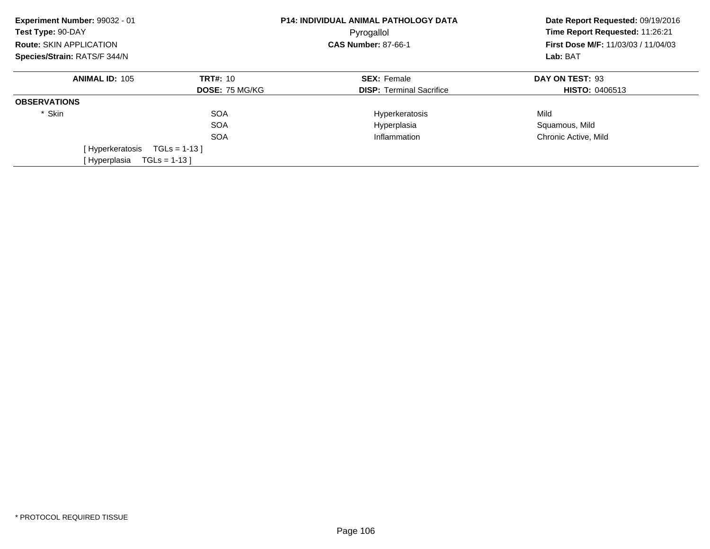| Experiment Number: 99032 - 01<br>Test Type: 90-DAY |                       | <b>P14: INDIVIDUAL ANIMAL PATHOLOGY DATA</b><br>Pyrogallol | Date Report Requested: 09/19/2016<br>Time Report Requested: 11:26:21 |  |
|----------------------------------------------------|-----------------------|------------------------------------------------------------|----------------------------------------------------------------------|--|
| <b>Route: SKIN APPLICATION</b>                     |                       | <b>CAS Number: 87-66-1</b>                                 | <b>First Dose M/F: 11/03/03 / 11/04/03</b>                           |  |
| Species/Strain: RATS/F 344/N                       |                       |                                                            | Lab: BAT                                                             |  |
| <b>ANIMAL ID: 105</b>                              | <b>TRT#: 10</b>       | <b>SEX: Female</b>                                         | DAY ON TEST: 93                                                      |  |
|                                                    | <b>DOSE: 75 MG/KG</b> | <b>DISP:</b> Terminal Sacrifice                            | <b>HISTO: 0406513</b>                                                |  |
| <b>OBSERVATIONS</b>                                |                       |                                                            |                                                                      |  |
| * Skin                                             | <b>SOA</b>            | Hyperkeratosis                                             | Mild                                                                 |  |
|                                                    | <b>SOA</b>            | Hyperplasia                                                | Squamous, Mild                                                       |  |
|                                                    | <b>SOA</b>            | Inflammation                                               | Chronic Active, Mild                                                 |  |
| [Hyperkeratosis                                    | $TGLs = 1-13$         |                                                            |                                                                      |  |
| $TGLs = 1-13$<br>[Hyperplasia                      |                       |                                                            |                                                                      |  |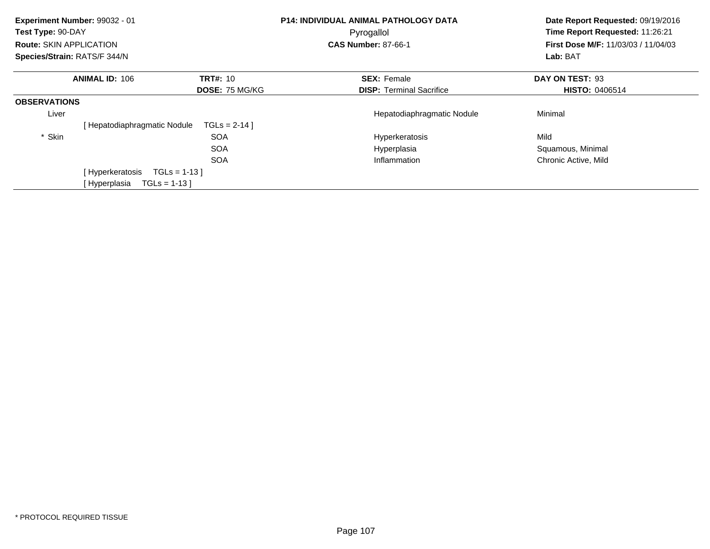| Experiment Number: 99032 - 01<br>Test Type: 90-DAY<br><b>Route: SKIN APPLICATION</b><br>Species/Strain: RATS/F 344/N |                                |                       | P14: INDIVIDUAL ANIMAL PATHOLOGY DATA<br>Pyrogallol<br><b>CAS Number: 87-66-1</b> | Date Report Requested: 09/19/2016<br>Time Report Requested: 11:26:21<br>First Dose M/F: 11/03/03 / 11/04/03<br>Lab: BAT |
|----------------------------------------------------------------------------------------------------------------------|--------------------------------|-----------------------|-----------------------------------------------------------------------------------|-------------------------------------------------------------------------------------------------------------------------|
|                                                                                                                      | <b>ANIMAL ID: 106</b>          | <b>TRT#: 10</b>       | <b>SEX: Female</b>                                                                | DAY ON TEST: 93                                                                                                         |
|                                                                                                                      |                                | <b>DOSE: 75 MG/KG</b> | <b>DISP:</b> Terminal Sacrifice                                                   | <b>HISTO: 0406514</b>                                                                                                   |
| <b>OBSERVATIONS</b>                                                                                                  |                                |                       |                                                                                   |                                                                                                                         |
| Liver                                                                                                                |                                |                       | Hepatodiaphragmatic Nodule                                                        | Minimal                                                                                                                 |
|                                                                                                                      | [Hepatodiaphragmatic Nodule    | $TGLS = 2-14$ ]       |                                                                                   |                                                                                                                         |
| * Skin                                                                                                               |                                | <b>SOA</b>            | Hyperkeratosis                                                                    | Mild                                                                                                                    |
|                                                                                                                      |                                | <b>SOA</b>            | Hyperplasia                                                                       | Squamous, Minimal                                                                                                       |
|                                                                                                                      |                                | <b>SOA</b>            | Inflammation                                                                      | Chronic Active, Mild                                                                                                    |
|                                                                                                                      | [Hyperkeratosis                | $TGLs = 1-13$         |                                                                                   |                                                                                                                         |
|                                                                                                                      | [ Hyperplasia<br>$TGLs = 1-13$ |                       |                                                                                   |                                                                                                                         |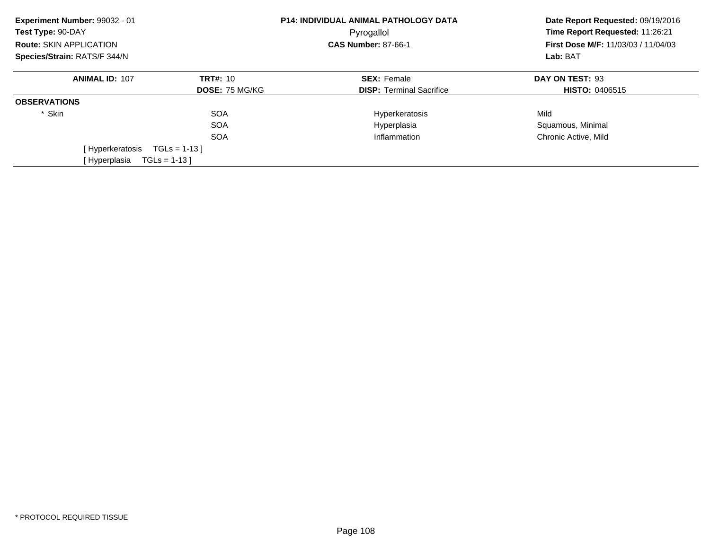| Experiment Number: 99032 - 01<br>Test Type: 90-DAY<br><b>Route: SKIN APPLICATION</b> |                       | <b>P14: INDIVIDUAL ANIMAL PATHOLOGY DATA</b><br>Pyrogallol<br><b>CAS Number: 87-66-1</b> | Date Report Requested: 09/19/2016<br>Time Report Requested: 11:26:21<br><b>First Dose M/F: 11/03/03 / 11/04/03</b><br>Lab: BAT |
|--------------------------------------------------------------------------------------|-----------------------|------------------------------------------------------------------------------------------|--------------------------------------------------------------------------------------------------------------------------------|
| Species/Strain: RATS/F 344/N                                                         |                       |                                                                                          |                                                                                                                                |
| <b>ANIMAL ID: 107</b>                                                                | <b>TRT#: 10</b>       | <b>SEX: Female</b>                                                                       | DAY ON TEST: 93                                                                                                                |
|                                                                                      | <b>DOSE: 75 MG/KG</b> | <b>DISP:</b> Terminal Sacrifice                                                          | <b>HISTO: 0406515</b>                                                                                                          |
| <b>OBSERVATIONS</b>                                                                  |                       |                                                                                          |                                                                                                                                |
| * Skin                                                                               | <b>SOA</b>            | Hyperkeratosis                                                                           | Mild                                                                                                                           |
|                                                                                      | <b>SOA</b>            | Hyperplasia                                                                              | Squamous, Minimal                                                                                                              |
|                                                                                      | <b>SOA</b>            | Inflammation                                                                             | Chronic Active, Mild                                                                                                           |
| [ Hyperkeratosis                                                                     | $TGLs = 1-13$         |                                                                                          |                                                                                                                                |
| $TGLs = 1-13$<br>[Hyperplasia                                                        |                       |                                                                                          |                                                                                                                                |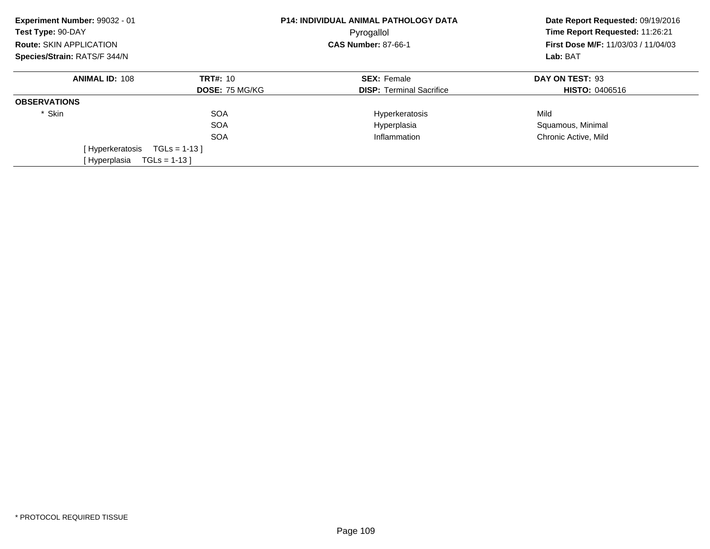| Experiment Number: 99032 - 01<br>Test Type: 90-DAY |                       | <b>P14: INDIVIDUAL ANIMAL PATHOLOGY DATA</b><br>Pyrogallol | Date Report Requested: 09/19/2016<br>Time Report Requested: 11:26:21 |
|----------------------------------------------------|-----------------------|------------------------------------------------------------|----------------------------------------------------------------------|
| <b>Route: SKIN APPLICATION</b>                     |                       | <b>CAS Number: 87-66-1</b>                                 | <b>First Dose M/F: 11/03/03 / 11/04/03</b>                           |
| Species/Strain: RATS/F 344/N                       |                       |                                                            | Lab: BAT                                                             |
| <b>ANIMAL ID: 108</b>                              | <b>TRT#: 10</b>       | <b>SEX: Female</b>                                         | DAY ON TEST: 93                                                      |
|                                                    | <b>DOSE: 75 MG/KG</b> | <b>DISP:</b> Terminal Sacrifice                            | <b>HISTO: 0406516</b>                                                |
| <b>OBSERVATIONS</b>                                |                       |                                                            |                                                                      |
| * Skin                                             | <b>SOA</b>            | Hyperkeratosis                                             | Mild                                                                 |
|                                                    | <b>SOA</b>            | Hyperplasia                                                | Squamous, Minimal                                                    |
|                                                    | <b>SOA</b>            | Inflammation                                               | Chronic Active, Mild                                                 |
| [Hyperkeratosis                                    | $TGLs = 1-13$         |                                                            |                                                                      |
| [Hyperplasia<br>$TGLs = 1-13$                      |                       |                                                            |                                                                      |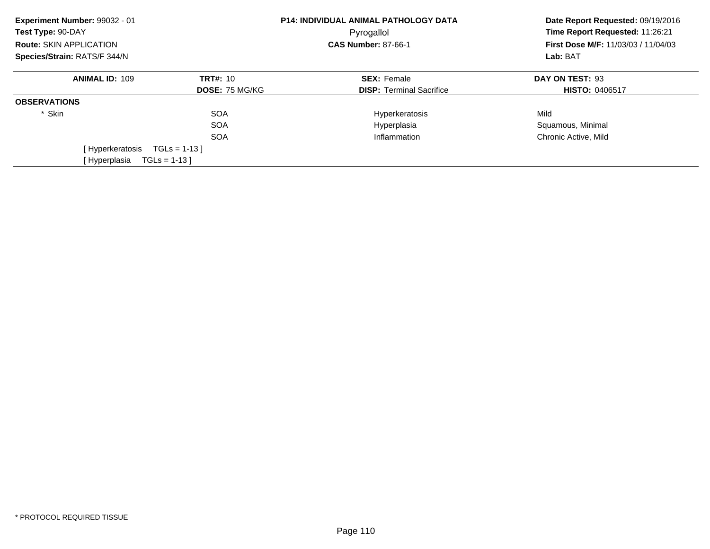| Experiment Number: 99032 - 01<br>Test Type: 90-DAY |                       | <b>P14: INDIVIDUAL ANIMAL PATHOLOGY DATA</b><br>Pyrogallol | Date Report Requested: 09/19/2016<br>Time Report Requested: 11:26:21 |
|----------------------------------------------------|-----------------------|------------------------------------------------------------|----------------------------------------------------------------------|
| <b>Route: SKIN APPLICATION</b>                     |                       | <b>CAS Number: 87-66-1</b>                                 | <b>First Dose M/F: 11/03/03 / 11/04/03</b>                           |
| Species/Strain: RATS/F 344/N                       |                       |                                                            | Lab: BAT                                                             |
| <b>ANIMAL ID: 109</b>                              | <b>TRT#: 10</b>       | <b>SEX: Female</b>                                         | DAY ON TEST: 93                                                      |
|                                                    | <b>DOSE: 75 MG/KG</b> | <b>DISP:</b> Terminal Sacrifice                            | <b>HISTO: 0406517</b>                                                |
| <b>OBSERVATIONS</b>                                |                       |                                                            |                                                                      |
| * Skin                                             | <b>SOA</b>            | Hyperkeratosis                                             | Mild                                                                 |
|                                                    | <b>SOA</b>            | Hyperplasia                                                | Squamous, Minimal                                                    |
|                                                    | <b>SOA</b>            | Inflammation                                               | Chronic Active, Mild                                                 |
| [Hyperkeratosis                                    | $TGLs = 1-13$         |                                                            |                                                                      |
| [Hyperplasia<br>$TGLs = 1-13$                      |                       |                                                            |                                                                      |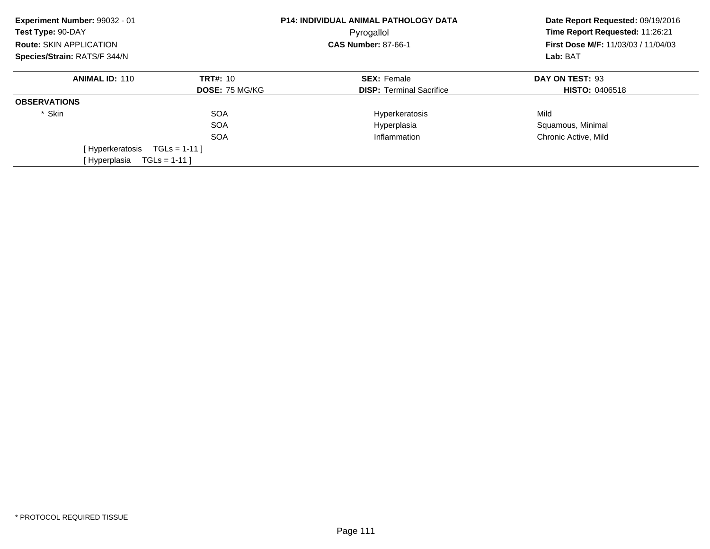| Experiment Number: 99032 - 01<br>Test Type: 90-DAY |                       | <b>P14: INDIVIDUAL ANIMAL PATHOLOGY DATA</b><br>Pyrogallol | Date Report Requested: 09/19/2016<br>Time Report Requested: 11:26:21 |
|----------------------------------------------------|-----------------------|------------------------------------------------------------|----------------------------------------------------------------------|
| <b>Route: SKIN APPLICATION</b>                     |                       | <b>CAS Number: 87-66-1</b>                                 | <b>First Dose M/F: 11/03/03 / 11/04/03</b>                           |
| Species/Strain: RATS/F 344/N                       |                       |                                                            | Lab: BAT                                                             |
| <b>ANIMAL ID: 110</b>                              | <b>TRT#: 10</b>       | <b>SEX: Female</b>                                         | DAY ON TEST: 93                                                      |
|                                                    | <b>DOSE: 75 MG/KG</b> | <b>DISP:</b> Terminal Sacrifice                            | <b>HISTO: 0406518</b>                                                |
| <b>OBSERVATIONS</b>                                |                       |                                                            |                                                                      |
| * Skin                                             | <b>SOA</b>            | Hyperkeratosis                                             | Mild                                                                 |
|                                                    | <b>SOA</b>            | Hyperplasia                                                | Squamous, Minimal                                                    |
|                                                    | <b>SOA</b>            | Inflammation                                               | Chronic Active, Mild                                                 |
| [ Hyperkeratosis                                   | $TGLS = 1-11$         |                                                            |                                                                      |
| [Hyperplasia<br>$TGLs = 1-11$                      |                       |                                                            |                                                                      |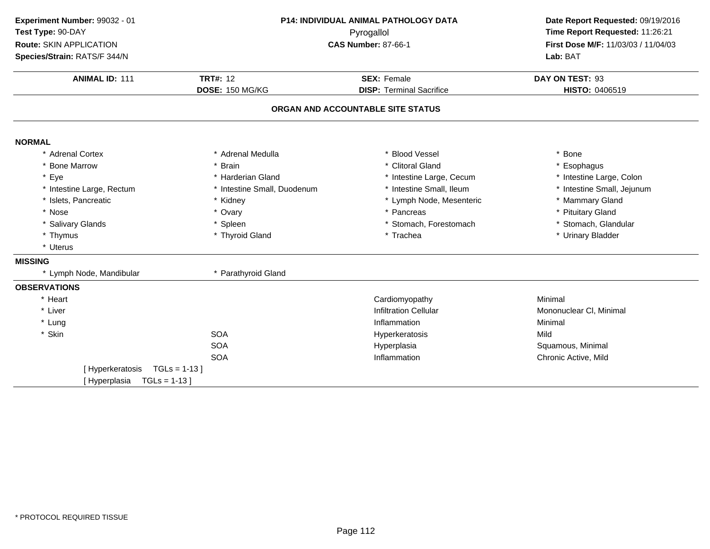| Experiment Number: 99032 - 01  |                             | <b>P14: INDIVIDUAL ANIMAL PATHOLOGY DATA</b> | Date Report Requested: 09/19/2016   |
|--------------------------------|-----------------------------|----------------------------------------------|-------------------------------------|
| Test Type: 90-DAY              |                             | Pyrogallol                                   | Time Report Requested: 11:26:21     |
| Route: SKIN APPLICATION        |                             | <b>CAS Number: 87-66-1</b>                   | First Dose M/F: 11/03/03 / 11/04/03 |
| Species/Strain: RATS/F 344/N   |                             |                                              | Lab: BAT                            |
| <b>ANIMAL ID: 111</b>          | <b>TRT#: 12</b>             | <b>SEX: Female</b>                           | DAY ON TEST: 93                     |
|                                | DOSE: 150 MG/KG             | <b>DISP: Terminal Sacrifice</b>              | HISTO: 0406519                      |
|                                |                             | ORGAN AND ACCOUNTABLE SITE STATUS            |                                     |
| <b>NORMAL</b>                  |                             |                                              |                                     |
| * Adrenal Cortex               | * Adrenal Medulla           | * Blood Vessel                               | * Bone                              |
| * Bone Marrow                  | * Brain                     | * Clitoral Gland                             | * Esophagus                         |
| * Eye                          | * Harderian Gland           | * Intestine Large, Cecum                     | * Intestine Large, Colon            |
| * Intestine Large, Rectum      | * Intestine Small, Duodenum | * Intestine Small, Ileum                     | * Intestine Small, Jejunum          |
| * Islets, Pancreatic           | * Kidney                    | * Lymph Node, Mesenteric                     | * Mammary Gland                     |
| * Nose                         | * Ovary                     | * Pancreas                                   | * Pituitary Gland                   |
| * Salivary Glands              | * Spleen                    | * Stomach, Forestomach                       | * Stomach, Glandular                |
| * Thymus                       | * Thyroid Gland             | * Trachea                                    | * Urinary Bladder                   |
| * Uterus                       |                             |                                              |                                     |
| <b>MISSING</b>                 |                             |                                              |                                     |
| * Lymph Node, Mandibular       | * Parathyroid Gland         |                                              |                                     |
| <b>OBSERVATIONS</b>            |                             |                                              |                                     |
| * Heart                        |                             | Cardiomyopathy                               | Minimal                             |
| * Liver                        |                             | <b>Infiltration Cellular</b>                 | Mononuclear CI, Minimal             |
| * Lung                         |                             | Inflammation                                 | Minimal                             |
| * Skin                         | <b>SOA</b>                  | Hyperkeratosis                               | Mild                                |
|                                | <b>SOA</b>                  | Hyperplasia                                  | Squamous, Minimal                   |
|                                | <b>SOA</b>                  | Inflammation                                 | Chronic Active, Mild                |
| [Hyperkeratosis                | $TGLs = 1-13$ ]             |                                              |                                     |
| $TGLs = 1-13$<br>[ Hyperplasia |                             |                                              |                                     |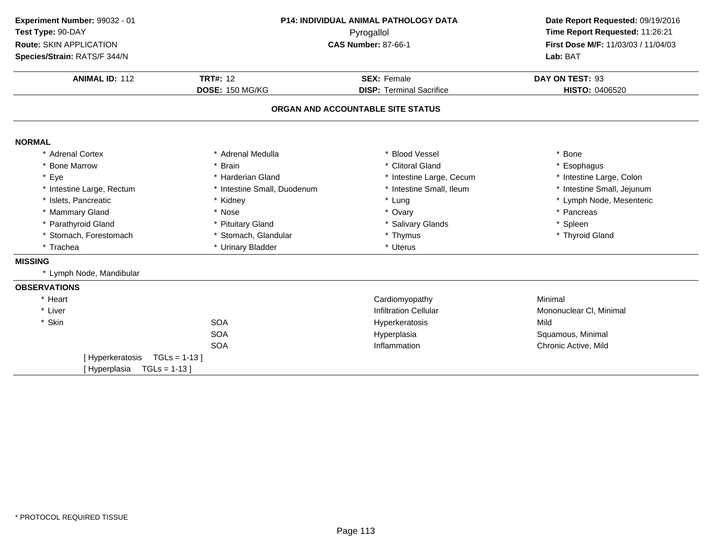| Experiment Number: 99032 - 01     | P14: INDIVIDUAL ANIMAL PATHOLOGY DATA |                                   | Date Report Requested: 09/19/2016   |  |
|-----------------------------------|---------------------------------------|-----------------------------------|-------------------------------------|--|
| Test Type: 90-DAY                 |                                       | Pyrogallol                        |                                     |  |
| Route: SKIN APPLICATION           |                                       | <b>CAS Number: 87-66-1</b>        | First Dose M/F: 11/03/03 / 11/04/03 |  |
| Species/Strain: RATS/F 344/N      |                                       |                                   | Lab: BAT                            |  |
| <b>ANIMAL ID: 112</b>             | <b>TRT#: 12</b>                       | <b>SEX: Female</b>                | DAY ON TEST: 93                     |  |
|                                   | DOSE: 150 MG/KG                       | <b>DISP: Terminal Sacrifice</b>   | <b>HISTO: 0406520</b>               |  |
|                                   |                                       | ORGAN AND ACCOUNTABLE SITE STATUS |                                     |  |
|                                   |                                       |                                   |                                     |  |
| <b>NORMAL</b><br>* Adrenal Cortex | * Adrenal Medulla                     | * Blood Vessel                    | * Bone                              |  |
| * Bone Marrow                     | * Brain                               | * Clitoral Gland                  | * Esophagus                         |  |
| * Eye                             | * Harderian Gland                     | * Intestine Large, Cecum          | * Intestine Large, Colon            |  |
| * Intestine Large, Rectum         | * Intestine Small, Duodenum           | * Intestine Small, Ileum          | * Intestine Small, Jejunum          |  |
| * Islets, Pancreatic              | * Kidney                              | * Lung                            | * Lymph Node, Mesenteric            |  |
| * Mammary Gland                   | * Nose                                | * Ovary                           | * Pancreas                          |  |
| * Parathyroid Gland               | * Pituitary Gland                     | * Salivary Glands                 | * Spleen                            |  |
| * Stomach, Forestomach            | * Stomach, Glandular                  | * Thymus                          | * Thyroid Gland                     |  |
| * Trachea                         | * Urinary Bladder                     | * Uterus                          |                                     |  |
| <b>MISSING</b>                    |                                       |                                   |                                     |  |
| * Lymph Node, Mandibular          |                                       |                                   |                                     |  |
| <b>OBSERVATIONS</b>               |                                       |                                   |                                     |  |
| * Heart                           |                                       | Cardiomyopathy                    | Minimal                             |  |
| * Liver                           |                                       | <b>Infiltration Cellular</b>      | Mononuclear CI, Minimal             |  |
| * Skin                            | <b>SOA</b>                            | Hyperkeratosis                    | Mild                                |  |
|                                   | <b>SOA</b>                            | Hyperplasia                       | Squamous, Minimal                   |  |
|                                   | <b>SOA</b>                            | Inflammation                      | Chronic Active, Mild                |  |
| [Hyperkeratosis                   | $TGLs = 1-13$                         |                                   |                                     |  |
| $TGLs = 1-13$ ]<br>[Hyperplasia   |                                       |                                   |                                     |  |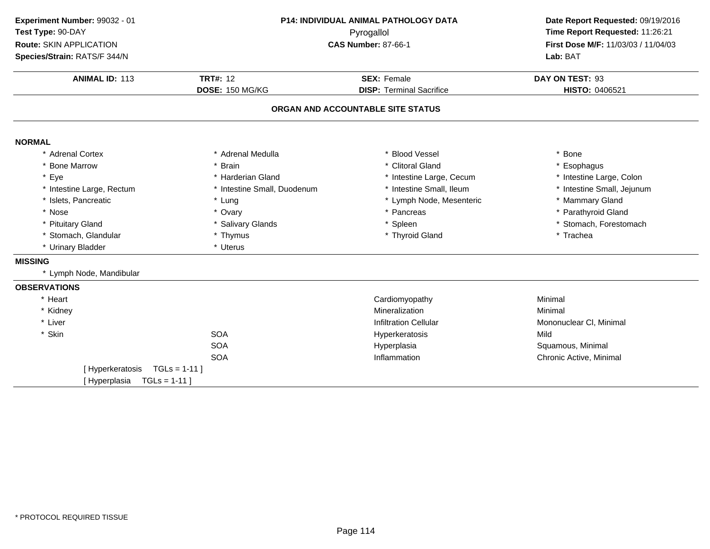| Experiment Number: 99032 - 01 | <b>P14: INDIVIDUAL ANIMAL PATHOLOGY DATA</b><br>Pyrogallol |                                   | Date Report Requested: 09/19/2016   |  |
|-------------------------------|------------------------------------------------------------|-----------------------------------|-------------------------------------|--|
| Test Type: 90-DAY             |                                                            |                                   | Time Report Requested: 11:26:21     |  |
| Route: SKIN APPLICATION       |                                                            | <b>CAS Number: 87-66-1</b>        | First Dose M/F: 11/03/03 / 11/04/03 |  |
| Species/Strain: RATS/F 344/N  |                                                            |                                   | Lab: BAT                            |  |
| <b>ANIMAL ID: 113</b>         | <b>TRT#: 12</b>                                            | <b>SEX: Female</b>                | DAY ON TEST: 93                     |  |
|                               | DOSE: 150 MG/KG                                            | <b>DISP: Terminal Sacrifice</b>   | HISTO: 0406521                      |  |
|                               |                                                            | ORGAN AND ACCOUNTABLE SITE STATUS |                                     |  |
| <b>NORMAL</b>                 |                                                            |                                   |                                     |  |
| * Adrenal Cortex              | * Adrenal Medulla                                          | * Blood Vessel                    | * Bone                              |  |
| * Bone Marrow                 | * Brain                                                    | * Clitoral Gland                  | * Esophagus                         |  |
| * Eye                         | * Harderian Gland                                          | * Intestine Large, Cecum          | * Intestine Large, Colon            |  |
| * Intestine Large, Rectum     | * Intestine Small, Duodenum                                | * Intestine Small, Ileum          | * Intestine Small, Jejunum          |  |
| * Islets, Pancreatic          | * Lung                                                     | * Lymph Node, Mesenteric          | * Mammary Gland                     |  |
| * Nose                        | * Ovary                                                    | * Pancreas                        | * Parathyroid Gland                 |  |
| * Pituitary Gland             | * Salivary Glands                                          | * Spleen                          | * Stomach, Forestomach              |  |
| * Stomach, Glandular          | * Thymus                                                   | * Thyroid Gland                   | * Trachea                           |  |
| * Urinary Bladder             | * Uterus                                                   |                                   |                                     |  |
| <b>MISSING</b>                |                                                            |                                   |                                     |  |
| * Lymph Node, Mandibular      |                                                            |                                   |                                     |  |
| <b>OBSERVATIONS</b>           |                                                            |                                   |                                     |  |
| * Heart                       |                                                            | Cardiomyopathy                    | Minimal                             |  |
| * Kidney                      |                                                            | Mineralization                    | Minimal                             |  |
| * Liver                       |                                                            | <b>Infiltration Cellular</b>      | Mononuclear CI, Minimal             |  |
| * Skin                        | <b>SOA</b>                                                 | Hyperkeratosis                    | Mild                                |  |
|                               | <b>SOA</b>                                                 | Hyperplasia                       | Squamous, Minimal                   |  |
|                               | <b>SOA</b>                                                 | Inflammation                      | Chronic Active, Minimal             |  |
| [Hyperkeratosis               | $TGLs = 1-11$ ]                                            |                                   |                                     |  |
| [Hyperplasia                  | $TGLs = 1-11$ ]                                            |                                   |                                     |  |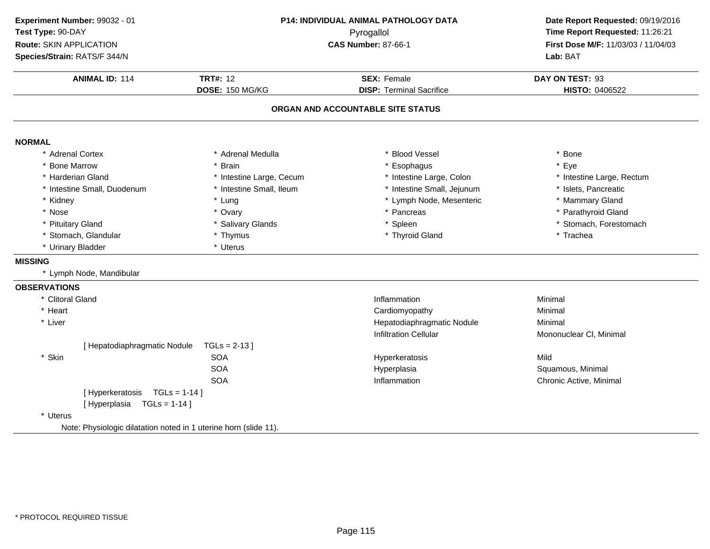| Experiment Number: 99032 - 01                                    | P14: INDIVIDUAL ANIMAL PATHOLOGY DATA<br>Pyrogallol<br><b>CAS Number: 87-66-1</b> |                                   | Date Report Requested: 09/19/2016                                      |  |
|------------------------------------------------------------------|-----------------------------------------------------------------------------------|-----------------------------------|------------------------------------------------------------------------|--|
| Test Type: 90-DAY                                                |                                                                                   |                                   | Time Report Requested: 11:26:21<br>First Dose M/F: 11/03/03 / 11/04/03 |  |
| Route: SKIN APPLICATION                                          |                                                                                   |                                   |                                                                        |  |
| Species/Strain: RATS/F 344/N                                     |                                                                                   |                                   | Lab: BAT                                                               |  |
| <b>ANIMAL ID: 114</b>                                            | <b>TRT#: 12</b>                                                                   | <b>SEX: Female</b>                | DAY ON TEST: 93                                                        |  |
|                                                                  | DOSE: 150 MG/KG                                                                   | <b>DISP: Terminal Sacrifice</b>   | HISTO: 0406522                                                         |  |
|                                                                  |                                                                                   | ORGAN AND ACCOUNTABLE SITE STATUS |                                                                        |  |
| <b>NORMAL</b>                                                    |                                                                                   |                                   |                                                                        |  |
| * Adrenal Cortex                                                 | * Adrenal Medulla                                                                 | * Blood Vessel                    | * Bone                                                                 |  |
| * Bone Marrow                                                    | * Brain                                                                           | * Esophagus                       | * Eye                                                                  |  |
| * Harderian Gland                                                | * Intestine Large, Cecum                                                          | * Intestine Large, Colon          | * Intestine Large, Rectum                                              |  |
| * Intestine Small, Duodenum                                      | * Intestine Small, Ileum                                                          | * Intestine Small, Jejunum        | * Islets, Pancreatic                                                   |  |
| * Kidney                                                         | * Lung                                                                            | * Lymph Node, Mesenteric          | * Mammary Gland                                                        |  |
| * Nose                                                           | * Ovary                                                                           | * Pancreas                        | * Parathyroid Gland                                                    |  |
| * Pituitary Gland                                                | * Salivary Glands                                                                 | * Spleen                          | * Stomach, Forestomach                                                 |  |
| * Stomach, Glandular                                             | * Thymus                                                                          | * Thyroid Gland                   | * Trachea                                                              |  |
| * Urinary Bladder                                                | * Uterus                                                                          |                                   |                                                                        |  |
| <b>MISSING</b>                                                   |                                                                                   |                                   |                                                                        |  |
| * Lymph Node, Mandibular                                         |                                                                                   |                                   |                                                                        |  |
| <b>OBSERVATIONS</b>                                              |                                                                                   |                                   |                                                                        |  |
| * Clitoral Gland                                                 |                                                                                   | Inflammation                      | Minimal                                                                |  |
| * Heart                                                          |                                                                                   | Cardiomyopathy                    | Minimal                                                                |  |
| * Liver                                                          |                                                                                   | Hepatodiaphragmatic Nodule        | Minimal                                                                |  |
|                                                                  |                                                                                   | <b>Infiltration Cellular</b>      | Mononuclear CI, Minimal                                                |  |
| [ Hepatodiaphragmatic Nodule                                     | $TGLs = 2-13$                                                                     |                                   |                                                                        |  |
| * Skin                                                           | <b>SOA</b>                                                                        | Hyperkeratosis                    | Mild                                                                   |  |
|                                                                  | <b>SOA</b>                                                                        | Hyperplasia                       | Squamous, Minimal                                                      |  |
|                                                                  | <b>SOA</b>                                                                        | Inflammation                      | Chronic Active, Minimal                                                |  |
| [Hyperkeratosis TGLs = 1-14]                                     |                                                                                   |                                   |                                                                        |  |
| $TGLs = 1-14$ ]<br>[Hyperplasia                                  |                                                                                   |                                   |                                                                        |  |
| * Uterus                                                         |                                                                                   |                                   |                                                                        |  |
| Note: Physiologic dilatation noted in 1 uterine horn (slide 11). |                                                                                   |                                   |                                                                        |  |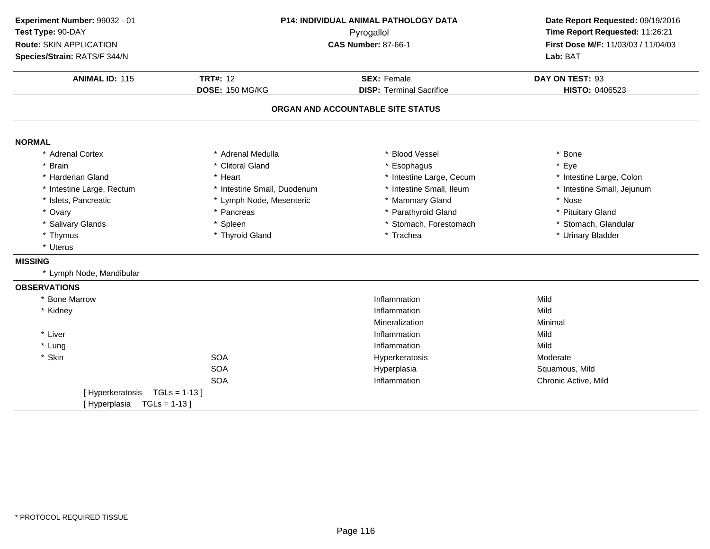| Experiment Number: 99032 - 01 |                             | P14: INDIVIDUAL ANIMAL PATHOLOGY DATA | Date Report Requested: 09/19/2016   |  |
|-------------------------------|-----------------------------|---------------------------------------|-------------------------------------|--|
| Test Type: 90-DAY             | Pyrogallol                  |                                       | Time Report Requested: 11:26:21     |  |
| Route: SKIN APPLICATION       |                             | <b>CAS Number: 87-66-1</b>            | First Dose M/F: 11/03/03 / 11/04/03 |  |
| Species/Strain: RATS/F 344/N  |                             |                                       | Lab: BAT                            |  |
| <b>ANIMAL ID: 115</b>         | <b>TRT#: 12</b>             | <b>SEX: Female</b>                    | DAY ON TEST: 93                     |  |
|                               | <b>DOSE: 150 MG/KG</b>      | <b>DISP: Terminal Sacrifice</b>       | HISTO: 0406523                      |  |
|                               |                             | ORGAN AND ACCOUNTABLE SITE STATUS     |                                     |  |
| <b>NORMAL</b>                 |                             |                                       |                                     |  |
| * Adrenal Cortex              | * Adrenal Medulla           | <b>Blood Vessel</b>                   | * Bone                              |  |
| * Brain                       | * Clitoral Gland            | Esophagus                             | * Eye                               |  |
| * Harderian Gland             | * Heart                     | * Intestine Large, Cecum              | * Intestine Large, Colon            |  |
| * Intestine Large, Rectum     | * Intestine Small, Duodenum | * Intestine Small, Ileum              | * Intestine Small, Jejunum          |  |
| * Islets, Pancreatic          | * Lymph Node, Mesenteric    | * Mammary Gland                       | * Nose                              |  |
| * Ovary                       | * Pancreas                  | Parathyroid Gland                     | * Pituitary Gland                   |  |
| * Salivary Glands             | * Spleen                    | * Stomach, Forestomach                | * Stomach, Glandular                |  |
| * Thymus                      | * Thyroid Gland             | * Trachea                             | * Urinary Bladder                   |  |
| * Uterus                      |                             |                                       |                                     |  |
| <b>MISSING</b>                |                             |                                       |                                     |  |
| * Lymph Node, Mandibular      |                             |                                       |                                     |  |
| <b>OBSERVATIONS</b>           |                             |                                       |                                     |  |
| * Bone Marrow                 |                             | Inflammation                          | Mild                                |  |
| * Kidney                      |                             | Inflammation                          | Mild                                |  |
|                               |                             | Mineralization                        | Minimal                             |  |
| * Liver                       |                             | Inflammation                          | Mild                                |  |
| * Lung                        |                             | Inflammation                          | Mild                                |  |
| * Skin                        | <b>SOA</b>                  | Hyperkeratosis                        | Moderate                            |  |
|                               | <b>SOA</b>                  | Hyperplasia                           | Squamous, Mild                      |  |
|                               | <b>SOA</b>                  | Inflammation                          | Chronic Active, Mild                |  |
| [Hyperkeratosis               | $TGLs = 1-13$               |                                       |                                     |  |
| [Hyperplasia<br>$TGLs = 1-13$ |                             |                                       |                                     |  |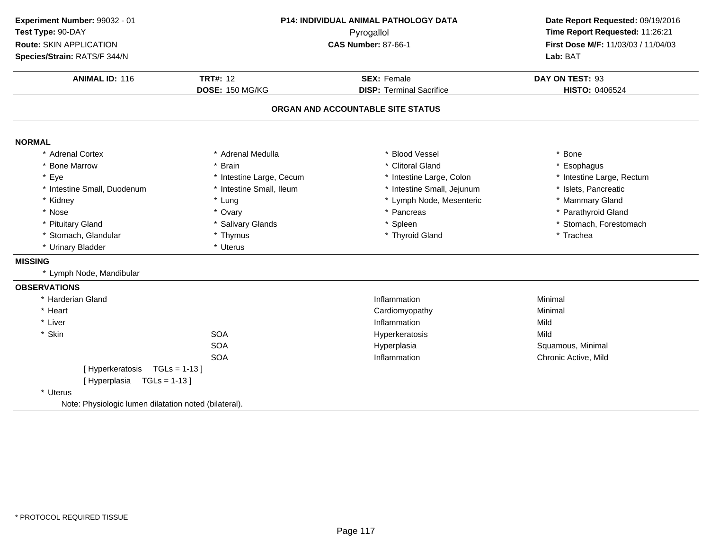| Experiment Number: 99032 - 01                         | P14: INDIVIDUAL ANIMAL PATHOLOGY DATA |                                   | Date Report Requested: 09/19/2016   |
|-------------------------------------------------------|---------------------------------------|-----------------------------------|-------------------------------------|
| Test Type: 90-DAY                                     |                                       | Pyrogallol                        |                                     |
| <b>Route: SKIN APPLICATION</b>                        |                                       | <b>CAS Number: 87-66-1</b>        | First Dose M/F: 11/03/03 / 11/04/03 |
| Species/Strain: RATS/F 344/N                          |                                       |                                   | Lab: BAT                            |
| <b>ANIMAL ID: 116</b>                                 | <b>TRT#: 12</b>                       | <b>SEX: Female</b>                | DAY ON TEST: 93                     |
|                                                       | DOSE: 150 MG/KG                       | <b>DISP: Terminal Sacrifice</b>   | HISTO: 0406524                      |
|                                                       |                                       | ORGAN AND ACCOUNTABLE SITE STATUS |                                     |
| <b>NORMAL</b>                                         |                                       |                                   |                                     |
| * Adrenal Cortex                                      | * Adrenal Medulla                     | * Blood Vessel                    | * Bone                              |
| * Bone Marrow                                         | * Brain                               | * Clitoral Gland                  | Esophagus                           |
| * Eye                                                 | * Intestine Large, Cecum              | * Intestine Large, Colon          | * Intestine Large, Rectum           |
| * Intestine Small, Duodenum                           | * Intestine Small, Ileum              | * Intestine Small, Jejunum        | * Islets, Pancreatic                |
| * Kidney                                              | * Lung                                | * Lymph Node, Mesenteric          | * Mammary Gland                     |
| * Nose                                                | * Ovary                               | * Pancreas                        | * Parathyroid Gland                 |
| * Pituitary Gland                                     | * Salivary Glands                     | * Spleen                          | * Stomach, Forestomach              |
| * Stomach, Glandular                                  | * Thymus                              | * Thyroid Gland                   | * Trachea                           |
| * Urinary Bladder                                     | * Uterus                              |                                   |                                     |
| <b>MISSING</b>                                        |                                       |                                   |                                     |
| * Lymph Node, Mandibular                              |                                       |                                   |                                     |
| <b>OBSERVATIONS</b>                                   |                                       |                                   |                                     |
| * Harderian Gland                                     |                                       | Inflammation                      | Minimal                             |
| * Heart                                               |                                       | Cardiomyopathy                    | Minimal                             |
| * Liver                                               |                                       | Inflammation                      | Mild                                |
| * Skin                                                | <b>SOA</b>                            | Hyperkeratosis                    | Mild                                |
|                                                       | <b>SOA</b>                            | Hyperplasia                       | Squamous, Minimal                   |
|                                                       | <b>SOA</b>                            | Inflammation                      | Chronic Active, Mild                |
| [Hyperkeratosis TGLs = 1-13]                          |                                       |                                   |                                     |
| $TGLs = 1-13$<br>[Hyperplasia                         |                                       |                                   |                                     |
| * Uterus                                              |                                       |                                   |                                     |
| Note: Physiologic lumen dilatation noted (bilateral). |                                       |                                   |                                     |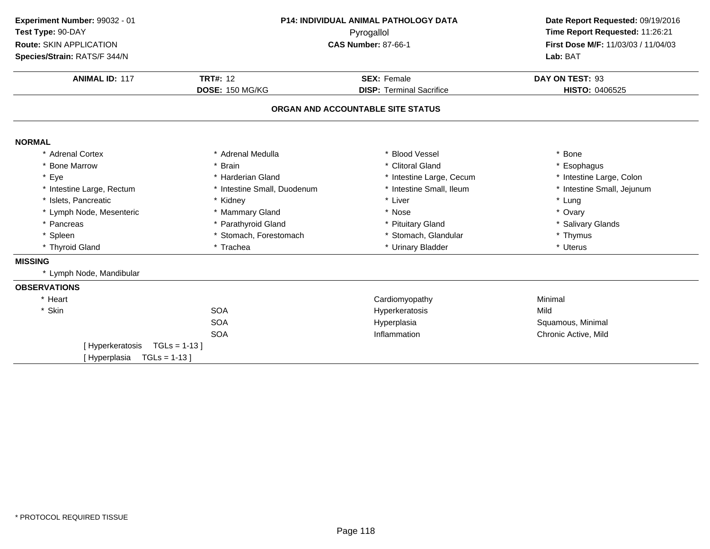| Experiment Number: 99032 - 01   | <b>P14: INDIVIDUAL ANIMAL PATHOLOGY DATA</b> |                                   | Date Report Requested: 09/19/2016<br>Time Report Requested: 11:26:21 |  |
|---------------------------------|----------------------------------------------|-----------------------------------|----------------------------------------------------------------------|--|
| Test Type: 90-DAY               |                                              | Pyrogallol                        |                                                                      |  |
| Route: SKIN APPLICATION         |                                              | <b>CAS Number: 87-66-1</b>        | First Dose M/F: 11/03/03 / 11/04/03                                  |  |
| Species/Strain: RATS/F 344/N    |                                              |                                   | Lab: BAT                                                             |  |
| <b>ANIMAL ID: 117</b>           | <b>TRT#: 12</b>                              | <b>SEX: Female</b>                | DAY ON TEST: 93                                                      |  |
|                                 | <b>DOSE: 150 MG/KG</b>                       | <b>DISP: Terminal Sacrifice</b>   | HISTO: 0406525                                                       |  |
|                                 |                                              | ORGAN AND ACCOUNTABLE SITE STATUS |                                                                      |  |
| <b>NORMAL</b>                   |                                              |                                   |                                                                      |  |
| * Adrenal Cortex                | * Adrenal Medulla                            | <b>Blood Vessel</b>               | * Bone                                                               |  |
| * Bone Marrow                   | * Brain                                      | * Clitoral Gland                  | * Esophagus                                                          |  |
| * Eye                           | * Harderian Gland                            | * Intestine Large, Cecum          | * Intestine Large, Colon                                             |  |
| * Intestine Large, Rectum       | * Intestine Small, Duodenum                  | * Intestine Small, Ileum          | * Intestine Small, Jejunum                                           |  |
| * Islets, Pancreatic            | * Kidney                                     | * Liver                           | * Lung                                                               |  |
| * Lymph Node, Mesenteric        | * Mammary Gland                              | * Nose                            | * Ovary                                                              |  |
| * Pancreas                      | * Parathyroid Gland                          | * Pituitary Gland                 | * Salivary Glands                                                    |  |
| * Spleen                        | * Stomach, Forestomach                       | * Stomach, Glandular              | * Thymus                                                             |  |
| * Thyroid Gland                 | * Trachea                                    | * Urinary Bladder                 | * Uterus                                                             |  |
| <b>MISSING</b>                  |                                              |                                   |                                                                      |  |
| * Lymph Node, Mandibular        |                                              |                                   |                                                                      |  |
| <b>OBSERVATIONS</b>             |                                              |                                   |                                                                      |  |
| * Heart                         |                                              | Cardiomyopathy                    | Minimal                                                              |  |
| * Skin                          | <b>SOA</b>                                   | Hyperkeratosis                    | Mild                                                                 |  |
|                                 | <b>SOA</b>                                   | Hyperplasia                       | Squamous, Minimal                                                    |  |
|                                 | <b>SOA</b>                                   | Inflammation                      | Chronic Active, Mild                                                 |  |
| [Hyperkeratosis                 | $TGLs = 1-13$                                |                                   |                                                                      |  |
| $TGLs = 1-13$ ]<br>[Hyperplasia |                                              |                                   |                                                                      |  |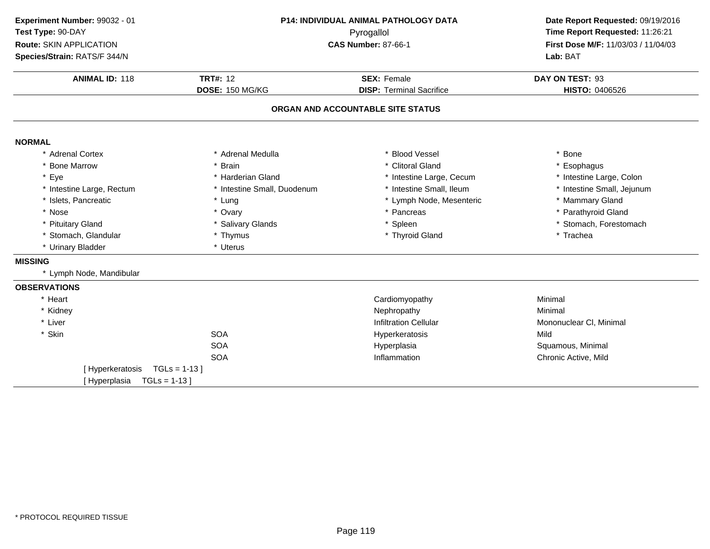| Experiment Number: 99032 - 01 | <b>P14: INDIVIDUAL ANIMAL PATHOLOGY DATA</b> |                                   | Date Report Requested: 09/19/2016                                      |  |
|-------------------------------|----------------------------------------------|-----------------------------------|------------------------------------------------------------------------|--|
| Test Type: 90-DAY             |                                              | Pyrogallol                        | Time Report Requested: 11:26:21<br>First Dose M/F: 11/03/03 / 11/04/03 |  |
| Route: SKIN APPLICATION       |                                              | <b>CAS Number: 87-66-1</b>        |                                                                        |  |
| Species/Strain: RATS/F 344/N  |                                              |                                   | Lab: BAT                                                               |  |
| <b>ANIMAL ID: 118</b>         | <b>TRT#: 12</b>                              | <b>SEX: Female</b>                | DAY ON TEST: 93                                                        |  |
|                               | DOSE: 150 MG/KG                              | <b>DISP: Terminal Sacrifice</b>   | HISTO: 0406526                                                         |  |
|                               |                                              | ORGAN AND ACCOUNTABLE SITE STATUS |                                                                        |  |
| <b>NORMAL</b>                 |                                              |                                   |                                                                        |  |
| * Adrenal Cortex              | * Adrenal Medulla                            | * Blood Vessel                    | * Bone                                                                 |  |
| * Bone Marrow                 | * Brain                                      | * Clitoral Gland                  | * Esophagus                                                            |  |
| * Eye                         | * Harderian Gland                            | * Intestine Large, Cecum          | * Intestine Large, Colon                                               |  |
| * Intestine Large, Rectum     | * Intestine Small, Duodenum                  | * Intestine Small, Ileum          | * Intestine Small, Jejunum                                             |  |
| * Islets, Pancreatic          | * Lung                                       | * Lymph Node, Mesenteric          | * Mammary Gland                                                        |  |
| * Nose                        | * Ovary                                      | * Pancreas                        | * Parathyroid Gland                                                    |  |
| * Pituitary Gland             | * Salivary Glands                            | * Spleen                          | * Stomach, Forestomach                                                 |  |
| * Stomach, Glandular          | * Thymus                                     | * Thyroid Gland                   | * Trachea                                                              |  |
| * Urinary Bladder             | * Uterus                                     |                                   |                                                                        |  |
| <b>MISSING</b>                |                                              |                                   |                                                                        |  |
| * Lymph Node, Mandibular      |                                              |                                   |                                                                        |  |
| <b>OBSERVATIONS</b>           |                                              |                                   |                                                                        |  |
| * Heart                       |                                              | Cardiomyopathy                    | Minimal                                                                |  |
| * Kidney                      |                                              | Nephropathy                       | Minimal                                                                |  |
| * Liver                       |                                              | <b>Infiltration Cellular</b>      | Mononuclear CI, Minimal                                                |  |
| * Skin                        | <b>SOA</b>                                   | Hyperkeratosis                    | Mild                                                                   |  |
|                               | <b>SOA</b>                                   | Hyperplasia                       | Squamous, Minimal                                                      |  |
|                               | <b>SOA</b>                                   | Inflammation                      | Chronic Active, Mild                                                   |  |
| [Hyperkeratosis               | $TGLs = 1-13$ ]                              |                                   |                                                                        |  |
| [Hyperplasia                  | $TGLs = 1-13$                                |                                   |                                                                        |  |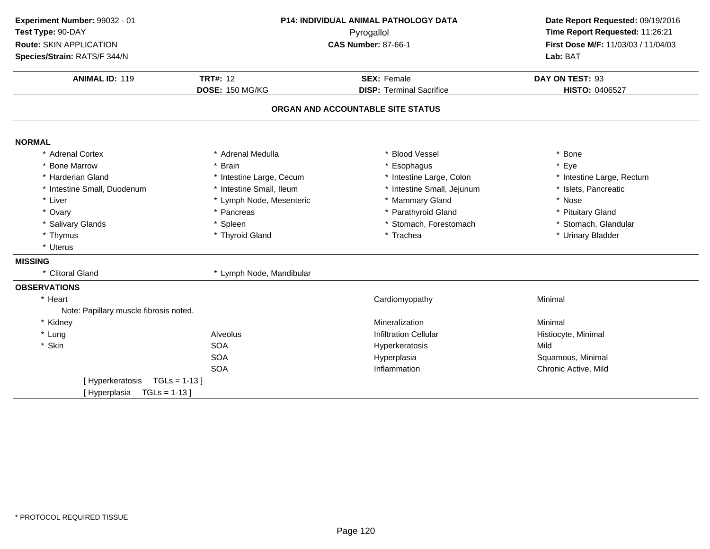| Experiment Number: 99032 - 01<br>Test Type: 90-DAY<br>Route: SKIN APPLICATION<br>Species/Strain: RATS/F 344/N | <b>P14: INDIVIDUAL ANIMAL PATHOLOGY DATA</b><br>Pyrogallol<br><b>CAS Number: 87-66-1</b> |                                                       | Date Report Requested: 09/19/2016<br>Time Report Requested: 11:26:21<br>First Dose M/F: 11/03/03 / 11/04/03<br>Lab: BAT |
|---------------------------------------------------------------------------------------------------------------|------------------------------------------------------------------------------------------|-------------------------------------------------------|-------------------------------------------------------------------------------------------------------------------------|
| <b>ANIMAL ID: 119</b>                                                                                         | <b>TRT#: 12</b><br>DOSE: 150 MG/KG                                                       | <b>SEX: Female</b><br><b>DISP: Terminal Sacrifice</b> |                                                                                                                         |
|                                                                                                               |                                                                                          | ORGAN AND ACCOUNTABLE SITE STATUS                     | HISTO: 0406527                                                                                                          |
| <b>NORMAL</b>                                                                                                 |                                                                                          |                                                       |                                                                                                                         |
| * Adrenal Cortex                                                                                              | * Adrenal Medulla                                                                        | * Blood Vessel                                        | * Bone                                                                                                                  |
| <b>Bone Marrow</b>                                                                                            | * Brain                                                                                  | * Esophagus                                           | * Eye                                                                                                                   |
| * Harderian Gland                                                                                             | * Intestine Large, Cecum                                                                 | * Intestine Large, Colon                              | * Intestine Large, Rectum                                                                                               |
| * Intestine Small, Duodenum                                                                                   | * Intestine Small, Ileum                                                                 | * Intestine Small, Jejunum                            | * Islets, Pancreatic                                                                                                    |
| * Liver                                                                                                       | * Lymph Node, Mesenteric                                                                 | * Mammary Gland                                       | * Nose                                                                                                                  |
| * Ovary                                                                                                       | * Pancreas                                                                               | * Parathyroid Gland                                   | * Pituitary Gland                                                                                                       |
| * Salivary Glands                                                                                             | * Spleen                                                                                 | * Stomach, Forestomach                                | * Stomach, Glandular                                                                                                    |
| * Thymus                                                                                                      | * Thyroid Gland                                                                          | * Trachea                                             | * Urinary Bladder                                                                                                       |
| * Uterus                                                                                                      |                                                                                          |                                                       |                                                                                                                         |
| <b>MISSING</b>                                                                                                |                                                                                          |                                                       |                                                                                                                         |
| * Clitoral Gland                                                                                              | * Lymph Node, Mandibular                                                                 |                                                       |                                                                                                                         |
| <b>OBSERVATIONS</b>                                                                                           |                                                                                          |                                                       |                                                                                                                         |
| * Heart                                                                                                       |                                                                                          | Cardiomyopathy                                        | Minimal                                                                                                                 |
| Note: Papillary muscle fibrosis noted.                                                                        |                                                                                          |                                                       |                                                                                                                         |
| * Kidney                                                                                                      |                                                                                          | Mineralization                                        | Minimal                                                                                                                 |
| * Lung                                                                                                        | Alveolus                                                                                 | <b>Infiltration Cellular</b>                          | Histiocyte, Minimal                                                                                                     |
| * Skin                                                                                                        | <b>SOA</b>                                                                               | Hyperkeratosis                                        | Mild                                                                                                                    |
|                                                                                                               | <b>SOA</b>                                                                               | Hyperplasia                                           | Squamous, Minimal                                                                                                       |
|                                                                                                               | <b>SOA</b>                                                                               | Inflammation                                          | Chronic Active, Mild                                                                                                    |
| [Hyperkeratosis                                                                                               | $TGLs = 1-13$                                                                            |                                                       |                                                                                                                         |
| [Hyperplasia<br>$TGLs = 1-13$                                                                                 |                                                                                          |                                                       |                                                                                                                         |